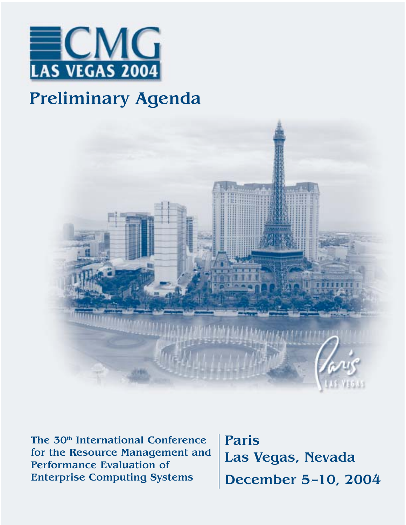

# Preliminary Agenda



The 30<sup>th</sup> International Conference for the Resource Management and Performance Evaluation of Enterprise Computing Systems

Paris Las Vegas, Nevada December 5–10, 2004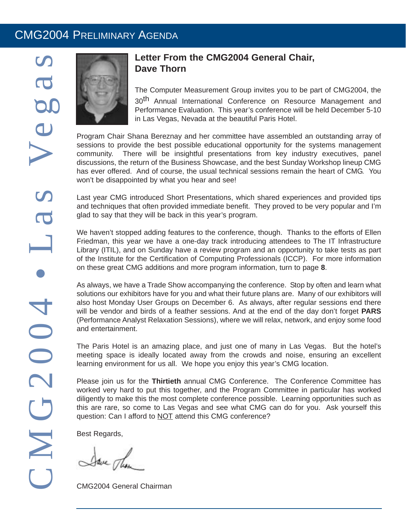### CMG2004 PRELIMINARY AGENDA



### **Letter From the CMG2004 General Chair, Dave Thorn**

The Computer Measurement Group invites you to be part of CMG2004, the

30<sup>th</sup> Annual International Conference on Resource Management and Performance Evaluation. This year's conference will be held December 5-10 in Las Vegas, Nevada at the beautiful Paris Hotel.

Program Chair Shana Bereznay and her committee have assembled an outstanding array of sessions to provide the best possible educational opportunity for the systems management community. There will be insightful presentations from key industry executives, panel discussions, the return of the Business Showcase, and the best Sunday Workshop lineup CMG has ever offered. And of course, the usual technical sessions remain the heart of CMG. You won't be disappointed by what you hear and see!

Last year CMG introduced Short Presentations, which shared experiences and provided tips and techniques that often provided immediate benefit. They proved to be very popular and I'm glad to say that they will be back in this year's program.

We haven't stopped adding features to the conference, though. Thanks to the efforts of Ellen Friedman, this year we have a one-day track introducing attendees to The IT Infrastructure Library (ITIL), and on Sunday have a review program and an opportunity to take tests as part of the Institute for the Certification of Computing Professionals (ICCP). For more information on these great CMG additions and more program information, turn to page **8**.

As always, we have a Trade Show accompanying the conference. Stop by often and learn what solutions our exhibitors have for you and what their future plans are. Many of our exhibitors will also host Monday User Groups on December 6. As always, after regular sessions end there will be vendor and birds of a feather sessions. And at the end of the day don't forget **PARS** (Performance Analyst Relaxation Sessions), where we will relax, network, and enjoy some food and entertainment.

The Paris Hotel is an amazing place, and just one of many in Las Vegas. But the hotel's meeting space is ideally located away from the crowds and noise, ensuring an excellent learning environment for us all. We hope you enjoy this year's CMG location.

Please join us for the **Thirtieth** annual CMG Conference. The Conference Committee has worked very hard to put this together, and the Program Committee in particular has worked diligently to make this the most complete conference possible. Learning opportunities such as this are rare, so come to Las Vegas and see what CMG can do for you. Ask yourself this question: Can I afford to NOT attend this CMG conference?

Best Regards,

Save The

CMG2004 General Chairman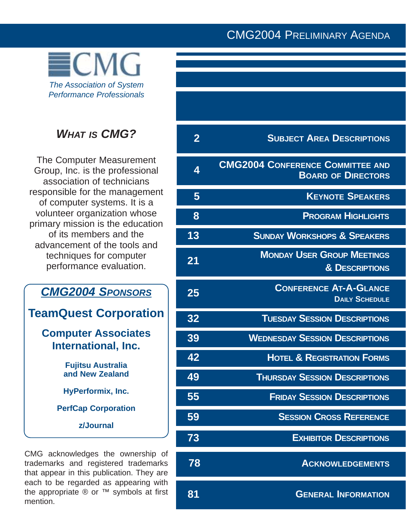### CMG2004 PRELIMINARY AGENDA



### **WHAT IS CMG?**

The Computer Measurement Group, Inc. is the professional association of technicians responsible for the management of computer systems. It is a volunteer organization whose primary mission is the education of its members and the advancement of the tools and techniques for computer performance evaluation.

# *CMG2004 SPONSORS*

**TeamQuest Corporation**

### **Computer Associates International, Inc.**

**Fujitsu Australia and New Zealand**

**HyPerformix, Inc.** 

**PerfCap Corporation** 

**z/Journal**

CMG acknowledges the ownership of trademarks and registered trademarks that appear in this publication. They are each to be regarded as appearing with the appropriate  $\mathbb{R}$  or  $TM$  symbols at first mention.

| $\bf{2}$ | <b>SUBJECT AREA DESCRIPTIONS</b>                                     |
|----------|----------------------------------------------------------------------|
| 4        | <b>CMG2004 CONFERENCE COMMITTEE AND</b><br><b>BOARD OF DIRECTORS</b> |
| 5        | <b>KEYNOTE SPEAKERS</b>                                              |
| 8        | <b>PROGRAM HIGHLIGHTS</b>                                            |
| 13       | <b>SUNDAY WORKSHOPS &amp; SPEAKERS</b>                               |
| 21       | <b>MONDAY USER GROUP MEETINGS</b><br><b>&amp; DESCRIPTIONS</b>       |
| 25       | <b>CONFERENCE AT-A-GLANCE</b><br><b>DAILY SCHEDULE</b>               |
| 32       | <b>TUESDAY SESSION DESCRIPTIONS</b>                                  |
| 39       | <b>WEDNESDAY SESSION DESCRIPTIONS</b>                                |
| 42       | <b>HOTEL &amp; REGISTRATION FORMS</b>                                |
| 49       | <b>THURSDAY SESSION DESCRIPTIONS</b>                                 |
| 55       | <b>FRIDAY SESSION DESCRIPTIONS</b>                                   |
| 59       | <b>SESSION CROSS REFERENCE</b>                                       |
| 73       | <b>EXHIBITOR DESCRIPTIONS</b>                                        |
| 78       | <b>ACKNOWLEDGEMENTS</b>                                              |
| 81       | <b>GENERAL INFORMATION</b>                                           |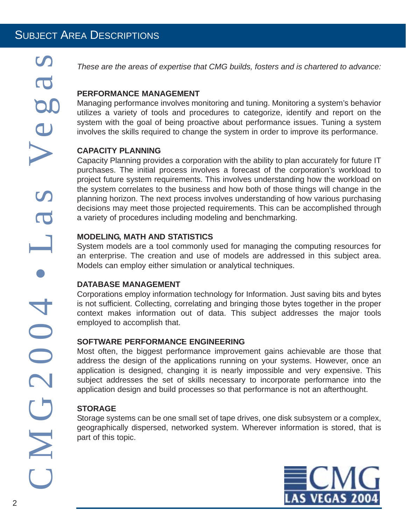*These are the areas of expertise that CMG builds, fosters and is chartered to advance:*

### **PERFORMANCE MANAGEMENT**

Managing performance involves monitoring and tuning. Monitoring a system's behavior utilizes a variety of tools and procedures to categorize, identify and report on the system with the goal of being proactive about performance issues. Tuning a system involves the skills required to change the system in order to improve its performance.

### **CAPACITY PLANNING**

Capacity Planning provides a corporation with the ability to plan accurately for future IT purchases. The initial process involves a forecast of the corporation's workload to project future system requirements. This involves understanding how the workload on the system correlates to the business and how both of those things will change in the planning horizon. The next process involves understanding of how various purchasing decisions may meet those projected requirements. This can be accomplished through a variety of procedures including modeling and benchmarking.

### **MODELING, MATH AND STATISTICS**

System models are a tool commonly used for managing the computing resources for an enterprise. The creation and use of models are addressed in this subject area. Models can employ either simulation or analytical techniques.

### **DATABASE MANAGEMENT**

Corporations employ information technology for Information. Just saving bits and bytes is not sufficient. Collecting, correlating and bringing those bytes together in the proper context makes information out of data. This subject addresses the major tools employed to accomplish that.

### **SOFTWARE PERFORMANCE ENGINEERING**

Most often, the biggest performance improvement gains achievable are those that address the design of the applications running on your systems. However, once an application is designed, changing it is nearly impossible and very expensive. This subject addresses the set of skills necessary to incorporate performance into the application design and build processes so that performance is not an afterthought.

### **STORAGE**

Storage systems can be one small set of tape drives, one disk subsystem or a complex, geographically dispersed, networked system. Wherever information is stored, that is part of this topic.

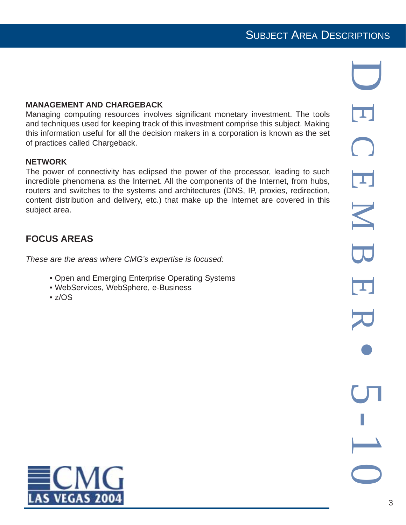### SUBJECT AREA DESCRIPTIONS

### **MANAGEMENT AND CHARGEBACK**

Managing computing resources involves significant monetary investment. The tools and techniques used for keeping track of this investment comprise this subject. Making this information useful for all the decision makers in a corporation is known as the set of practices called Chargeback.

### **NETWORK**

The power of connectivity has eclipsed the power of the processor, leading to such incredible phenomena as the Internet. All the components of the Internet, from hubs, routers and switches to the systems and architectures (DNS, IP, proxies, redirection, content distribution and delivery, etc.) that make up the Internet are covered in this subject area.

### **FOCUS AREAS**

*These are the areas where CMG's expertise is focused:*

- Open and Emerging Enterprise Operating Systems
- WebServices, WebSphere, e-Business
- $\cdot$  z/OS

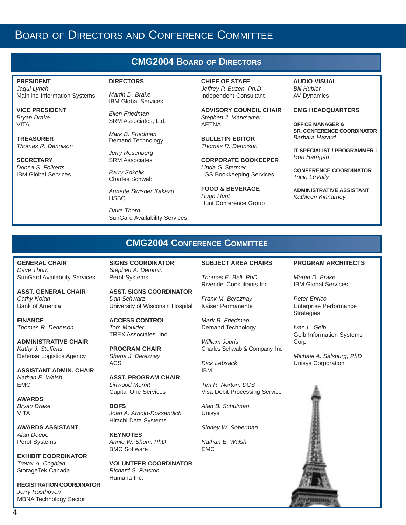### BOARD OF DIRECTORS AND CONFERENCE COMMITTEE

### **CMG2004 BOARD OF DIRECTORS**

#### **PRESIDENT**

*Jaqui Lynch* Mainline Information Systems

**VICE PRESIDENT** *Bryan Drake* VITA

**TREASURER** *Thomas R. Dennison*

**SECRETARY** *Donna S. Folkerts* IBM Global Services

#### **DIRECTORS**

*Martin D. Brake* IBM Global Services

*Ellen Friedman* SRM Associates, Ltd.

*Mark B. Friedman* Demand Technology

SRM Associates *Barry Sokolik* Charles Schwab

*Jerry Rosenberg*

*Annette Swisher Kakazu* **HSBC** 

*Dave Thorn* SunGard Availability Services **CHIEF OF STAFF** *Jeffrey P. Buzen, Ph.D*. Independent Consultant

**ADVISORY COUNCIL CHAIR** *Stephen J. Marksamer* AETNA

**BULLETIN EDITOR** *Thomas R. Dennison*

**CORPORATE BOOKEEPER** *Linda G. Stermer*  LGS Bookkeeping Services

**FOOD & BEVERAGE** *Hugh Hunt* Hunt Conference Group

**AUDIO VISUAL** *Bill Hubler* AV Dynamics

#### **CMG HEADQUARTERS**

**OFFICE MANAGER & SR. CONFERENCE COORDINATOR** *Barbara Hazard*

**IT SPECIALIST / PROGRAMMER I** *Rob Harrigan*

**CONFERENCE COORDINATOR** *Tricia LeVally*

**ADMINISTRATIVE ASSISTANT** *Kathleen Kinnarney*

### **CMG2004 CONFERENCE COMMITTEE**

**GENERAL CHAIR** *Dave Thorn* SunGard Availability Services

**ASST. GENERAL CHAIR** *Cathy Nolan* Bank of America

**FINANCE** *Thomas R. Dennison*

**ADMINISTRATIVE CHAIR** *Kathy J. Steffens* Defense Logistics Agency

**ASSISTANT ADMIN. CHAIR** *Nathan E. Walsh* EMC

**AWARDS**  *Bryan Drake* VITA

**AWARDS ASSISTANT** *Alan Deepe* Perot Systems

**EXHIBIT COORDINATOR** *Trevor A. Coghlan* StorageTek Canada

**REGISTRATION COORDINATOR** *Jerry Rusthoven* MBNA Technology Sector

**SIGNS COORDINATOR** *Stephen A. Demmin* Perot Systems

**ASST. SIGNS COORDINATOR** *Dan Schwarz* University of Wisconsin Hospital

**ACCESS CONTROL** *Tom Moulder* TREX Associates Inc.

**PROGRAM CHAIR** *Shana J. Bereznay* ACS

**ASST. PROGRAM CHAIR** *Linwood Merritt* Capital One Services

**BOFS** *Joan A. Arnold-Roksandich* Hitachi Data Systems

**KEYNOTES** *Annie W. Shum, PhD* BMC Software

**VOLUNTEER COORDINATOR** *Richard S. Ralston* Humana Inc.

#### **SUBJECT AREA CHAIRS**

*Thomas E. Bell, PhD* Rivendel Consultants Inc

*Frank M. Bereznay*

*Mark B. Friedman* Demand Technology

Kaiser Permanente

*William Jouris* Charles Schwab & Company, Inc.

*Rick Lebsack* IBM

*Tim R. Norton, DCS* Visa Debit Processing Service

*Alan B. Schulman* Unisys

*Sidney W. Soberman*

*Nathan E. Walsh* EMC

#### **PROGRAM ARCHITECTS**

*Martin D. Brake* IBM Global Services

*Peter Enrico* Enterprise Performance **Strategies** 

*Ivan L. Gelb* Gelb Information Systems Corp

*Michael A. Salsburg, PhD* Unisys Corporation

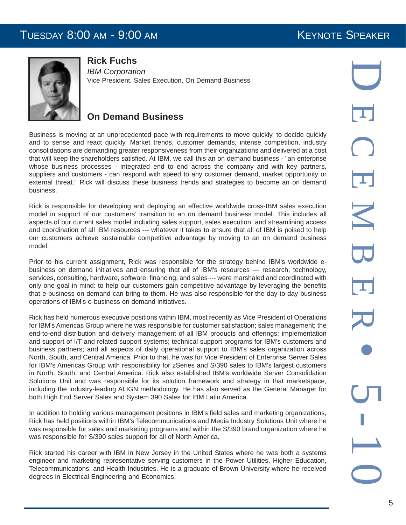### TUESDAY 8:00 AM - 9:00 AM KEYNOTE SPEAKER



**Rick Fuchs**

*IBM Corporation* Vice President, Sales Execution, On Demand Business

### **On Demand Business**

Business is moving at an unprecedented pace with requirements to move quickly, to decide quickly and to sense and react quickly. Market trends, customer demands, intense competition, industry consolidations are demanding greater responsiveness from their organizations and delivered at a cost that will keep the shareholders satisfied. At IBM, we call this an on demand business - "an enterprise whose business processes - integrated end to end across the company and with key partners, suppliers and customers - can respond with speed to any customer demand, market opportunity or external threat." Rick will discuss these business trends and strategies to become an on demand business.

Rick is responsible for developing and deploying an effective worldwide cross-IBM sales execution model in support of our customers' transition to an on demand business model. This includes all aspects of our current sales model including sales support, sales execution, and streamlining access and coordination of all IBM resources --- whatever it takes to ensure that all of IBM is poised to help our customers achieve sustainable competitive advantage by moving to an on demand business model.

Prior to his current assignment, Rick was responsible for the strategy behind IBM's worldwide ebusiness on demand initiatives and ensuring that all of IBM's resources --- research, technology, services, consulting, hardware, software, financing, and sales --- were marshaled and coordinated with only one goal in mind: to help our customers gain competitive advantage by leveraging the benefits that e-business on demand can bring to them. He was also responsible for the day-to-day business operations of IBM's e-business on demand initiatives.

Rick has held numerous executive positions within IBM, most recently as Vice President of Operations for IBM's Americas Group where he was responsible for customer satisfaction; sales management; the end-to-end distribution and delivery management of all IBM products and offerings; implementation and support of I/T and related support systems; technical support programs for IBM's customers and business partners; and all aspects of daily operational support to IBM's sales organization across North, South, and Central America. Prior to that, he was for Vice President of Enterprise Server Sales for IBM's Americas Group with responsibility for zSeries and S/390 sales to IBM's largest customers in North, South, and Central America. Rick also established IBM's worldwide Server Consolidation Solutions Unit and was responsible for its solution framework and strategy in that marketspace, including the industry-leading ALIGN methodology. He has also served as the General Manager for both High End Server Sales and System 390 Sales for IBM Latin America.

In addition to holding various management positions in IBM's field sales and marketing organizations, Rick has held positions within IBM's Telecommunications and Media Industry Solutions Unit where he was responsible for sales and marketing programs and within the S/390 brand organization where he was responsible for S/390 sales support for all of North America.

Rick started his career with IBM in New Jersey in the United States where he was both a systems engineer and marketing representative serving customers in the Power Utilities, Higher Education, Telecommunications, and Health Industries. He is a graduate of Brown University where he received degrees in Electrical Engineering and Economics.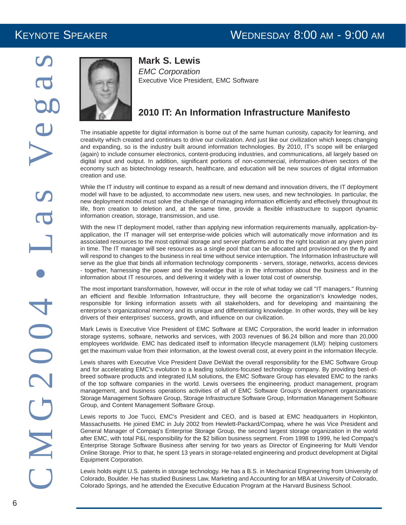### KEYNOTE SPEAKER WEDNESDAY 8:00 AM - 9:00 AM



### **Mark S. Lewis**

*EMC Corporation* Executive Vice President, EMC Software

### **2010 IT: An Information Infrastructure Manifesto**

The insatiable appetite for digital information is borne out of the same human curiosity, capacity for learning, and creativity which created and continues to drive our civilization. And just like our civilization which keeps changing and expanding, so is the industry built around information technologies. By 2010, IT's scope will be enlarged (again) to include consumer electronics, content-producing industries, and communications, all largely based on digital input and output. In addition, significant portions of non-commercial, information-driven sectors of the economy such as biotechnology research, healthcare, and education will be new sources of digital information creation and use.

While the IT industry will continue to expand as a result of new demand and innovation drivers, the IT deployment model will have to be adjusted, to accommodate new users, new uses, and new technologies. In particular, the new deployment model must solve the challenge of managing information efficiently and effectively throughout its life, from creation to deletion and, at the same time, provide a flexible infrastructure to support dynamic information creation, storage, transmission, and use.

With the new IT deployment model, rather than applying new information requirements manually, application-byapplication, the IT manager will set enterprise-wide policies which will automatically move information and its associated resources to the most optimal storage and server platforms and to the right location at any given point in time. The IT manager will see resources as a single pool that can be allocated and provisioned on the fly and will respond to changes to the business in real time without service interruption. The Information Infrastructure will serve as the glue that binds all information technology components - servers, storage, networks, access devices - together, harnessing the power and the knowledge that is in the information about the business and in the information about IT resources, and delivering it widely with a lower total cost of ownership.

The most important transformation, however, will occur in the role of what today we call "IT managers." Running an efficient and flexible Information Infrastructure, they will become the organization's knowledge nodes, responsible for linking information assets with all stakeholders, and for developing and maintaining the enterprise's organizational memory and its unique and differentiating knowledge. In other words, they will be key drivers of their enterprises' success, growth, and influence on our civilization.

Mark Lewis is Executive Vice President of EMC Software at EMC Corporation, the world leader in information storage systems, software, networks and services, with 2003 revenues of \$6.24 billion and more than 20,000 employees worldwide. EMC has dedicated itself to information lifecycle management (ILM): helping customers get the maximum value from their information, at the lowest overall cost, at every point in the information lifecycle.

Lewis shares with Executive Vice President Dave DeWalt the overall responsibility for the EMC Software Group and for accelerating EMC's evolution to a leading solutions-focused technology company. By providing best-ofbreed software products and integrated ILM solutions, the EMC Software Group has elevated EMC to the ranks of the top software companies in the world. Lewis oversees the engineering, product management, program management, and business operations activities of all of EMC Software Group's development organizations: Storage Management Software Group, Storage Infrastructure Software Group, Information Management Software Group, and Content Management Software Group.

Lewis reports to Joe Tucci, EMC's President and CEO, and is based at EMC headquarters in Hopkinton, Massachusetts. He joined EMC in July 2002 from Hewlett-Packard/Compaq, where he was Vice President and General Manager of Compaq's Enterprise Storage Group, the second largest storage organization in the world after EMC, with total P&L responsibility for the \$2 billion business segment. From 1998 to 1999, he led Compaq's Enterprise Storage Software Business after serving for two years as Director of Engineering for Multi Vendor Online Storage. Prior to that, he spent 13 years in storage-related engineering and product development at Digital Equipment Corporation.

Lewis holds eight U.S. patents in storage technology. He has a B.S. in Mechanical Engineering from University of Colorado, Boulder. He has studied Business Law, Marketing and Accounting for an MBA at University of Colorado, Colorado Springs, and he attended the Executive Education Program at the Harvard Business School.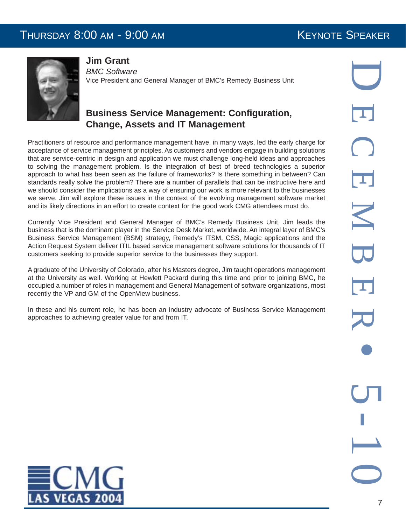### THURSDAY 8:00 AM - 9:00 AM KEYNOTE SPEAKER



**Jim Grant**

*BMC Software* Vice President and General Manager of BMC's Remedy Business Unit

### **Business Service Management: Configuration, Change, Assets and IT Management**

Practitioners of resource and performance management have, in many ways, led the early charge for acceptance of service management principles. As customers and vendors engage in building solutions that are service-centric in design and application we must challenge long-held ideas and approaches to solving the management problem. Is the integration of best of breed technologies a superior approach to what has been seen as the failure of frameworks? Is there something in between? Can standards really solve the problem? There are a number of parallels that can be instructive here and we should consider the implications as a way of ensuring our work is more relevant to the businesses we serve. Jim will explore these issues in the context of the evolving management software market and its likely directions in an effort to create context for the good work CMG attendees must do.

Currently Vice President and General Manager of BMC's Remedy Business Unit, Jim leads the business that is the dominant player in the Service Desk Market, worldwide. An integral layer of BMC's Business Service Management (BSM) strategy, Remedy's ITSM, CSS, Magic applications and the Action Request System deliver ITIL based service management software solutions for thousands of IT customers seeking to provide superior service to the businesses they support.

A graduate of the University of Colorado, after his Masters degree, Jim taught operations management at the University as well. Working at Hewlett Packard during this time and prior to joining BMC, he occupied a number of roles in management and General Management of software organizations, most recently the VP and GM of the OpenView business.

In these and his current role, he has been an industry advocate of Business Service Management approaches to achieving greater value for and from IT.

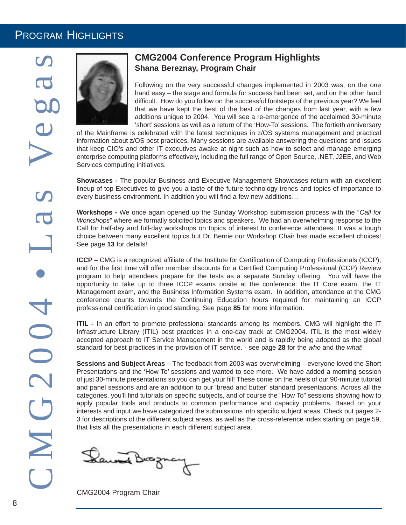### PROGRAM HIGHLIGHTS



### **CMG2004 Conference Program Highlights Shana Bereznay, Program Chair**

Following on the very successful changes implemented in 2003 was, on the one hand easy – the stage and formula for success had been set, and on the other hand difficult. How do you follow on the successful footsteps of the previous year? We feel that we have kept the best of the best of the changes from last year, with a few additions unique to 2004. You will see a re-emergence of the acclaimed 30-minute 'short' sessions as well as a return of the 'How-To' sessions. The fortieth anniversary

of the Mainframe is celebrated with the latest techniques in z/OS systems management and practical information about z/OS best practices. Many sessions are available answering the questions and issues that keep CIO's and other IT executives awake at night such as how to select and manage emerging enterprise computing platforms effectively, including the full range of Open Source, .NET, J2EE, and Web Services computing initiatives.

**Showcases -** The popular Business and Executive Management Showcases return with an excellent lineup of top Executives to give you a taste of the future technology trends and topics of importance to every business environment. In addition you will find a few new additions…

**Workshops -** We once again opened up the Sunday Workshop submission process with the "*Call for Workshops*" where we formally solicited topics and speakers. We had an overwhelming response to the Call for half-day and full-day workshops on topics of interest to conference attendees. It was a tough choice between many excellent topics but Dr. Bernie our Workshop Chair has made excellent choices! See page **13** for details!

**ICCP –** CMG is a recognized affiliate of the Institute for Certification of Computing Professionals (ICCP), and for the first time will offer member discounts for a Certified Computing Professional (CCP) Review program to help attendees prepare for the tests as a separate Sunday offering. You will have the opportunity to take up to three ICCP exams onsite at the conference: the IT Core exam, the IT Management exam, and the Business Information Systems exam. In addition, attendance at the CMG conference counts towards the Continuing Education hours required for maintaining an ICCP professional certification in good standing. See page **85** for more information.

**ITIL** - In an effort to promote professional standards among its members, CMG will highlight the IT Infrastructure Library (ITIL) best practices in a one-day track at CMG2004. ITIL is the most widely accepted approach to IT Service Management in the world and is rapidly being adopted as the global standard for best practices in the provision of IT service. - see page **28** for the *who* and the *what*!

**Sessions and Subject Areas –** The feedback from 2003 was overwhelming – everyone loved the Short Presentations and the 'How To' sessions and wanted to see more. We have added a morning session of just 30-minute presentations so you can get your fill! These come on the heels of our 90-minute tutorial and panel sessions and are an addition to our 'bread and butter' standard presentations. Across all the categories, you'll find tutorials on specific subjects, and of course the "How To" sessions showing how to apply popular tools and products to common performance and capacity problems. Based on your interests and input we have categorized the submissions into specific subject areas. Check out pages 2- 3 for descriptions of the different subject areas, as well as the cross-reference index starting on page 59, that lists all the presentations in each different subject area.

Danne Broznay

CMG2004 Program Chair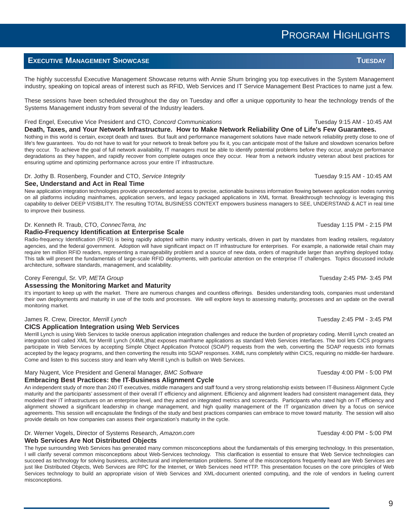### PROGRAM HIGHLIGHTS

### **EXECUTIVE MANAGEMENT SHOWCASE TUESDAY**

The highly successful Executive Management Showcase returns with Annie Shum bringing you top executives in the System Management industry, speaking on topical areas of interest such as RFID, Web Services and IT Service Management Best Practices to name just a few.

These sessions have been scheduled throughout the day on Tuesday and offer a unique opportunity to hear the technology trends of the Systems Management industry from several of the Industry leaders.

#### Fred Engel, Executive Vice President and CTO, *Concord Communications* Tuesday 9:15 AM - 10:45 AM

**Death, Taxes, and Your Network Infrastructure. How to Make Network Reliability One of Life's Few Guarantees.** Nothing in this world is certain, except death and taxes. But fault and performance management solutions have made network reliability pretty close to one of life's few guarantees. You do not have to wait for your network to break before you fix it, you can anticipate most of the failure and slowdown scenarios before they occur. To achieve the goal of full network availability, IT managers must be able to identify potential problems before they occur, analyze performance degradations as they happen, and rapidly recover from complete outages once they occur. Hear from a network industry veteran about best practices for ensuring uptime and optimizing performance across your entire IT infrastructure.

### Dr. Jothy B. Rosenberg, Founder and CTO, *Service Integrity* The Contract Contract Contract Contract Contract Contract Contract Contract Contract Contract Contract Contract Contract Contract Contract Contract Contract Cont

#### **See, Understand and Act in Real Time**

New application integration technologies provide unprecedented access to precise, actionable business information flowing between application nodes running on all platforms including mainframes, application servers, and legacy packaged applications in XML format. Breakthrough technology is leveraging this capability to deliver DEEP VISIBILITY. The resulting TOTAL BUSINESS CONTEXT empowers business managers to SEE, UNDERSTAND & ACT in real time to improve their business.

#### Dr. Kenneth R. Traub, CTO, *ConnecTerra, Inc* Tuesday 1:15 PM - 2:15 PM - 2:15 PM

#### **Radio-Frequency Identification at Enterprise Scale**

Radio-frequency Identification (RFID) is being rapidly adopted within many industry verticals, driven in part by mandates from leading retailers, regulatory agencies, and the federal government. Adoption will have significant impact on IT infrastructure for enterprises. For example, a nationwide retail chain may require ten million RFID readers, representing a manageability problem and a source of new data, orders of magnitude larger than anything deployed today. This talk will present the fundamentals of large-scale RFID deployments, with particular attention on the enterprise IT challenges. Topics discussed include architecture, software standards, management, and scalability.

#### Corey Ferengul, Sr. VP, *META Group* Tuesday 2:45 PM- 3:45 PM

#### **Assessing the Monitoring Market and Maturity**

It's important to keep up with the market. There are numerous changes and countless offerings. Besides understanding tools, companies must understand their own deployments and maturity in use of the tools and processes. We will explore keys to assessing maturity, processes and an update on the overall monitoring market.

#### James R. Crew, Director, *Merrill Lynch* Tuesday 2:45 PM - 3:45 PM

#### **CICS Application Integration using Web Services**

Merrill Lynch is using Web Services to tackle onerous application integration challenges and reduce the burden of proprietary coding. Merrill Lynch created an integration tool called XML for Merrill Lynch (X4ML)that exposes mainframe applications as standard Web Services interfaces. The tool lets CICS programs participate in Web Services by accepting Simple Object Application Protocol (SOAP) requests from the web, converting the SOAP requests into formats accepted by the legacy programs, and then converting the results into SOAP responses. X4ML runs completely within CICS, requiring no middle-tier hardware. Come and listen to this success story and learn why Merrill Lynch is bullish on Web Services.

### Mary Nugent, Vice President and General Manager, *BMC Software* Tuesday 4:00 PM - 5:00 PM - 5:00 PM

#### **Embracing Best Practices: the IT-Business Alignment Cycle**

An independent study of more than 240 IT executives, middle managers and staff found a very strong relationship exists between IT-Business Alignment Cycle maturity and the participants' assessment of their overall IT efficiency and alignment. Efficiency and alignment leaders had consistent management data, they modeled their IT infrastructures on an enterprise level, and they acted on integrated metrics and scorecards. Participants who rated high on IT efficiency and alignment showed a significant leadership in change management, and high quality management of the IT organization driven by a focus on service agreements. This session will encapsulate the findings of the study and best practices companies can embrace to move toward maturity. The session will also provide details on how companies can assess their organization's maturity in the cycle.

#### Dr. Werner Vogels, Director of Systems Research, *Amazon.com* Tuesday 4:00 PM - 5:00 PM

#### **Web Services Are Not Distributed Objects**

The hype surrounding Web Services has generated many common misconceptions about the fundamentals of this emerging technology. In this presentation, I will clarify several common misconceptions about Web-Services technology. This clarification is essential to ensure that Web Service technologies can succeed as technology for solving business, architectural and implementation problems. Some of the misconceptions frequently heard are Web Services are just like Distributed Objects, Web Services are RPC for the Internet, or Web Services need HTTP. This presentation focuses on the core principles of Web Services technology to build an appropriate vision of Web Services and XML-document oriented computing, and the role of vendors in fueling current misconceptions.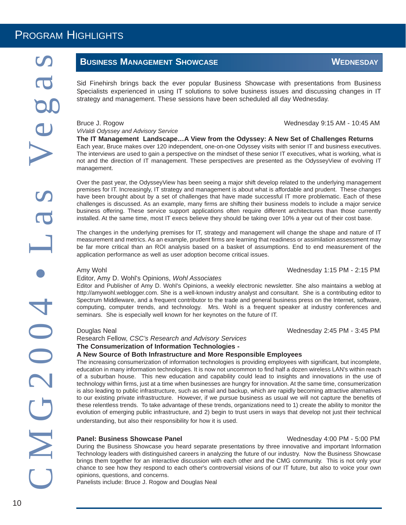### **BUSINESS MANAGEMENT SHOWCASE WEDNESDAY**

Sid Finehirsh brings back the ever popular Business Showcase with presentations from Business Specialists experienced in using IT solutions to solve business issues and discussing changes in IT strategy and management. These sessions have been scheduled all day Wednesday.

Bruce J. Rogow Wednesday 9:15 AM - 10:45 AM

*ViValdi Odyssey and Advisory Service*

**The IT Management Landscape…A View from the Odyssey: A New Set of Challenges Returns** Each year, Bruce makes over 120 independent, one-on-one Odyssey visits with senior IT and business executives. The interviews are used to gain a perspective on the mindset of these senior IT executives, what is working, what is not and the direction of IT management. These perspectives are presented as the OdysseyView of evolving IT management.

Over the past year, the OdysseyView has been seeing a major shift develop related to the underlying management premises for IT. Increasingly, IT strategy and management is about what is affordable and prudent. These changes have been brought about by a set of challenges that have made successful IT more problematic. Each of these challenges is discussed. As an example, many firms are shifting their business models to include a major service business offering. These service support applications often require different architectures than those currently installed. At the same time, most IT execs believe they should be taking over 10% a year out of their cost base.

The changes in the underlying premises for IT, strategy and management will change the shape and nature of IT measurement and metrics. As an example, prudent firms are learning that readiness or assimilation assessment may be far more critical than an ROI analysis based on a basket of assumptions. End to end measurement of the application performance as well as user adoption become critical issues.

#### Amy Wohl **Amy Wohl Community Community** Community Community Community Community Community Community Community Community Community Community Community Community Community Community Community Community Community Community Co

#### Editor, Amy D. Wohl's Opinions, *Wohl Associates*

Editor and Publisher of Amy D. Wohl's Opinions, a weekly electronic newsletter. She also maintains a weblog at http://amywohl.weblogger.com. She is a well-known industry analyst and consultant. She is a contributing editor to Spectrum Middleware, and a frequent contributor to the trade and general business press on the Internet, software, computing, computer trends, and technology. Mrs. Wohl is a frequent speaker at industry conferences and seminars. She is especially well known for her keynotes on the future of IT.

Research Fellow, *CSC's Research and Advisory Services* **The Consumerization of Information Technologies -** 

#### **A New Source of Both Infrastructure and More Responsible Employees**

The increasing consumerization of information technologies is providing employees with significant, but incomplete, education in many information technologies. It is now not uncommon to find half a dozen wireless LAN's within reach of a suburban house. This new education and capability could lead to insights and innovations in the use of technology within firms, just at a time when businesses are hungry for innovation. At the same time, consumerization is also leading to public infrastructure, such as email and backup, which are rapidly becoming attractive alternatives to our existing private infrastructure. However, if we pursue business as usual we will not capture the benefits of these relentless trends. To take advantage of these trends, organizations need to 1) create the ability to monitor the evolution of emerging public infrastructure, and 2) begin to trust users in ways that develop not just their technical understanding, but also their responsibility for how it is used.

#### **Panel: Business Showcase Panel Wednesday 4:00 PM - 5:00 PM**

During the Business Showcase you heard separate presentations by three innovative and important Information Technology leaders with distinguished careers in analyzing the future of our industry. Now the Business Showcase brings them together for an interactive discussion with each other and the CMG community. This is not only your chance to see how they respond to each other's controversial visions of our IT future, but also to voice your own opinions, questions, and concerns.

Panelists include: Bruce J. Rogow and Douglas Neal

Douglas Neal Wednesday 2:45 PM - 3:45 PM

10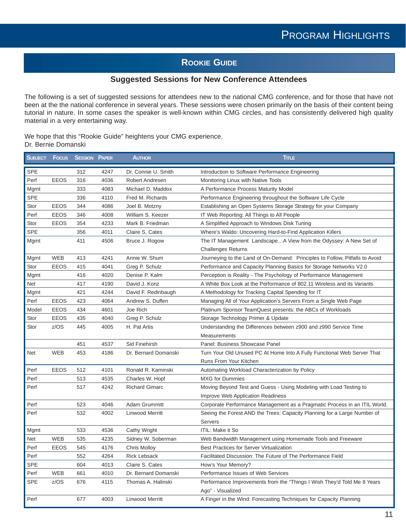### **ROOKIE GUIDE**

### **Suggested Sessions for New Conference Attendees**

The following is a set of suggested sessions for attendees new to the national CMG conference, and for those that have not been at the the national conference in several years. These sessions were chosen primarily on the basis of their content being tutorial in nature. In some cases the speaker is well-known within CMG circles, and has consistently delivered high quality material in a very entertaining way.

We hope that this "Rookie Guide" heightens your CMG experience. Dr. Bernie Domanski

| <b>SUBJECT</b> | Focus       | <b>SESSION PAPER</b> |      | <b>AUTHOR</b>          | Title                                                                        |
|----------------|-------------|----------------------|------|------------------------|------------------------------------------------------------------------------|
| SPE            |             | 312                  | 4247 | Dr. Connie U. Smith    | Introduction to Software Performance Engineering                             |
| Perf           | <b>EEOS</b> | 316                  | 4036 | Robert Andresen        | Monitoring Linux with Native Tools                                           |
| Mgmt           |             | 333                  | 4083 | Michael D. Maddox      | A Performance Process Maturity Model                                         |
| <b>SPE</b>     |             | 336                  | 4110 | Fred M. Richards       | Performance Engineering throughout the Software Life Cycle                   |
| Stor           | <b>EEOS</b> | 344                  | 4086 | Joel B. Motzny         | Establishing an Open Systems Storage Strategy for your Company               |
| Perf           | <b>EEOS</b> | 346                  | 4008 | William S. Keezer      | IT Web Reporting: All Things to All People                                   |
| Stor           | <b>EEOS</b> | 354                  | 4233 | Mark B. Friedman       | A Simplified Approach to Windows Disk Tuning                                 |
| <b>SPE</b>     |             | 356                  | 4011 | Claire S. Cates        | Where's Waldo: Uncovering Hard-to-Find Application Killers                   |
| Mgmt           |             | 411                  | 4506 | Bruce J. Rogow         | The IT Management LandscapeA View from the Odyssey: A New Set of             |
|                |             |                      |      |                        | <b>Challenges Returns</b>                                                    |
| Mgmt           | WEB         | 413                  | 4241 | Annie W. Shum          | Journeying to the Land of On-Demand: Principles to Follow, Pitfalls to Avoid |
| Stor           | <b>EEOS</b> | 415                  | 4041 | Greg P. Schulz         | Performance and Capacity Planning Basics for Storage Networks V2.0           |
| Mgmt           |             | 416                  | 4020 | Denise P. Kalm         | Perception is Reality - The Psychology of Performance Management             |
| <b>Net</b>     |             | 417                  | 4190 | David J. Konz          | A White Box Look at the Performance of 802.11 Wireless and its Variants      |
| Mgmt           |             | 421                  | 4244 | David F. Redinbaugh    | A Methodology for Tracking Capital Spending for IT                           |
| Perf           | <b>EEOS</b> | 423                  | 4064 | Andrew S. Duffen       | Managing All of Your Application's Servers From a Single Web Page            |
| Model          | <b>EEOS</b> | 434                  | 4601 | Joe Rich               | Platinum Sponsor TeamQuest presents: the ABCs of Workloads                   |
| Stor           | <b>EEOS</b> | 435                  | 4040 | Greg P. Schulz         | Storage Technology Primer & Update                                           |
| Stor           | z/OS        | 445                  | 4005 | H. Pat Artis           | Understanding the Differences between z900 and z990 Service Time             |
|                |             |                      |      |                        | Measurements                                                                 |
|                |             | 451                  | 4537 | Sid Finehirsh          | Panel: Business Showcase Panel                                               |
| Net            | <b>WEB</b>  | 453                  | 4186 | Dr. Bernard Domanski   | Turn Your Old Unused PC At Home Into A Fully Functional Web Server That      |
|                |             |                      |      |                        | Runs From Your Kitchen                                                       |
| Perf           | <b>EEOS</b> | 512                  | 4101 | Ronald R. Kaminski     | Automating Workload Characterization by Policy                               |
| Perf           |             | 513                  | 4535 | Charles W. Hopf        | <b>MXG</b> for Dummies                                                       |
| Perf           |             | 517                  | 4242 | <b>Richard Gimarc</b>  | Moving Beyond Test and Guess - Using Modeling with Load Testing to           |
|                |             |                      |      |                        | Improve Web Application Readiness                                            |
| Perf           |             | 523                  | 4046 | Adam Grummitt          | Corporate Performance Management as a Pragmatic Process in an ITIL World.    |
| Perf           |             | 532                  | 4002 | Linwood Merritt        | Seeing the Forest AND the Trees: Capacity Planning for a Large Number of     |
|                |             |                      |      |                        | <b>Servers</b>                                                               |
| Mgmt           |             | 533                  | 4536 | Cathy Wright           | ITIL: Make it So                                                             |
| <b>Net</b>     | <b>WEB</b>  | 535                  | 4235 | Sidney W. Soberman     | Web Bandwidth Management using Homemade Tools and Freeware                   |
| Perf           | <b>EEOS</b> | 545                  | 4176 | Chris Molloy           | <b>Best Practices for Server Virtualization</b>                              |
| Perf           |             | 552                  | 4264 | <b>Rick Lebsack</b>    | Facilitated Discussion: The Future of The Performance Field                  |
| <b>SPE</b>     |             | 604                  | 4013 | Claire S. Cates        | How's Your Memory?                                                           |
| Perf           | <b>WEB</b>  | 661                  | 4010 | Dr. Bernard Domanski   | Performance Issues of Web Services                                           |
| <b>SPE</b>     | z/OS        | 676                  | 4115 | Thomas A. Halinski     | Performance Improvements from the "Things I Wish They'd Told Me 8 Years      |
|                |             |                      |      |                        | Ago" - Visualized                                                            |
| Perf           |             | 677                  | 4003 | <b>Linwood Merritt</b> | A Finger in the Wind: Forecasting Techniques for Capacity Planning           |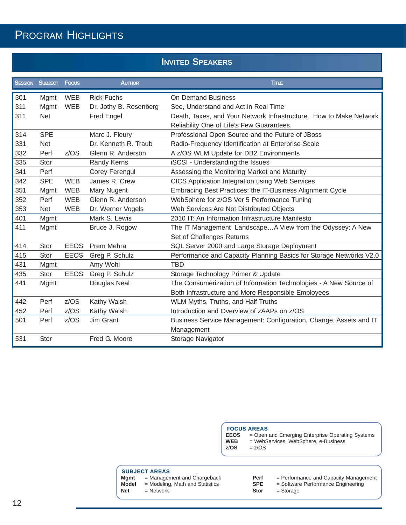### PROGRAM HIGHLIGHTS

### **INVITED SPEAKERS**

|     | <b>SESSION SUBJECT FOCUS</b> |             | <b>AUTHOR</b>          | <b>TITLE</b>                                                       |
|-----|------------------------------|-------------|------------------------|--------------------------------------------------------------------|
| 301 | Mgmt                         | <b>WEB</b>  | <b>Rick Fuchs</b>      | On Demand Business                                                 |
| 311 | Mgmt                         | <b>WEB</b>  | Dr. Jothy B. Rosenberg | See, Understand and Act in Real Time                               |
| 311 | <b>Net</b>                   |             | Fred Engel             | Death, Taxes, and Your Network Infrastructure. How to Make Network |
|     |                              |             |                        | Reliability One of Life's Few Guarantees.                          |
| 314 | <b>SPE</b>                   |             | Marc J. Fleury         | Professional Open Source and the Future of JBoss                   |
| 331 | <b>Net</b>                   |             | Dr. Kenneth R. Traub   | Radio-Frequency Identification at Enterprise Scale                 |
| 332 | Perf                         | z/OS        | Glenn R. Anderson      | A z/OS WLM Update for DB2 Environments                             |
| 335 | <b>Stor</b>                  |             | Randy Kerns            | iSCSI - Understanding the Issues                                   |
| 341 | Perf                         |             | Corey Ferengul         | Assessing the Monitoring Market and Maturity                       |
| 342 | <b>SPE</b>                   | <b>WEB</b>  | James R. Crew          | <b>CICS Application Integration using Web Services</b>             |
| 351 | Mgmt                         | <b>WEB</b>  | Mary Nugent            | Embracing Best Practices: the IT-Business Alignment Cycle          |
| 352 | Perf                         | <b>WEB</b>  | Glenn R. Anderson      | WebSphere for z/OS Ver 5 Performance Tuning                        |
| 353 | <b>Net</b>                   | <b>WEB</b>  | Dr. Werner Vogels      | Web Services Are Not Distributed Objects                           |
| 401 | Mgmt                         |             | Mark S. Lewis          | 2010 IT: An Information Infrastructure Manifesto                   |
| 411 | Mgmt                         |             | Bruce J. Rogow         | The IT Management LandscapeA View from the Odyssey: A New          |
|     |                              |             |                        | Set of Challenges Returns                                          |
| 414 | Stor                         | <b>EEOS</b> | Prem Mehra             | SQL Server 2000 and Large Storage Deployment                       |
| 415 | <b>Stor</b>                  | <b>EEOS</b> | Greg P. Schulz         | Performance and Capacity Planning Basics for Storage Networks V2.0 |
| 431 | Mgmt                         |             | Amy Wohl               | <b>TBD</b>                                                         |
| 435 | Stor                         | <b>EEOS</b> | Greg P. Schulz         | Storage Technology Primer & Update                                 |
| 441 | Mgmt                         |             | Douglas Neal           | The Consumerization of Information Technologies - A New Source of  |
|     |                              |             |                        | Both Infrastructure and More Responsible Employees                 |
| 442 | Perf                         | z/OS        | Kathy Walsh            | WLM Myths, Truths, and Half Truths                                 |
| 452 | Perf                         | z/OS        | Kathy Walsh            | Introduction and Overview of zAAPs on z/OS                         |
| 501 | Perf                         | z/OS        | Jim Grant              | Business Service Management: Configuration, Change, Assets and IT  |
|     |                              |             |                        | Management                                                         |
| 531 | Stor                         |             | Fred G. Moore          | Storage Navigator                                                  |

**FOCUS AREAS**

- **EEOS** = Open and Emerging Enterprise Operating Systems<br>**WEB** = WebServices, WebSphere, e-Business
- **WEB** = WebServices, WebSphere, e-Business<br>**z/OS** = z/OS
	- **z/OS** = z/OS

**SUBJECT AREAS**<br>**Mgmt** = Managen **Mgmt** = Management and Chargeback **Model** = Modeling, Math and Statistics

**Net** = Network

- - **Perf** = Performance and Capacity Management **SPE** = Software Performance Engineering
		-
	- **Stor** = Storage

12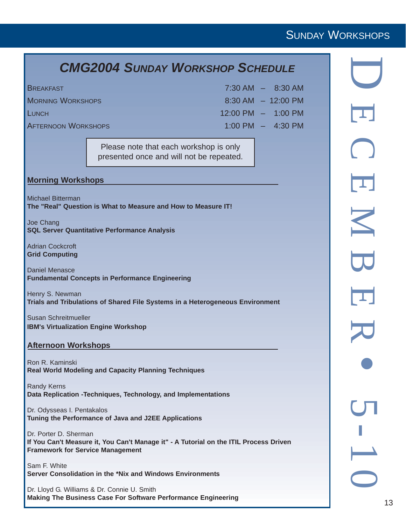### *CMG2004 SUNDAY WORKSHOP SCHEDULE*

| <b>BREAKFAST</b>           | $7:30$ AM $-$ 8:30 AM                 |
|----------------------------|---------------------------------------|
| <b>MORNING WORKSHOPS</b>   | $8:30 \text{ AM } - 12:00 \text{ PM}$ |
| <b>LUNCH</b>               | $12:00 \text{ PM} - 1:00 \text{ PM}$  |
| <b>AFTERNOON WORKSHOPS</b> | $1:00$ PM $-$ 4:30 PM                 |

Please note that each workshop is only presented once and will not be repeated.

#### **Morning Workshops**

Michael Bitterman **The "Real" Question is What to Measure and How to Measure IT!**

Joe Chang **SQL Server Quantitative Performance Analysis**

Adrian Cockcroft **Grid Computing**

Daniel Menasce **Fundamental Concepts in Performance Engineering**

Henry S. Newman **Trials and Tribulations of Shared File Systems in a Heterogeneous Environment**

Susan Schreitmueller **IBM's Virtualization Engine Workshop**

#### **Afternoon Workshops**

Ron R. Kaminski **Real World Modeling and Capacity Planning Techniques**

Randy Kerns **Data Replication -Techniques, Technology, and Implementations**

Dr. Odysseas I. Pentakalos **Tuning the Performance of Java and J2EE Applications**

Dr. Porter D. Sherman **If You Can't Measure it, You Can't Manage it" - A Tutorial on the ITIL Process Driven Framework for Service Management**

Sam F. White **Server Consolidation in the \*Nix and Windows Environments**

Dr. Lloyd G. Williams & Dr. Connie U. Smith **Making The Business Case For Software Performance Engineering**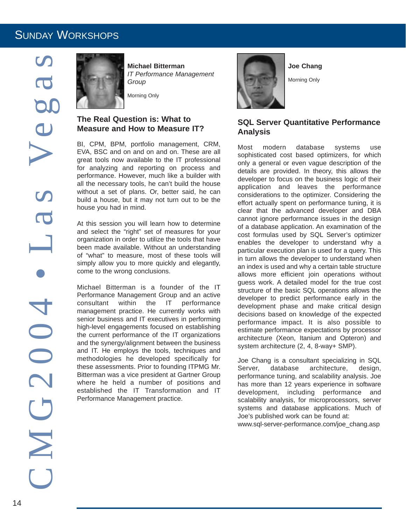

**Michael Bitterman** *IT Performance Management Group*

Morning Only

### **The Real Question is: What to Measure and How to Measure IT?**

BI, CPM, BPM, portfolio management, CRM, EVA, BSC and on and on and on. These are all great tools now available to the IT professional for analyzing and reporting on process and performance. However, much like a builder with all the necessary tools, he can't build the house without a set of plans. Or, better said, he can build a house, but it may not turn out to be the house you had in mind.

At this session you will learn how to determine and select the "right" set of measures for your organization in order to utilize the tools that have been made available. Without an understanding of "what" to measure, most of these tools will simply allow you to more quickly and elegantly, come to the wrong conclusions.

Michael Bitterman is a founder of the IT Performance Management Group and an active consultant within the IT performance management practice. He currently works with senior business and IT executives in performing high-level engagements focused on establishing the current performance of the IT organizations and the synergy/alignment between the business and IT. He employs the tools, techniques and methodologies he developed specifically for these assessments. Prior to founding ITPMG Mr. Bitterman was a vice president at Gartner Group where he held a number of positions and established the IT Transformation and IT Performance Management practice.



**Joe Chang**

Morning Only

### **SQL Server Quantitative Performance Analysis**

Most modern database systems use sophisticated cost based optimizers, for which only a general or even vague description of the details are provided. In theory, this allows the developer to focus on the business logic of their application and leaves the performance considerations to the optimizer. Considering the effort actually spent on performance tuning, it is clear that the advanced developer and DBA cannot ignore performance issues in the design of a database application. An examination of the cost formulas used by SQL Server's optimizer enables the developer to understand why a particular execution plan is used for a query. This in turn allows the developer to understand when an index is used and why a certain table structure allows more efficient join operations without guess work. A detailed model for the true cost structure of the basic SQL operations allows the developer to predict performance early in the development phase and make critical design decisions based on knowledge of the expected performance impact. It is also possible to estimate performance expectations by processor architecture (Xeon, Itanium and Opteron) and system architecture (2, 4, 8-way+ SMP).

Joe Chang is a consultant specializing in SQL Server, database architecture, design, performance tuning, and scalability analysis. Joe has more than 12 years experience in software development, including performance and scalability analysis, for microprocessors, server systems and database applications. Much of Joe's published work can be found at:

www.sql-server-performance.com/joe\_chang.asp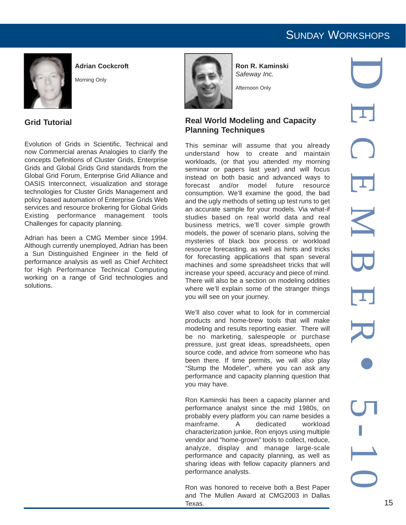

**Adrian Cockcroft**

Morning Only



**Ron R. Kaminski** *Safeway Inc.*

Afternoon Only

### **Grid Tutorial**

Evolution of Grids in Scientific, Technical and now Commercial arenas Analogies to clarify the concepts Definitions of Cluster Grids, Enterprise Grids and Global Grids Grid standards from the Global Grid Forum, Enterprise Grid Alliance and OASIS Interconnect, visualization and storage technologies for Cluster Grids Management and policy based automation of Enterprise Grids Web services and resource brokering for Global Grids Existing performance management tools Challenges for capacity planning.

Adrian has been a CMG Member since 1994. Although currently unemployed, Adrian has been a Sun Distinguished Engineer in the field of performance analysis as well as Chief Architect for High Performance Technical Computing working on a range of Grid technologies and solutions.

#### **Real World Modeling and Capacity Planning Techniques**

This seminar will assume that you already understand how to create and maintain workloads, (or that you attended my morning seminar or papers last year) and will focus instead on both basic and advanced ways to forecast and/or model future resource consumption. We'll examine the good, the bad and the ugly methods of setting up test runs to get an accurate sample for your models. Via what-if studies based on real world data and real business metrics, we'll cover simple growth models, the power of scenario plans, solving the mysteries of black box process or workload resource forecasting, as well as hints and tricks for forecasting applications that span several machines and some spreadsheet tricks that will increase your speed, accuracy and piece of mind. There will also be a section on modeling oddities where we'll explain some of the stranger things you will see on your journey.

We'll also cover what to look for in commercial products and home-brew tools that will make modeling and results reporting easier. There will be no marketing, salespeople or purchase pressure, just great ideas, spreadsheets, open source code, and advice from someone who has been there. If time permits, we will also play "Stump the Modeler", where you can ask any performance and capacity planning question that you may have.

Ron Kaminski has been a capacity planner and performance analyst since the mid 1980s, on probably every platform you can name besides a mainframe. A dedicated workload characterization junkie, Ron enjoys using multiple vendor and "home-grown" tools to collect, reduce, analyze, display and manage large-scale performance and capacity planning, as well as sharing ideas with fellow capacity planners and performance analysts.

Ron was honored to receive both a Best Paper and The Mullen Award at CMG2003 in Dallas Texas.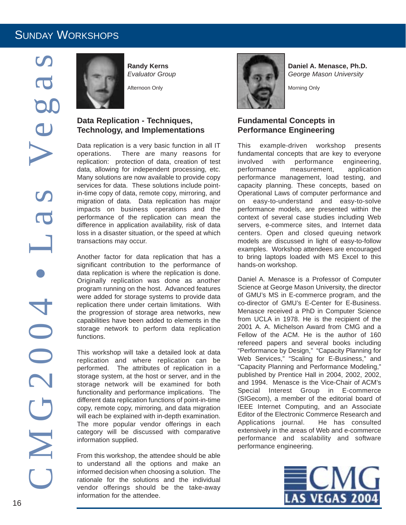

**Randy Kerns** *Evaluator Group*

Afternoon Only

### **Data Replication - Techniques, Technology, and Implementations**

Data replication is a very basic function in all IT operations. There are many reasons for replication: protection of data, creation of test data, allowing for independent processing, etc. Many solutions are now available to provide copy services for data. These solutions include pointin-time copy of data, remote copy, mirroring, and migration of data. Data replication has major impacts on business operations and the performance of the replication can mean the difference in application availability, risk of data loss in a disaster situation, or the speed at which transactions may occur.

Another factor for data replication that has a significant contribution to the performance of data replication is where the replication is done. Originally replication was done as another program running on the host. Advanced features were added for storage systems to provide data replication there under certain limitations. With the progression of storage area networks, new capabilities have been added to elements in the storage network to perform data replication functions.

This workshop will take a detailed look at data replication and where replication can be performed. The attributes of replication in a storage system, at the host or server, and in the storage network will be examined for both functionality and performance implications. The different data replication functions of point-in-time copy, remote copy, mirroring, and data migration will each be explained with in-depth examination. The more popular vendor offerings in each category will be discussed with comparative information supplied.

From this workshop, the attendee should be able to understand all the options and make an informed decision when choosing a solution. The rationale for the solutions and the individual vendor offerings should be the take-away information for the attendee.



**Daniel A. Menasce, Ph.D.** *George Mason University*

Morning Only

### **Fundamental Concepts in Performance Engineering**

This example-driven workshop presents fundamental concepts that are key to everyone involved with performance engineering, performance measurement, application performance management, load testing, and capacity planning. These concepts, based on Operational Laws of computer performance and on easy-to-understand and easy-to-solve performance models, are presented within the context of several case studies including Web servers, e-commerce sites, and Internet data centers. Open and closed queuing network models are discussed in light of easy-to-follow examples. Workshop attendees are encouraged to bring laptops loaded with MS Excel to this hands-on workshop.

Daniel A. Menasce is a Professor of Computer Science at George Mason University, the director of GMU's MS in E-commerce program, and the co-director of GMU's E-Center for E-Business. Menasce received a PhD in Computer Science from UCLA in 1978. He is the recipient of the 2001 A. A. Michelson Award from CMG and a Fellow of the ACM. He is the author of 160 refereed papers and several books including "Performance by Design," "Capacity Planning for Web Services," "Scaling for E-Business," and "Capacity Planning and Performance Modeling," published by Prentice Hall in 2004, 2002, 2002, and 1994. Menasce is the Vice-Chair of ACM's Special Interest Group in E-commerce (SIGecom), a member of the editorial board of IEEE Internet Computing, and an Associate Editor of the Electronic Commerce Research and Applications journal. He has consulted extensively in the areas of Web and e-commerce performance and scalability and software performance engineering.

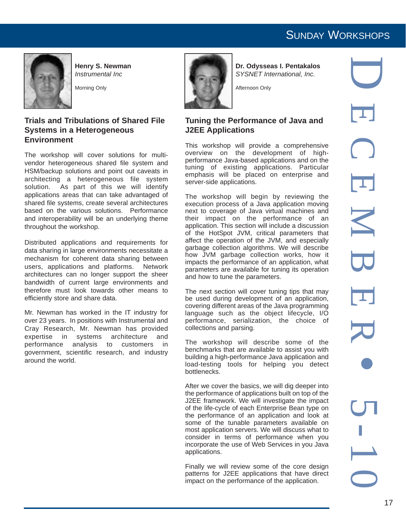

**Environment** 

throughout the workshop.

efficiently store and share data.

around the world.

**Henry S. Newman** *Instrumental Inc*

Morning Only

**Trials and Tribulations of Shared File**

The workshop will cover solutions for multivendor heterogeneous shared file system and HSM/backup solutions and point out caveats in architecting a heterogeneous file system solution. As part of this we will identify applications areas that can take advantaged of shared file systems, create several architectures based on the various solutions. Performance and interoperability will be an underlying theme

Distributed applications and requirements for data sharing in large environments necessitate a mechanism for coherent data sharing between users, applications and platforms. Network architectures can no longer support the sheer bandwidth of current large environments and therefore must look towards other means to

Mr. Newman has worked in the IT industry for over 23 years. In positions with Instrumental and Cray Research, Mr. Newman has provided expertise in systems architecture and performance analysis to customers in government, scientific research, and industry

**Systems in a Heterogeneous**



**Dr. Odysseas I. Pentakalos** *SYSNET International, Inc.*

Afternoon Only

#### **Tuning the Performance of Java and J2EE Applications**

This workshop will provide a comprehensive overview on the development of highperformance Java-based applications and on the tuning of existing applications. Particular emphasis will be placed on enterprise and server-side applications.

The workshop will begin by reviewing the execution process of a Java application moving next to coverage of Java virtual machines and their impact on the performance of an application. This section will include a discussion of the HotSpot JVM, critical parameters that affect the operation of the JVM, and especially garbage collection algorithms. We will describe how JVM garbage collection works, how it impacts the performance of an application, what parameters are available for tuning its operation and how to tune the parameters.

The next section will cover tuning tips that may be used during development of an application, covering different areas of the Java programming language such as the object lifecycle, I/O performance, serialization, the choice of collections and parsing.

The workshop will describe some of the benchmarks that are available to assist you with building a high-performance Java application and load-testing tools for helping you detect bottlenecks.

After we cover the basics, we will dig deeper into the performance of applications built on top of the J2EE framework. We will investigate the impact of the life-cycle of each Enterprise Bean type on the performance of an application and look at some of the tunable parameters available on most application servers. We will discuss what to consider in terms of performance when you incorporate the use of Web Services in you Java applications.

Finally we will review some of the core design patterns for J2EE applications that have direct impact on the performance of the application.

D ECEMBER • 5-10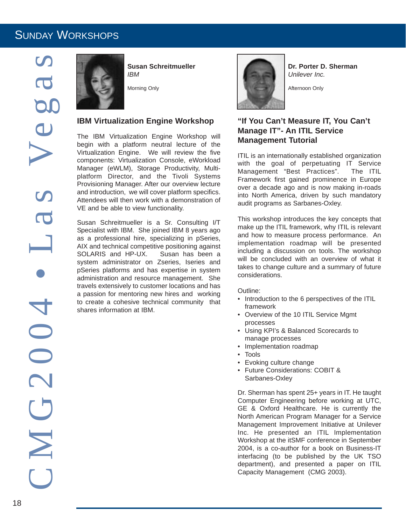

**Susan Schreitmueller** *IBM*

Morning Only

#### **IBM Virtualization Engine Workshop**

The IBM Virtualization Engine Workshop will begin with a platform neutral lecture of the Virtualization Engine. We will review the five components: Virtualization Console, eWorkload Manager (eWLM), Storage Productivity, Multiplatform Director, and the Tivoli Systems Provisioning Manager. After our overview lecture and introduction, we will cover platform specifics. Attendees will then work with a demonstration of VE and be able to view functionality.

Susan Schreitmueller is a Sr. Consulting I/T Specialist with IBM. She joined IBM 8 years ago as a professional hire, specializing in pSeries, AIX and technical competitive positioning against SOLARIS and HP-UX. Susan has been a system administrator on Zseries, Iseries and pSeries platforms and has expertise in system administration and resource management. She travels extensively to customer locations and has a passion for mentoring new hires and working to create a cohesive technical community that shares information at IBM.



**Dr. Porter D. Sherman** *Unilever Inc.*

Afternoon Only

### **"If You Can't Measure IT, You Can't Manage IT"- An ITIL Service Management Tutorial**

ITIL is an internationally established organization with the goal of perpetuating IT Service Management "Best Practices". The ITIL Framework first gained prominence in Europe over a decade ago and is now making in-roads into North America, driven by such mandatory audit programs as Sarbanes-Oxley.

This workshop introduces the key concepts that make up the ITIL framework, why ITIL is relevant and how to measure process performance. An implementation roadmap will be presented including a discussion on tools. The workshop will be concluded with an overview of what it takes to change culture and a summary of future considerations.

Outline:

- Introduction to the 6 perspectives of the ITIL framework
- Overview of the 10 ITIL Service Mgmt processes
- Using KPI's & Balanced Scorecards to manage processes
- Implementation roadmap
- Tools
- Evoking culture change
- Future Considerations: COBIT & Sarbanes-Oxley

Dr. Sherman has spent 25+ years in IT. He taught Computer Engineering before working at UTC, GE & Oxford Healthcare. He is currently the North American Program Manager for a Service Management Improvement Initiative at Unilever Inc. He presented an ITIL Implementation Workshop at the itSMF conference in September 2004, is a co-author for a book on Business-IT interfacing (to be published by the UK TSO department), and presented a paper on ITIL Capacity Management (CMG 2003).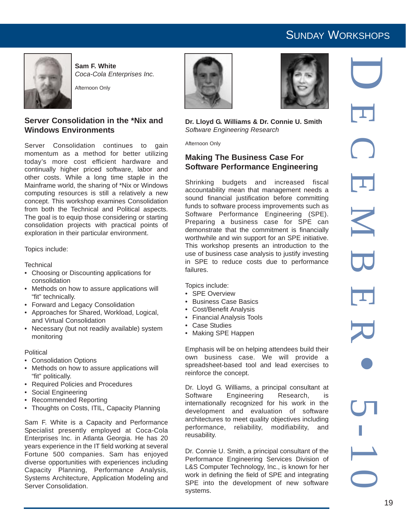

**Sam F. White** *Coca-Cola Enterprises Inc.*

Afternoon Only

### **Server Consolidation in the \*Nix and Windows Environments**

Server Consolidation continues to gain momentum as a method for better utilizing today's more cost efficient hardware and continually higher priced software, labor and other costs. While a long time staple in the Mainframe world, the sharing of \*Nix or Windows computing resources is still a relatively a new concept. This workshop examines Consolidation from both the Technical and Political aspects. The goal is to equip those considering or starting consolidation projects with practical points of exploration in their particular environment.

Topics include:

**Technical** 

- Choosing or Discounting applications for consolidation
- Methods on how to assure applications will "fit" technically.
- Forward and Legacy Consolidation
- Approaches for Shared, Workload, Logical, and Virtual Consolidation
- Necessary (but not readily available) system monitoring

#### **Political**

- Consolidation Options
- Methods on how to assure applications will "fit" politically.
- Required Policies and Procedures
- Social Engineering
- Recommended Reporting
- Thoughts on Costs, ITIL, Capacity Planning

Sam F. White is a Capacity and Performance Specialist presently employed at Coca-Cola Enterprises Inc. in Atlanta Georgia. He has 20 years experience in the IT field working at several Fortune 500 companies. Sam has enjoyed diverse opportunities with experiences including Capacity Planning, Performance Analysis, Systems Architecture, Application Modeling and Server Consolidation.





**Dr. Lloyd G. Williams & Dr. Connie U. Smith** *Software Engineering Research*

Afternoon Only

### **Making The Business Case For Software Performance Engineering**

Shrinking budgets and increased fiscal accountability mean that management needs a sound financial justification before committing funds to software process improvements such as Software Performance Engineering (SPE). Preparing a business case for SPE can demonstrate that the commitment is financially worthwhile and win support for an SPE initiative. This workshop presents an introduction to the use of business case analysis to justify investing in SPE to reduce costs due to performance failures.

Topics include:

- SPE Overview
- Business Case Basics
- Cost/Benefit Analysis
- Financial Analysis Tools
- Case Studies
- Making SPE Happen

Emphasis will be on helping attendees build their own business case. We will provide a spreadsheet-based tool and lead exercises to reinforce the concept.

Dr. Lloyd G. Williams, a principal consultant at Software Engineering Research, is internationally recognized for his work in the development and evaluation of software architectures to meet quality objectives including performance, reliability, modifiability, and reusability.

Dr. Connie U. Smith, a principal consultant of the Performance Engineering Services Division of L&S Computer Technology, Inc., is known for her work in defining the field of SPE and integrating SPE into the development of new software systems.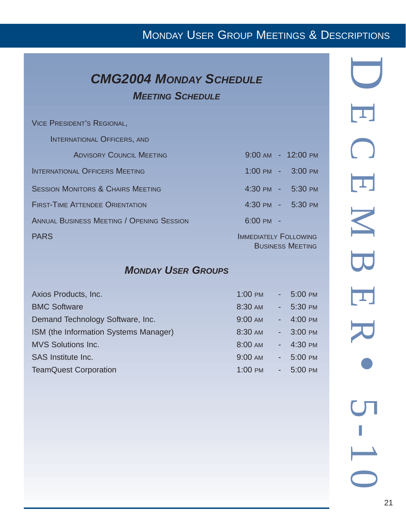# MONDAY USER GROUP MEETINGS & DESCRIPTIONS

## *CMG2004 MONDAY SCHEDULE MEETING SCHEDULE*

VICE PRESIDENT'S REGIONAL,

INTERNATIONAL OFFICERS, AND

| <b>ADVISORY COUNCIL MEETING</b>                  | 9:00 AM - 12:00 PM                                      |
|--------------------------------------------------|---------------------------------------------------------|
| <b>INTERNATIONAL OFFICERS MEETING</b>            | 1:00 PM - 3:00 PM                                       |
| <b>SESSION MONITORS &amp; CHAIRS MEETING</b>     | 4:30 PM - 5:30 PM                                       |
| <b>FIRST-TIME ATTENDEE ORIENTATION</b>           | 4:30 PM - 5:30 PM                                       |
| <b>ANNUAL BUSINESS MEETING / OPENING SESSION</b> | $6:00 \, \text{PM}$ -                                   |
| <b>PARS</b>                                      | <b>IMMEDIATELY FOLLOWING</b><br><b>BUSINESS MEETING</b> |

### *MONDAY USER GROUPS*

| Axios Products, Inc.                  | $1:00$ PM | 5:00 PM            |
|---------------------------------------|-----------|--------------------|
| <b>BMC Software</b>                   | 8:30 AM   | $-5:30$ PM         |
| Demand Technology Software, Inc.      | 9:00 AM   | $-4:00 \text{ PM}$ |
| ISM (the Information Systems Manager) | 8:30 AM   | $-3:00$ PM         |
| <b>MVS Solutions Inc.</b>             | 8:00 AM   | $-4:30$ PM         |
| SAS Institute Inc.                    | 9:00 AM   | 5:00 PM            |
| <b>TeamQuest Corporation</b>          | 1:00 PM   | $-5:00 \text{ PM}$ |
|                                       |           |                    |

| $\overline{\mathbf{L}}$  |
|--------------------------|
| $\bigcap$                |
| $\overline{\mathbf{L}}$  |
| $\blacktriangleright$    |
| $\overline{\mathbf{C}}$  |
| $\overline{\mathbf{L}}$  |
| 70                       |
|                          |
| S                        |
| $\overline{\phantom{0}}$ |
| $\overline{\mathbb{R}}$  |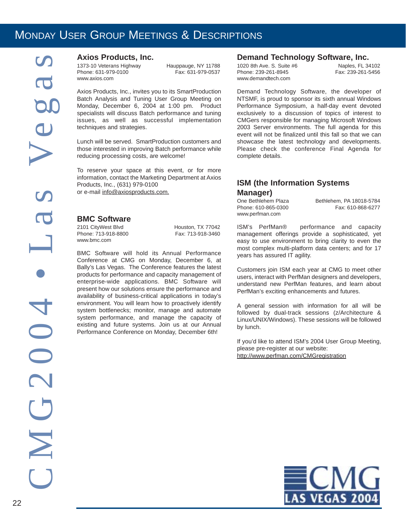### MONDAY USER GROUP MEETINGS & DESCRIPTIONS

#### **Axios Products, Inc.**

1373-10 Veterans Highway Hauppauge, NY 11788 Phone: 631-979-0100 www.axios.com

Axios Products, Inc., invites you to its SmartProduction Batch Analysis and Tuning User Group Meeting on Monday, December 6, 2004 at 1:00 pm. Product specialists will discuss Batch performance and tuning issues, as well as successful implementation techniques and strategies.

Lunch will be served. SmartProduction customers and those interested in improving Batch performance while reducing processing costs, are welcome!

To reserve your space at this event, or for more information, contact the Marketing Department at Axios Products, Inc., (631) 979-0100 or e-mail info@axiosproducts.com.

#### **BMC Software**

2101 CityWest Blvd<br>
Phone: 713-918-8800<br>
Fax: 713-918-3460 Phone: 713-918-8800 www.bmc.com

BMC Software will hold its Annual Performance Conference at CMG on Monday, December 6, at Bally's Las Vegas. The Conference features the latest products for performance and capacity management of enterprise-wide applications. BMC Software will present how our solutions ensure the performance and availability of business-critical applications in today's environment. You will learn how to proactively identify system bottlenecks; monitor, manage and automate system performance, and manage the capacity of existing and future systems. Join us at our Annual Performance Conference on Monday, December 6th!

#### **Demand Technology Software, Inc.**

1020 8th Ave. S. Suite #6 **Naples, FL 34102**<br>Phone: 239-261-8945 **Naples** Fax: 239-261-5456 Phone: 239-261-8945 www.demandtech.com

Demand Technology Software, the developer of NTSMF, is proud to sponsor its sixth annual Windows Performance Symposium, a half-day event devoted exclusively to a discussion of topics of interest to CMGers responsible for managing Microsoft Windows 2003 Server environments. The full agenda for this event will not be finalized until this fall so that we can showcase the latest technology and developments. Please check the conference Final Agenda for complete details.

### **ISM (the Information Systems Manager)**

Phone: 610-865-0300 www.perfman.com

One Bethlehem Plaza Bethlehem, PA 18018-5784

ISM's PerfMan® performance and capacity management offerings provide a sophisticated, yet easy to use environment to bring clarity to even the most complex multi-platform data centers; and for 17 years has assured IT agility.

Customers join ISM each year at CMG to meet other users, interact with PerfMan designers and developers, understand new PerfMan features, and learn about PerfMan's exciting enhancements and futures.

A general session with information for all will be followed by dual-track sessions (z/Architecture & Linux/UNIX/Windows). These sessions will be followed by lunch.

If you'd like to attend ISM's 2004 User Group Meeting, please pre-register at our website: http://www.perfman.com/CMGregistration

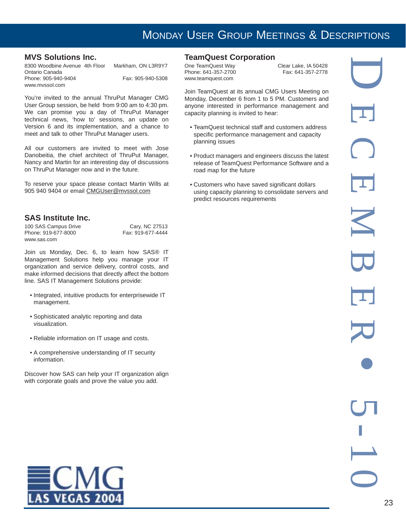### MONDAY USER GROUP MEETINGS & DESCRIPTIONS

### **MVS Solutions Inc.**

| 8300 Woodbine Avenue 4th Floor | Markham, ON L3R9Y7 |
|--------------------------------|--------------------|
| Ontario Canada                 |                    |
| Phone: 905-940-9404            | Fax: 905-940-5308  |
| www.myssol.com                 |                    |

You're invited to the annual ThruPut Manager CMG User Group session, be held from 9:00 am to 4:30 pm. We can promise you a day of ThruPut Manager technical news, 'how to' sessions, an update on Version 6 and its implementation, and a chance to meet and talk to other ThruPut Manager users.

All our customers are invited to meet with Jose Danobeitia, the chief architect of ThruPut Manager, Nancy and Martin for an interesting day of discussions on ThruPut Manager now and in the future.

To reserve your space please contact Martin Wills at 905 940 9404 or email CMGUser@mvssol.com

### **SAS Institute Inc.**

100 SAS Campus Drive<br>
Phone: 919-677-8000<br>
Fax: 919-677-4444 Phone: 919-677-8000 www.sas.com

Join us Monday, Dec. 6, to learn how SAS® IT Management Solutions help you manage your IT organization and service delivery, control costs, and make informed decisions that directly affect the bottom line. SAS IT Management Solutions provide:

- Integrated, intuitive products for enterprisewide IT management.
- Sophisticated analytic reporting and data visualization.
- Reliable information on IT usage and costs.
- A comprehensive understanding of IT security information.

Discover how SAS can help your IT organization align with corporate goals and prove the value you add.



### **TeamQuest Corporation**<br>One TeamQuest Way

Phone: 641-357-2700 www.teamquest.com

Clear Lake, IA 50428<br>Fax: 641-357-2778

Join TeamQuest at its annual CMG Users Meeting on Monday, December 6 from 1 to 5 PM. Customers and anyone interested in performance management and capacity planning is invited to hear:

- TeamQuest technical staff and customers address specific performance management and capacity planning issues
- Product managers and engineers discuss the latest release of TeamQuest Performance Software and a road map for the future
- Customers who have saved significant dollars using capacity planning to consolidate servers and predict resources requirements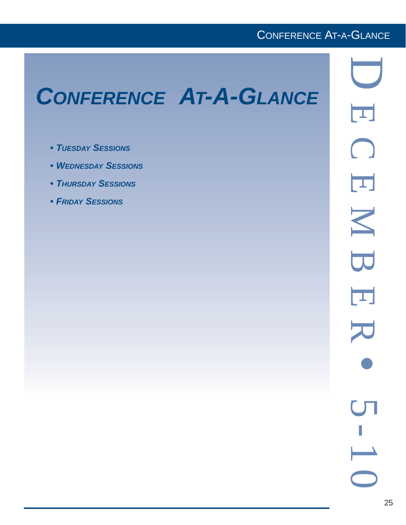### CONFERENCE AT-A-GLANCE

# *CONFERENCE AT-A-GLANCE*

- *TUESDAY SESSIONS*
- *WEDNESDAY SESSIONS*
- *THURSDAY SESSIONS*
- *FRIDAY SESSIONS*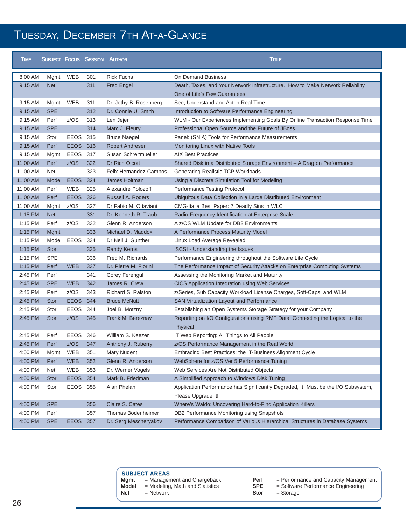# TUESDAY, DECEMBER 7TH AT-A-GLANCE

| <b>TIME</b> |             |             |     | <b>SUBJECT FOCUS SESSION AUTHOR</b> | <b>TITLE</b>                                                                                            |
|-------------|-------------|-------------|-----|-------------------------------------|---------------------------------------------------------------------------------------------------------|
| 8:00 AM     | Mgmt        | WEB         | 301 | <b>Rick Fuchs</b>                   | On Demand Business                                                                                      |
| 9:15 AM     | <b>Net</b>  |             | 311 | <b>Fred Engel</b>                   | Death, Taxes, and Your Network Infrastructure. How to Make Network Reliability                          |
|             |             |             |     |                                     | One of Life's Few Guarantees.                                                                           |
| 9:15 AM     | Mgmt        | WEB         | 311 | Dr. Jothy B. Rosenberg              | See, Understand and Act in Real Time                                                                    |
| 9:15 AM     | <b>SPE</b>  |             | 312 | Dr. Connie U. Smith                 | Introduction to Software Performance Engineering                                                        |
| 9:15 AM     | Perf        | z/OS        | 313 | Len Jejer                           | WLM - Our Experiences Implementing Goals By Online Transaction Response Time                            |
| 9:15 AM     | <b>SPE</b>  |             | 314 | Marc J. Fleury                      | Professional Open Source and the Future of JBoss                                                        |
| 9:15 AM     | Stor        | <b>EEOS</b> | 315 | <b>Bruce Naegel</b>                 | Panel: (SNIA) Tools for Performance Measurements                                                        |
| 9:15 AM     | Perf        | <b>EEOS</b> | 316 | <b>Robert Andresen</b>              | Monitoring Linux with Native Tools                                                                      |
| 9:15 AM     | Mgmt        | EEOS        | 317 | Susan Schreitmueller                | <b>AIX Best Practices</b>                                                                               |
| 11:00 AM    | Perf        | z/OS        | 322 | Dr Rich Olcott                      | Shared Disk in a Distributed Storage Environment - A Drag on Performance                                |
| 11:00 AM    | Net         |             | 323 | Felix Hernandez-Campos              | <b>Generating Realistic TCP Workloads</b>                                                               |
| 11:00 AM    | Model       | <b>EEOS</b> | 324 | James Holtman                       | Using a Discrete Simulation Tool for Modeling                                                           |
| 11:00 AM    | Perf        | <b>WEB</b>  | 325 | Alexandre Polozoff                  | Performance Testing Protocol                                                                            |
| 11:00 AM    | Perf        | <b>EEOS</b> | 326 | Russell A. Rogers                   | Ubiquitous Data Collection in a Large Distributed Environment                                           |
| 11:00 AM    | Mgmt        | z/OS        | 327 | Dr Fabio M. Ottaviani               | CMG-Italia Best Paper: 7 Deadly Sins in WLC                                                             |
| 1:15 PM     | <b>Net</b>  |             | 331 | Dr. Kenneth R. Traub                | Radio-Frequency Identification at Enterprise Scale                                                      |
| 1:15 PM     | Perf        | z/OS        | 332 | Glenn R. Anderson                   | A z/OS WLM Update for DB2 Environments                                                                  |
| 1:15 PM     | Mgmt        |             | 333 | Michael D. Maddox                   | A Performance Process Maturity Model                                                                    |
| 1:15 PM     | Model       | EEOS        | 334 | Dr Neil J. Gunther                  | Linux Load Average Revealed                                                                             |
| 1:15 PM     | <b>Stor</b> |             | 335 | <b>Randy Kerns</b>                  | iSCSI - Understanding the Issues                                                                        |
| 1:15 PM     | <b>SPE</b>  |             | 336 | Fred M. Richards                    | Performance Engineering throughout the Software Life Cycle                                              |
| 1:15 PM     | Perf        | <b>WEB</b>  | 337 | Dr. Pierre M. Fiorini               | The Performance Impact of Security Attacks on Enterprise Computing Systems                              |
| 2:45 PM     | Perf        |             | 341 | Corey Ferengul                      | Assessing the Monitoring Market and Maturity                                                            |
| 2:45 PM     | <b>SPE</b>  | <b>WEB</b>  | 342 | James R. Crew                       | <b>CICS Application Integration using Web Services</b>                                                  |
| 2:45 PM     | Perf        | z/OS        | 343 | Richard S. Ralston                  | z/Series, Sub Capacity Workload License Charges, Soft-Caps, and WLM                                     |
| 2:45 PM     | <b>Stor</b> | <b>EEOS</b> | 344 | <b>Bruce McNutt</b>                 | SAN Virtualization Layout and Performance                                                               |
| 2:45 PM     | Stor        | <b>EEOS</b> | 344 | Joel B. Motzny                      | Establishing an Open Systems Storage Strategy for your Company                                          |
| 2:45 PM     | <b>Stor</b> | z/OS        | 345 | Frank M. Bereznay                   | Reporting on I/O Configurations using RMF Data: Connecting the Logical to the<br>Physical               |
| 2:45 PM     | Perf        | <b>EEOS</b> | 346 | William S. Keezer                   | IT Web Reporting: All Things to All People                                                              |
| 2:45 PM     | Perf        | z/OS        | 347 | Anthony J. Ruberry                  | z/OS Performance Management in the Real World                                                           |
| 4:00 PM     | Mgmt        | WEB         | 351 | Mary Nugent                         | Embracing Best Practices: the IT-Business Alignment Cycle                                               |
| 4:00 PM     | Perf        | <b>WEB</b>  | 352 | Glenn R. Anderson                   | WebSphere for z/OS Ver 5 Performance Tuning                                                             |
| 4:00 PM     | Net         | WEB         | 353 | Dr. Werner Vogels                   | Web Services Are Not Distributed Objects                                                                |
| 4:00 PM     | <b>Stor</b> | <b>EEOS</b> | 354 | Mark B. Friedman                    | A Simplified Approach to Windows Disk Tuning                                                            |
| 4:00 PM     | Stor        | EEOS        | 355 | Alan Phelan                         | Application Performance has Significantly Degraded, It Must be the I/O Subsystem,<br>Please Upgrade It! |
| 4:00 PM     | <b>SPE</b>  |             | 356 | Claire S. Cates                     | Where's Waldo: Uncovering Hard-to-Find Application Killers                                              |
| 4:00 PM     | Perf        |             | 357 | Thomas Bodenheimer                  | DB2 Performance Monitoring using Snapshots                                                              |
| 4:00 PM     | <b>SPE</b>  | EEOS 357    |     | Dr. Serg Mescheryakov               | Performance Comparison of Various Hierarchical Structures in Database Systems                           |

| <b>SUBJECT AREAS</b> |  |  |  |  |  |
|----------------------|--|--|--|--|--|
|----------------------|--|--|--|--|--|

- 
- **Mgmt** = Management and Chargeback **Model** = Modeling, Math and Statistics

**Net** = Network

- 
- **Perf** = Performance and Capacity Management
	- **SPE** = Software Performance Engineering
	- **Stor** = Storage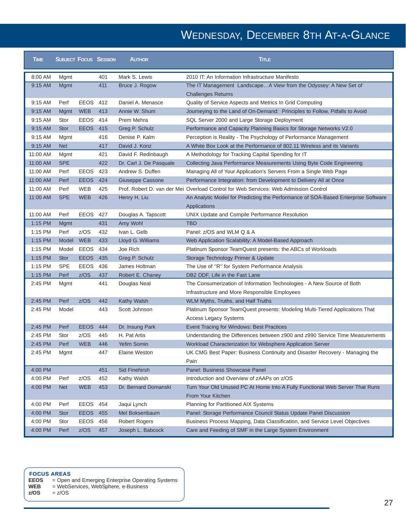# WEDNESDAY, DECEMBER 8TH AT-A-GLANCE

| <b>TIME</b> | <b>SUBJECT FOCUS SESSION</b> |             |     | <b>AUTHOR</b>           | <b>TITLE</b>                                                                         |
|-------------|------------------------------|-------------|-----|-------------------------|--------------------------------------------------------------------------------------|
| 8:00 AM     | Mgmt                         |             | 401 | Mark S. Lewis           | 2010 IT: An Information Infrastructure Manifesto                                     |
| 9:15 AM     | Mgmt                         |             | 411 | Bruce J. Rogow          | The IT Management LandscapeA View from the Odyssey: A New Set of                     |
|             |                              |             |     |                         | <b>Challenges Returns</b>                                                            |
| 9:15 AM     | Perf                         | <b>EEOS</b> | 412 | Daniel A. Menasce       | Quality of Service Aspects and Metrics In Grid Computing                             |
| 9:15 AM     | <b>Mgmt</b>                  | <b>WEB</b>  | 413 | Annie W. Shum           | Journeying to the Land of On-Demand: Principles to Follow, Pitfalls to Avoid         |
| 9:15 AM     | Stor                         | <b>EEOS</b> | 414 | Prem Mehra              | SQL Server 2000 and Large Storage Deployment                                         |
| 9:15 AM     | <b>Stor</b>                  | EEOS 415    |     | Greg P. Schulz          | Performance and Capacity Planning Basics for Storage Networks V2.0                   |
| 9:15 AM     | Mgmt                         |             | 416 | Denise P. Kalm          | Perception is Reality - The Psychology of Performance Management                     |
| 9:15 AM     | <b>Net</b>                   |             | 417 | David J. Konz           | A White Box Look at the Performance of 802.11 Wireless and its Variants              |
| 11:00 AM    | Mgmt                         |             | 421 | David F. Redinbaugh     | A Methodology for Tracking Capital Spending for IT                                   |
| 11:00 AM    | <b>SPE</b>                   |             | 422 | Dr. Carl J. De Pasquale | Collecting Java Performance Measurements Using Byte Code Engineering                 |
| 11:00 AM    | Perf                         | <b>EEOS</b> | 423 | Andrew S. Duffen        | Managing All of Your Application's Servers From a Single Web Page                    |
| 11:00 AM    | Perf                         | <b>EEOS</b> | 424 | Giuseppe Cassone        | Performance Integration: from Development to Delivery All at Once                    |
| 11:00 AM    | Perf                         | <b>WEB</b>  | 425 |                         | Prof. Robert D. van der Mei Overload Control for Web Services: Web Admission Control |
| 11:00 AM    | <b>SPE</b>                   | <b>WEB</b>  | 426 | Henry H. Liu            | An Analytic Model for Predicting the Performance of SOA-Based Enterprise Software    |
|             |                              |             |     |                         | Applications                                                                         |
| 11:00 AM    | Perf                         | EEOS 427    |     | Douglas A. Tapscott     | UNIX Update and Compile Performance Resolution                                       |
| 1:15 PM     | <b>Mgmt</b>                  |             | 431 | Amy Wohl                | <b>TBD</b>                                                                           |
| 1:15 PM     | Perf                         | z/OS        | 432 | Ivan L. Gelb            | Panel: z/OS and WLM Q & A                                                            |
| 1:15 PM     | Model                        | <b>WEB</b>  | 433 | Lloyd G. Williams       | Web Application Scalability: A Model-Based Approach                                  |
| 1:15 PM     | Model                        | EEOS        | 434 | Joe Rich                | Platinum Sponsor TeamQuest presents: the ABCs of Workloads                           |
| 1:15 PM     | <b>Stor</b>                  | <b>EEOS</b> | 435 | Greg P. Schulz          | Storage Technology Primer & Update                                                   |
| 1:15 PM     | <b>SPE</b>                   | <b>EEOS</b> | 436 | James Holtman           | The Use of "R" for System Performance Analysis                                       |
| 1:15 PM     | Perf                         | z/OS        | 437 | Robert E. Chaney        | DB2 DDF, Life in the Fast Lane                                                       |
| 2:45 PM     | Mgmt                         |             | 441 | Douglas Neal            | The Consumerization of Information Technologies - A New Source of Both               |
|             |                              |             |     |                         | Infrastructure and More Responsible Employees                                        |
| 2:45 PM     | Perf                         | z/OS        | 442 | Kathy Walsh             | WLM Myths, Truths, and Half Truths                                                   |
| 2:45 PM     | Model                        |             | 443 | Scott Johnson           | Platinum Sponsor TeamQuest presents: Modeling Multi-Tiered Applications That         |
|             |                              |             |     |                         | <b>Access Legacy Systems</b>                                                         |
| 2:45 PM     | Perf                         | <b>EEOS</b> | 444 | Dr. Insung Park         | Event Tracing for Windows: Best Practices                                            |
| 2:45 PM     | Stor                         | z/OS        | 445 | H. Pat Artis            | Understanding the Differences between z900 and z990 Service Time Measurements        |
| 2:45 PM     | Perf                         | <b>WEB</b>  | 446 | Yefim Somin             | Workload Characterization for Websphere Application Server                           |
| 2:45 PM     | Mgmt                         |             | 447 | Elaine Weston           | UK CMG Best Paper: Business Continuity and Disaster Recovery - Managing the          |
|             |                              |             |     |                         | Pain                                                                                 |
| 4:00 PM     |                              |             | 451 | Sid Finehirsh           | Panel: Business Showcase Panel                                                       |
| 4:00 PM     | Perf                         | z/OS        | 452 | Kathy Walsh             | Introduction and Overview of zAAPs on z/OS                                           |
| 4:00 PM     | <b>Net</b>                   | <b>WEB</b>  | 453 | Dr. Bernard Domanski    | Turn Your Old Unused PC At Home Into A Fully Functional Web Server That Runs         |
|             |                              |             |     |                         | From Your Kitchen                                                                    |
| 4:00 PM     | Perf                         | EEOS        | 454 | Jaqui Lynch             | Planning for Partitioned AIX Systems                                                 |
| 4:00 PM     | <b>Stor</b>                  | <b>EEOS</b> | 455 | Mel Boksenbaum          | Panel: Storage Performance Council Status Update Panel Discussion                    |
| 4:00 PM     | Stor                         | <b>EEOS</b> | 456 | <b>Robert Rogers</b>    | Business Process Mapping, Data Classification, and Service Level Objectives          |
| 4:00 PM     | Perf                         | z/OS        | 457 | Joseph L. Babcock       | Care and Feeding of SMF in the Large System Environment                              |

- **FOCUS AREAS EEOS** = Open and Emerging Enterprise Operating Systems
- **WEB** = WebServices, WebSphere, e-Business
- **z/OS** = z/OS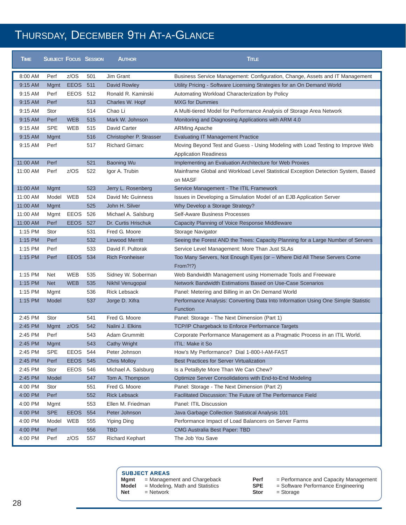## THURSDAY, DECEMBER 9TH AT-A-GLANCE

| <b>TIME</b> | <b>SUBJECT FOCUS SESSION</b> |                 |     | <b>AUTHOR</b>           | <b>TimLE</b>                                                                                                   |
|-------------|------------------------------|-----------------|-----|-------------------------|----------------------------------------------------------------------------------------------------------------|
| 8:00 AM     | Perf                         | z/OS            | 501 | Jim Grant               | Business Service Management: Configuration, Change, Assets and IT Management                                   |
| 9:15 AM     | <b>Mgmt</b>                  | <b>EEOS 511</b> |     | David Rowley            | Utility Pricing - Software Licensing Strategies for an On Demand World                                         |
| 9:15 AM     | Perf                         | EEOS 512        |     | Ronald R. Kaminski      | Automating Workload Characterization by Policy                                                                 |
| 9:15 AM     | Perf                         |                 | 513 | Charles W. Hopf         | <b>MXG</b> for Dummies                                                                                         |
| 9:15 AM     | Stor                         |                 | 514 | Chao Li                 | A Multi-tiered Model for Performance Analysis of Storage Area Network                                          |
| $9:15$ AM   | Perf                         | <b>WEB</b>      | 515 | Mark W. Johnson         | Monitoring and Diagnosing Applications with ARM 4.0                                                            |
| 9:15 AM     | <b>SPE</b>                   | <b>WEB</b>      | 515 | David Carter            | <b>ARMing Apache</b>                                                                                           |
| 9:15 AM     | Mgmt                         |                 | 516 | Christopher P. Strasser | <b>Evaluating IT Management Practice</b>                                                                       |
| 9:15 AM     | Perf                         |                 | 517 | <b>Richard Gimarc</b>   | Moving Beyond Test and Guess - Using Modeling with Load Testing to Improve Web<br><b>Application Readiness</b> |
| 11:00 AM    | Perf                         |                 | 521 | <b>Baoning Wu</b>       | Implementing an Evaluation Architecture for Web Proxies                                                        |
| 11:00 AM    | Perf                         | z/OS            | 522 | Igor A. Trubin          | Mainframe Global and Workload Level Statistical Exception Detection System, Based<br>on MASF                   |
| 11:00 AM    | <b>Mgmt</b>                  |                 | 523 | Jerry L. Rosenberg      | Service Management - The ITIL Framework                                                                        |
| 11:00 AM    | Model                        | WEB             | 524 | David Mc Guinness       | Issues in Developing a Simulation Model of an EJB Application Server                                           |
| 11:00 AM    | <b>Mgmt</b>                  |                 | 525 | John H. Silver          | Why Develop a Storage Strategy?                                                                                |
| 11:00 AM    | Mgmt                         | EEOS            | 526 | Michael A. Salsburg     | Self-Aware Business Processes                                                                                  |
| 11:00 AM    | Perf                         | <b>EEOS</b>     | 527 | Dr. Curtis Hrischuk     | Capacity Planning of Voice Response Middleware                                                                 |
| 1:15 PM     | Stor                         |                 | 531 | Fred G. Moore           | Storage Navigator                                                                                              |
| 1:15 PM     | Perf                         |                 | 532 | <b>Linwood Merritt</b>  | Seeing the Forest AND the Trees: Capacity Planning for a Large Number of Servers                               |
| 1:15 PM     | Perf                         |                 | 533 | David F. Pultorak       | Service Level Management: More Than Just SLAs                                                                  |
| 1:15 PM     | Perf                         | <b>EEOS 534</b> |     | <b>Rich Fronheiser</b>  | Too Many Servers, Not Enough Eyes (or - Where Did All These Servers Come<br>From?!?)                           |
| 1:15 PM     | Net                          | <b>WEB</b>      | 535 | Sidney W. Soberman      | Web Bandwidth Management using Homemade Tools and Freeware                                                     |
| 1:15 PM     | <b>Net</b>                   | <b>WEB</b>      | 535 | Nikhil Venugopal        | Network Bandwidth Estimations Based on Use-Case Scenarios                                                      |
| 1:15 PM     | Mgmt                         |                 | 536 | <b>Rick Lebsack</b>     | Panel: Metering and Billing in an On Demand World                                                              |
| 1:15 PM     | Model                        |                 | 537 | Jorge D. Xifra          | Performance Analysis: Converting Data Into Information Using One Simple Statistic<br>Function                  |
| 2:45 PM     | Stor                         |                 | 541 | Fred G. Moore           | Panel: Storage - The Next Dimension (Part 1)                                                                   |
| 2:45 PM     | Mgmt                         | z/OS            | 542 | Nalini J. Elkins        | TCP/IP Chargeback to Enforce Performance Targets                                                               |
| 2:45 PM     | Perf                         |                 | 543 | Adam Grummitt           | Corporate Performance Management as a Pragmatic Process in an ITIL World.                                      |
| 2:45 PM     | <b>Mgmt</b>                  |                 | 543 | <b>Cathy Wright</b>     | <b>ITIL: Make it So</b>                                                                                        |
| 2:45 PM     | <b>SPE</b>                   | EEOS 544        |     | Peter Johnson           | How's My Performance? Dial 1-800-I-AM-FAST                                                                     |
| 2:45 PM     | Perf                         | <b>EEOS 545</b> |     | <b>Chris Molloy</b>     | <b>Best Practices for Server Virtualization</b>                                                                |
| 2:45 PM     | Stor                         | EEOS 546        |     | Michael A. Salsburg     | Is a PetaByte More Than We Can Chew?                                                                           |
| 2:45 PM     | Model                        |                 | 547 | Tom A. Thompson         | Optimize Server Consolidations with End-to-End Modeling                                                        |
| 4:00 PM     | Stor                         |                 | 551 | Fred G. Moore           | Panel: Storage - The Next Dimension (Part 2)                                                                   |
| 4:00 PM     | Perf                         |                 | 552 | <b>Rick Lebsack</b>     | Facilitated Discussion: The Future of The Performance Field                                                    |
| 4:00 PM     | Mgmt                         |                 | 553 | Ellen M. Friedman       | Panel: ITIL Discussion                                                                                         |
| 4:00 PM     | <b>SPE</b>                   | <b>EEOS</b>     | 554 | Peter Johnson           | Java Garbage Collection Statistical Analysis 101                                                               |
| 4:00 PM     | Model                        | WEB             | 555 | <b>Yiping Ding</b>      | Performance Impact of Load Balancers on Server Farms                                                           |
| 4:00 PM     | Perf                         |                 | 556 | <b>TBD</b>              | CMG Australia Best Paper: TBD                                                                                  |
| 4:00 PM     | Perf                         | z/OS            | 557 | <b>Richard Kephart</b>  | The Job You Save                                                                                               |

| <b>SUBJECT AREAS</b> |  |
|----------------------|--|
|----------------------|--|

- **Mgmt** = Management and Chargeback<br>**Model** = Modeling, Math and Statistics **Model** = Modeling, Math and Statistics<br>**Net** = Network
	-
	- = Network
- 
- **Perf** = Performance and Capacity Management
	- **SPE** = Software Performance Engineering
	- **Stor** = Storage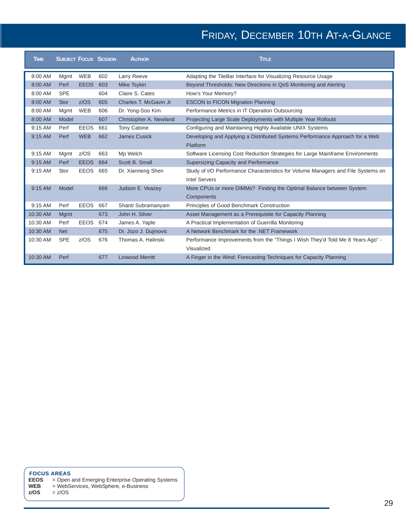# FRIDAY, DECEMBER 10TH AT-A-GLANCE

| <b>TIME</b> | <b>SUBJECT FOCUS SESSION</b> |             |     | <b>AUTHOR</b>          | <b>TITLE</b>                                                                     |
|-------------|------------------------------|-------------|-----|------------------------|----------------------------------------------------------------------------------|
| 8:00 AM     | Mgmt                         | <b>WEB</b>  | 602 | Larry Reeve            | Adapting the TileBar Interface for Visualizing Resource Usage                    |
| 8:00 AM     | Perf                         | <b>EEOS</b> | 603 | <b>Mike Tsykin</b>     | Beyond Thresholds: New Directions in QoS Monitoring and Alerting                 |
| 8:00 AM     | <b>SPE</b>                   |             | 604 | Claire S. Cates        | How's Your Memory?                                                               |
| 8:00 AM     | <b>Stor</b>                  | Z/OS        | 605 | Charles T. McGavin Jr. | <b>ESCON to FICON Migration Planning</b>                                         |
| 8:00 AM     | Mgmt                         | <b>WEB</b>  | 606 | Dr. Yong-Soo Kim       | Performance Metrics in IT Operation Outsourcing                                  |
| 8:00 AM     | Model                        |             | 607 | Christopher A. Newland | Projecting Large Scale Deployments with Multiple Year Rollouts                   |
| 9:15 AM     | Perf                         | <b>EEOS</b> | 661 | <b>Tony Catone</b>     | Configuring and Maintaining Highly Available UNIX Systems                        |
| $9:15$ AM   | Perf                         | <b>WEB</b>  | 662 | James Cusick           | Developing and Applying a Distributed Systems Performance Approach for a Web     |
|             |                              |             |     |                        | Platform                                                                         |
| 9:15 AM     | Mgmt                         | z/OS        | 663 | Mp Welch               | Software Licensing Cost Reduction Strategies for Large Mainframe Environments    |
| $9:15$ AM   | Perf                         | <b>EEOS</b> | 664 | Scott B. Small         | Supersizing Capacity and Performance                                             |
| 9:15 AM     | Stor                         | <b>EEOS</b> | 665 | Dr. Xianneng Shen      | Study of I/O Performance Characteristics for Volume Managers and File Systems on |
|             |                              |             |     |                        | <b>Intel Servers</b>                                                             |
| $9:15$ AM   | Model                        |             | 666 | Judson E. Veazey       | More CPUs or more DIMMs? Finding the Optimal Balance between System              |
|             |                              |             |     |                        | Components                                                                       |
| 9:15 AM     | Perf                         | <b>EEOS</b> | 667 | Shanti Subramanyam     | Principles of Good Benchmark Construction                                        |
| 10:30 AM    | Mgmt                         |             | 673 | John H. Silver         | Asset Management as a Prerequisite for Capacity Planning                         |
| 10:30 AM    | Perf                         | <b>EEOS</b> | 674 | James A. Yaple         | A Practical Implementation of Guerrilla Monitoring                               |
| 10:30 AM    | <b>Net</b>                   |             | 675 | Dr. Jozo J. Dujmovic   | A Network Benchmark for the .NET Framework                                       |
| 10:30 AM    | <b>SPE</b>                   | Z/OS        | 676 | Thomas A. Halinski     | Performance Improvements from the "Things I Wish They'd Told Me 8 Years Ago" -   |
|             |                              |             |     |                        | Visualized                                                                       |
| 10:30 AM    | Perf                         |             | 677 | <b>Linwood Merritt</b> | A Finger in the Wind: Forecasting Techniques for Capacity Planning               |

**FOCUS AREAS EEOS** = Open and Emerging Enterprise Operating Systems

**WEB** = WebServices, WebSphere, e-Business

**z/OS** = z/OS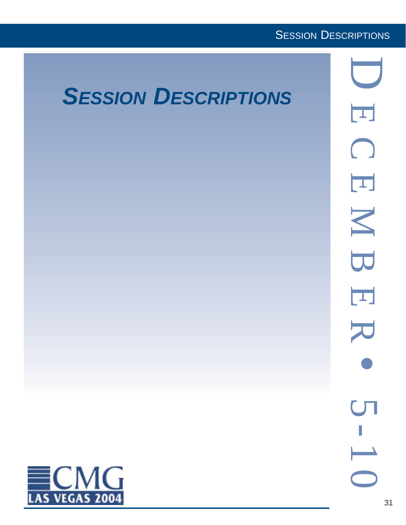### **SESSION DESCRIPTIONS**

D

# *SESSION DESCRIPTIONS*

 $\overline{\mathbf{L}}$ ECEMBER  $\bigcap$  $\overline{\mathbf{L}}$ N B  $\overline{\mathbf{L}}$  $\blacktriangleright$  $\overline{\mathcal{M}}$ 

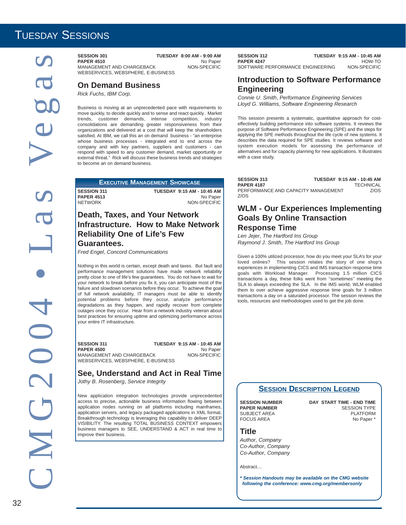### TUESDAY SESSIONS

**PAPER 4510** No Paper<br>MANAGEMENT AND CHARGEBACK NON-SPECIFIC MANAGEMENT AND CHARGEBACK WEBSERVICES, WEBSPHERE, E-BUSINESS

**On Demand Business**

*Rick Fuchs*, *IBM Corp.*

Business is moving at an unprecedented pace with requirements to move quickly, to decide quickly and to sense and react quickly . Market trends, customer demands, intense competition, industry consolidations are demanding greater responsiveness from their organizations and delivered at a cost that will keep the shareholders satisfied. At IBM, we call this an on demand business - "an enterprise whose business processes - integrated end to end across the company and with key partners, suppliers and customers - can respond with speed to any customer demand, market opportunity or external threat." Rick will discuss these business trends and strategies to become an on demand business.

**EXECUTIVE MANAGEMENT SHOWCASE**

**SESSION 311 TUESDAY 9:15 AM - 10:45 AM PAPER 4513** No Paper NETWORK NON-SPECIFIC

### **Death, Taxes, and Your Network Infrastructure. How to Make Network Reliability One of Life's Few Guarantees.**

*Fred Engel*, *Concord Communications*

Nothing in this world is certain, except death and taxes. But fault and performance management solutions have made network reliability pretty close to one of life's few guarantees. You do not have to wait for your network to break before you fix it, you can anticipate most of the failure and slowdown scenarios before they occur. To achieve the goal of full network availability, IT managers must be able to identify potential problems before they occur, analyze performance degradations as they happen, and rapidly recover from complete outages once they occur. Hear from a network industry veteran about best practices for ensuring uptime and optimizing performance across your entire IT infrastructure.

**SESSION 311 TUESDAY 9:15 AM - 10:45 AM**<br>PAPER 4500 No Paper **PAPER 4500** No Paper<br>MANAGEMENT AND CHARGEBACK NON-SPECIFIC MANAGEMENT AND CHARGEBACK WEBSERVICES, WEBSPHERE, E-BUSINESS

### **See, Understand and Act in Real Time**

*Jothy B*. *Rosenberg*, *Service Integrity*

New application integration technologies provide unprecedented access to precise, actionable business information flowing between application nodes running on all platforms including mainframes, application servers, and legacy packaged applications in XML format. Breakthrough technology is leveraging this capability to deliver DEEP VISIBILITY. The resulting TOTAL BUSINESS CONTEXT empowers business managers to SEE, UNDERSTAND & ACT in real time to improve their business.

**SESSION 312 TUESDAY 9:15 AM - 10:45 AM PAPER 4247 HOW-TO**<br>SOFTWARE PERFORMANCE ENGINEERING MON-SPECIFIC SOFTWARE PERFORMANCE ENGINEERING

### **Introduction to Software Performance Engineering**

*Connie U*. *Smith*, *Performance Engineering Services Lloyd G*. *Williams*, *Software Engineering Research*

This session presents a systematic, quantitative approach for costeffectively building performance into software systems. It reviews the purpose of Software Performance Engineering (SPE) and the steps for applying the SPE methods throughout the life cycle of new systems. It describes the data required for SPE studies. It reviews software and system execution models for assessing the performance of alternatives and for capacity planning for new applications. It illustrates with a case study.

| <b>SESSION 313</b>                  | TUESDAY 9:15 AM - 10:45 AM |
|-------------------------------------|----------------------------|
| <b>PAPER 4187</b>                   | <b>TECHNICAL</b>           |
| PERFORMANCE AND CAPACITY MANAGEMENT | 7/0S                       |
| Z/OS                                |                            |

### **WLM - Our Experiences Implementing Goals By Online Transaction Response Time**

*Len Jejer*, *The Hartford Ins Group Raymond J*. *Smith*, *The Hartford Ins Group*

Given a 100% utilized processor, how do you meet your SLA's for your loved onlines? This session relates the story of one shop's experiences in implementing CICS and IMS transaction response time goals with Workload Manager. Processing 1.5 million CICS transactions a day, these folks went from ''sometimes'' meeting the SLA to always exceeding the SLA. In the IMS world, WLM enabled them to over achieve aggressive response time goals for 3 million transactions a day on a saturated processor. The session reviews the tools, resources and methodologies used to get the job done.



FOCUS AREA

**SESSION NUMBER DAY START TIME - END TIME PAPER NUMBER**<br>SUBJECT AREA **FRAMER** PLATFORM SUBJECT AREA PLATFORM

**Title**

*Author*, *Company Co-Author*, *Company Co-Author*, *Company*

Abstract....

*\* Session Handouts may be available on the CMG website following the conference: www.cmg.org/membersonly*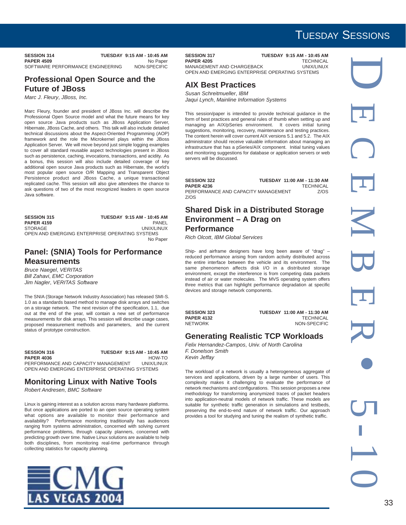### TUESDAY SESSIONS

**SESSION 314 TUESDAY 9:15 AM - 10:45 AM**<br>PAPER 4509 No Paper **PAPER 4509** No Paper<br>SOFTWARE PERFORMANCE ENGINEERING NON-SPECIFIC SOFTWARE PERFORMANCE ENGINEERING

### **Professional Open Source and the Future of JBoss**

*Marc J*. *Fleury*, *JBoss, Inc.*

Marc Fleury, founder and president of JBoss Inc. will describe the Professional Open Source model and what the future means for key open source Java products such as JBoss Application Server, Hibernate, JBoss Cache, and others. This talk will also include detailed technical discussions about the Aspect-Oriented Programming (AOP) framework and the role the Microkernel plays within the JBoss Application Server. We will move beyond just simple logging examples to cover all standard reusable aspect technologies present in JBoss such as persistence, caching, invocations, transactions, and acidity. As a bonus, this session will also include detailed coverage of key additional open source Java products such as Hibernate, the world's most popular open source O/R Mapping and Transparent Object Persistence product and JBoss Cache, a unique transactional replicated cache. This session will also give attendees the chance to ask questions of two of the most recognized leaders in open source Java software.

| <b>SESSION 315</b> | TUESDAY 9:15 AM - 10:45 AM                     |
|--------------------|------------------------------------------------|
| <b>PAPER 4159</b>  | PANFI                                          |
| STORAGE            | UNIX/LINUX                                     |
|                    | OPEN AND EMERGING ENTERPRISE OPERATING SYSTEMS |
|                    | No Paper                                       |

### **Panel: (SNIA) Tools for Performance Measurements**

*Bruce Naegel*, *VERITAS Bill Zahavi*, *EMC Corporation Jim Nagler*, *VERITAS Software*

The SNIA (Storage Network Industry Association) has released SMI-S. 1.0 as a standards based method to manage disk arrays and switches on a storage network. The next revision of the specification, 1.1, due out at the end of the year, will contain a new set of performance measurements for disk arrays. This session will describe usage cases, proposed measurement methods and parameters, and the current status of prototype construction.

**SESSION 316 TUESDAY 9:15 AM - 10:45 AM PAPER 4036** HOW-TO<br>PERFORMANCE AND CAPACITY MANAGEMENT UNIX/LINUX PERFORMANCE AND CAPACITY MANAGEMENT OPEN AND EMERGING ENTERPRISE OPERATING SYSTEMS

#### **Monitoring Linux with Native Tools**

*Robert Andresen*, *BMC Software*

Linux is gaining interest as a solution across many hardware platforms. But once applications are ported to an open source operating system what options are available to monitor their performance and availability? Performance monitoring traditionally has audiences ranging from systems administration, concerned with solving current performance problems, through capacity planners, concerned with predicting growth over time. Native Linux solutions are available to help both disciplines, from monitoring real-time performance through collecting statistics for capacity planning.



**SESSION 317 TUESDAY 9:15 AM - 10:45 AM**<br>**PAPER 4205 TECHNICAL PAPER 4205**<br>MANAGEMENT AND CHARGEBACK **THE CONSTRUSS OF A LINIX/LINI**TY MANAGEMENT AND CHARGEBACK OPEN AND EMERGING ENTERPRISE OPERATING SYSTEMS

### **AIX Best Practices**

*Susan Schreitmueller*, *IBM Jaqui Lynch*, *Mainline Information Systems*

This session/paper is intended to provide technical guidance in the form of best practices and general rules of thumb when setting up and managing an AIX/pSeries environment. It covers initial tuning suggestions, monitoring, recovery, maintenance and testing practices. The content herein will cover current AIX versions 5.1 and 5.2. The AIX administrator should receive valuable information about managing an infrastructure that has a pSeries/AIX component. Initial tuning values and monitoring suggestions for database or application servers or web servers will be discussed.

| <b>SESSION 322</b>                  | TUESDAY 11:00 AM - 11:30 AM |
|-------------------------------------|-----------------------------|
| <b>PAPER 4236</b>                   | <b>TECHNICAL</b>            |
| PERFORMANCE AND CAPACITY MANAGEMENT | 7/0S                        |
| Z/OS                                |                             |

### **Shared Disk in a Distributed Storage Environment – A Drag on Performance**

*Rich Olcott*, *IBM Global Services*

Ship- and airframe designers have long been aware of "drag" – reduced performance arising from random activity distributed across the entire interface between the vehicle and its environment. The same phenomenon affects disk I/O in a distributed storage environment, except the interference is from competing data packets instead of air or water molecules. The MVS operating system offers three metrics that can highlight performance degradation at specific devices and storage network components.

**SESSION 323 TUESDAY 11:00 AM - 11:30 AM PAPER 4132** TECHNICAL<br>NETWORK TECHNICAL MON-SPECIFIC NON-SPECIFIC

### **Generating Realistic TCP Workloads**

*Felix Hernandez-Campos*, *Univ. of North Carolina F. Donelson Smith Kevin Jeffay*

The workload of a network is usually a heterogeneous aggregate of services and applications, driven by a large number of users. This complexity makes it challenging to evaluate the performance of network mechanisms and configurations. This session proposes a new methodology for transforming anonymized traces of packet headers into application-neutral models of network traffic. These models are suitable for synthetic traffic generation in simulations and testbeds, preserving the end-to-end nature of network traffic. Our approach provides a tool for studying and tuning the realism of synthetic traffic.

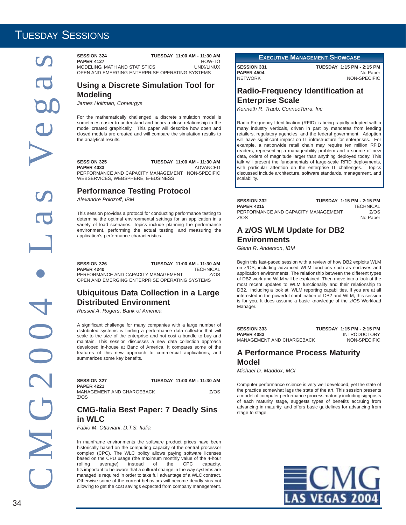### TUESDAY SESSIONS

**PAPER 4127** HOW-TO<br>MODELING MATH AND STATISTICS UNIX/LINUX MODELING, MATH AND STATISTICS OPEN AND EMERGING ENTERPRISE OPERATING SYSTEMS

### **Using a Discrete Simulation Tool for Modeling**

*James Holtman*, *Convergys*

For the mathematically challenged, a discrete simulation model is sometimes easier to understand and bears a close relationship to the model created graphically. This paper will describe how open and closed models are created and will compare the simulation results to the analytical results.

**SESSION 325 TUESDAY 11:00 AM - 11:30 AM PAPER 4033** ADVANCED PERFORMANCE AND CAPACITY MANAGEMENT NON-SPECIFIC WEBSERVICES, WEBSPHERE, E-BUSINESS

**Performance Testing Protocol**

*Alexandre Polozoff*, *IBM*

This session provides a protocol for conducting performance testing to determine the optimal environmental settings for an application in a variety of load scenarios. Topics include planning the performance environment, performing the actual testing, and measuring the application's performance characteristics.

**SESSION 326 TUESDAY 11:00 AM - 11:30 AM PAPER 4240** PERFORMANCE AND CAPACITY MANAGEMENT Z/OS OPEN AND EMERGING ENTERPRISE OPERATING SYSTEMS

### **Ubiquitous Data Collection in a Large Distributed Environment**

*Russell A*. *Rogers*, *Bank of America*

A significant challenge for many companies with a large number of distributed systems is finding a performance data collector that will scale to the size of the enterprise and not cost a bundle to buy and maintain. This session discusses a new data collection approach developed in-house at Banc of America. It compares some of the features of this new approach to commercial applications, and summarizes some key benefits.

| <b>SESSION 327</b><br><b>PAPER 4221</b> | TUESDAY 11:00 AM - 11:30 AM |      |
|-----------------------------------------|-----------------------------|------|
| MANAGEMENT AND CHARGEBACK               |                             | Z/OS |
| Z/OS                                    |                             |      |

### **CMG-Italia Best Paper: 7 Deadly Sins in WLC**

*Fabio M*. *Ottaviani*, *D.T.S. Italia*

In mainframe environments the software product prices have been historically based on the computing capacity of the central processor complex (CPC). The WLC policy allows paying software licenses based on the CPU usage (the maximum monthly value of the 4-hour rolling average) instead of the CPC capacity. rolling average) instead of the CPC capacity. It's important to be aware that a cultural change in the way systems are managed is required in order to take full advantage of a WLC contract. Otherwise some of the current behaviors will become deadly sins not allowing to get the cost savings expected from company management. **EXECUTIVE MANAGEMENT SHOWCASE**

**SESSION 331 TUESDAY 1:15 PM - 2:15 PM PAPER 4504** No Paper NETWORK NON-SPECIFIC

### **Radio-Frequency Identification at Enterprise Scale**

*Kenneth R*. *Traub*, *ConnecTerra, Inc*

Radio-Frequency Identification (RFID) is being rapidly adopted within many industry verticals, driven in part by mandates from leading retailers, regulatory agencies, and the federal government. Adoption will have significant impact on IT infrastructure for enterprises. For example, a nationwide retail chain may require ten million RFID readers, representing a manageability problem and a source of new data, orders of magnitude larger than anything deployed today. This talk will present the fundamentals of large-scale RFID deployments, with particular attention on the enterprise IT challenges. Topics discussed include architecture, software standards, management, and scalability.

| <b>SESSION 332</b>                  | TUESDAY 1:15 PM - 2:15 PM |
|-------------------------------------|---------------------------|
| <b>PAPER 4215</b>                   | <b>TECHNICAL</b>          |
| PERFORMANCE AND CAPACITY MANAGEMENT | 7/0S                      |
| 7/0S                                | No Paper                  |

### **A z/OS WLM Update for DB2**

**Environments**

*Glenn R*. *Anderson*, *IBM*

Begin this fast-paced session with a review of how DB2 exploits WLM on z/OS, including advanced WLM functions such as enclaves and application environments. The relationship between the different types of DB2 work and WLM will be explained. Then move into a look at the most recent updates to WLM functionality and their relationship to DB2, including a look at WLM reporting capabilities. If you are at all interested in the powerful combination of DB2 and WLM, this session is for you. It does assume a basic knowledge of the z/OS Workload Manager.

| <b>SESSION 333</b>        | TUESDAY 1:15 PM - 2:15 PM |
|---------------------------|---------------------------|
| <b>PAPER 4083</b>         | <b>INTRODUCTORY</b>       |
| MANAGEMENT AND CHARGEBACK | NON-SPECIFIC              |

### **A Performance Process Maturity Model**

*Michael D*. *Maddox*, *MCI*

Computer performance science is very well developed, yet the state of the practice somewhat lags the state of the art. This session presents a model of computer performance process maturity including signposts of each maturity stage, suggests types of benefits accruing from advancing in maturity, and offers basic guidelines for advancing from stage to stage.

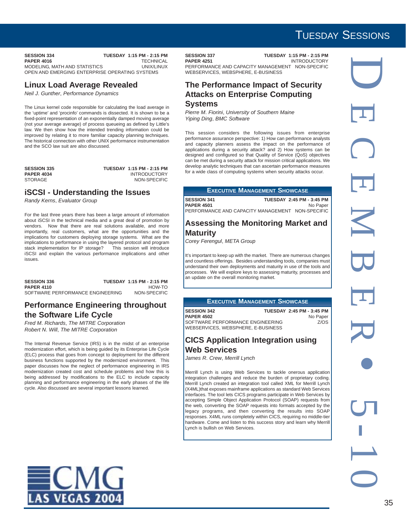**SESSION 334 TUESDAY 1:15 PM - 2:15 PM<br>PAPER 4016 TECHNICAL PAPER 4016**<br>MODELING MATH AND STATISTICS **THE CONSTRUSS OF A LINIX/LINI**TY MODELING, MATH AND STATISTICS OPEN AND EMERGING ENTERPRISE OPERATING SYSTEMS

### **Linux Load Average Revealed**

*Neil J*. *Gunther*, *Performance Dynamics*

The Linux kernel code responsible for calculating the load average in the 'uptime' and 'procinfo' commands is dissected. It is shown to be a fixed-point representation of an exponentially damped moving average (not your average average) of process queueing as defined by Little's law. We then show how the intended trending information could be improved by relating it to more familiar capacity planning techniques. The historical connection with other UNIX performance instrumentation and the SCO law suit are also discussed.

| <b>SESSION 335</b> |  |
|--------------------|--|
| PAPER 4034         |  |
| STORAGE            |  |

**SESSION 335 TUESDAY 1:15 PM - 2:15 PM PAPER 4034** INTRODUCTORY NON-SPECIFIC

#### **iSCSI - Understanding the Issues**

*Randy Kerns*, *Evaluator Group*

For the last three years there has been a large amount of information about iSCSI in the technical media and a great deal of promotion by vendors. Now that there are real solutions available, and more importantly, real customers, what are the opportunities and the implications for customers deploying storage systems. What are the implications to performance in using the layered protocol and program stack implementation for IP storage? This session will introduce iSCSI and explain the various performance implications and other issues.

| <b>SESSION 336</b>               | TUESDAY 1:15 PM - 2:15 PM |
|----------------------------------|---------------------------|
| <b>PAPER 4110</b>                | HOW-TO                    |
| SOFTWARE PERFORMANCE ENGINEERING | NON-SPECIFIC              |

#### **Performance Engineering throughout the Software Life Cycle**

*Fred M*. *Richards*, *The MITRE Corporation Robert N*. *Will*, *The MITRE Corporation*

The Internal Revenue Service (IRS) is in the midst of an enterprise modernization effort, which is being guided by its Enterprise Life Cycle (ELC) process that goes from concept to deployment for the different business functions supported by the modernized environment. This paper discusses how the neglect of performance engineering in IRS modernization created cost and schedule problems and how this is being addressed by modifications to the ELC to include capacity planning and performance engineering in the early phases of the life cycle. Also discussed are several important lessons learned.

**SESSION 337 TUESDAY 1:15 PM - 2:15 PM INTRODUCTORY** PERFORMANCE AND CAPACITY MANAGEMENT NON-SPECIFIC WEBSERVICES, WEBSPHERE, E-BUSINESS

#### **The Performance Impact of Security Attacks on Enterprise Computing Systems**

*Pierre M*. *Fiorini*, *University of Southern Maine Yiping Ding*, *BMC Software*

This session considers the following issues from enterprise performance assurance perspective: 1) How can performance analysts and capacity planners assess the impact on the performance of applications during a security attack? and 2) How systems can be designed and configured so that Quality of Service (QoS) objectives can be met during a security attack for mission critical applications. We develop analytic techniques that can ascertain performance measures for a wide class of computing systems when security attacks occur.

|                                         | <b>EXECUTIVE MANAGEMENT SHOWCASE</b>                                                      |
|-----------------------------------------|-------------------------------------------------------------------------------------------|
| <b>SESSION 341</b><br><b>PAPER 4501</b> | TUESDAY 2:45 PM - 3:45 PM<br>No Paper<br>PERFORMANCE AND CAPACITY MANAGEMENT NON-SPECIFIC |

#### **Assessing the Monitoring Market and Maturity**

*Corey Ferengul*, *META Group*

It's important to keep up with the market. There are numerous changes and countless offerings. Besides understanding tools, companies must understand their own deployments and maturity in use of the tools and processes. We will explore keys to assessing maturity, processes and an update on the overall monitoring market.

#### **EXECUTIVE MANAGEMENT SHOWCASE**

**SESSION 342 TUESDAY 2:45 PM - 3:45 PM PAPER 4502** No Paper<br>SOFTWARE PERFORMANCE ENGINEERING 2/OS SOFTWARE PERFORMANCE ENGINEERING WEBSERVICES, WEBSPHERE, E-BUSINESS

#### **CICS Application Integration using Web Services**

*James R*. *Crew*, *Merrill Lynch*

Merrill Lynch is using Web Services to tackle onerous application integration challenges and reduce the burden of proprietary coding. Merrill Lynch created an integration tool called XML for Merrill Lynch (X4ML)that exposes mainframe applications as standard Web Services interfaces. The tool lets CICS programs participate in Web Services by accepting Simple Object Application Protocol (SOAP) requests from the web, converting the SOAP requests into formats accepted by the legacy programs, and then converting the results into SOAP responses. X4ML runs completely within CICS, requiring no middle-tier hardware. Come and listen to this success story and learn why Merrill Lynch is bullish on Web Services.

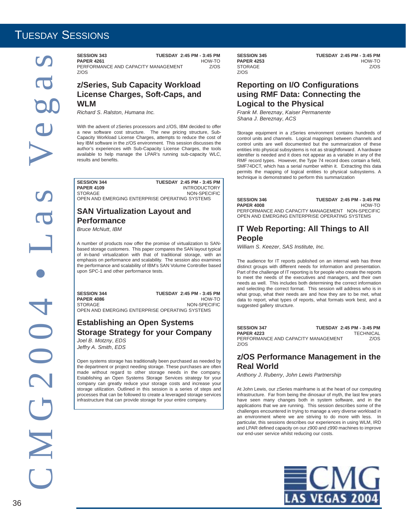**SESSION 343** TUESDAY 2:45 PM - 3:45 PM<br>PAPER 4261 HOW-TO **PAPER 4261** HOW-TO<br>PERFORMANCE AND CAPACITY MANAGEMENT 7/OS PERFORMANCE AND CAPACITY MANAGEMENT Z/OS

#### **z/Series, Sub Capacity Workload License Charges, Soft-Caps, and WLM**

*Richard S*. *Ralston*, *Humana Inc.*

With the advent of zSeries processors and z/OS, IBM decided to offer a new software cost structure. The new pricing structure, Sub-Capacity Workload License Charges, attempts to reduce the cost of key IBM software in the z/OS environment. This session discusses the author's experiences with Sub-Capacity License Charges, the tools available to help manage the LPAR's running sub-capacity WLC, results and benefits.

**SESSION 344** TUESDAY 2:45 PM - 3:45 PM<br>PAPER 4109 INTRODUCTORY **INTRODUCTORY**<br>NON-SPECIFIC STORAGE NON-SPECIFIC OPEN AND EMERGING ENTERPRISE OPERATING SYSTEMS

#### **SAN Virtualization Layout and Performance**

*Bruce McNutt*, *IBM*

A number of products now offer the promise of virtualization to SANbased storage customers. This paper compares the SAN layout typical of in-band virtualization with that of traditional storage, with an emphasis on performance and scalability. The session also examines the performance and scalability of IBM's SAN Volume Controller based upon SPC-1 and other performance tests.

**SESSION 344 TUESDAY 2:45 PM - 3:45 PM PAPER 4086** HOW-TO<br>STORAGE MON-SPECIFIC STORAGE NON-SPECIFIC OPEN AND EMERGING ENTERPRISE OPERATING SYSTEMS

#### **Establishing an Open Systems Storage Strategy for your Company**

*Joel B*. *Motzny*, *EDS Jeffry A*. *Smith*, *EDS*

Open systems storage has traditionally been purchased as needed by the department or project needing storage. These purchases are often made without regard to other storage needs in the company. Establishing an Open Systems Storage Services strategy for your company can greatly reduce your storage costs and increase your storage utilization. Outlined in this session is a series of steps and processes that can be followed to create a leveraged storage services infrastructure that can provide storage for your entire company.

STORAGE Z/OS

**SESSION 345 TUESDAY 2:45 PM - 3:45 PM**<br>PAPER 4253 HOW-TO **PAPER 4253** HOW-TO<br>STORAGE 7/0S

#### **Reporting on I/O Configurations using RMF Data: Connecting the Logical to the Physical**

*Frank M*. *Bereznay*, *Kaiser Permanente Shana J*. *Bereznay*, *ACS*

Storage equipment in a zSeries environment contains hundreds of control units and channels. Logical mappings between channels and control units are well documented but the summarization of these entities into physical subsystems is not as straightforward. A hardware identifier is needed and it does not appear as a variable in any of the RMF record types. However, the Type 74 record does contain a field, SMF74DCT, which has a serial number within it. Extracting this data permits the mapping of logical entities to physical subsystems. A technique is demonstrated to perform this summarization

**SESSION 346 TUESDAY 2:45 PM - 3:45 PM PAPER 4008** PERFORMANCE AND CAPACITY MANAGEMENT NON-SPECIFIC OPEN AND EMERGING ENTERPRISE OPERATING SYSTEMS

#### **IT Web Reporting: All Things to All People**

*William S*. *Keezer*, *SAS Institute, Inc.*

The audience for IT reports published on an internal web has three distinct groups with different needs for information and presentation. Part of the challenge of IT reporting is for people who create the reports to meet the needs of the executives and managers, and their own needs as well. This includes both determining the correct information and selecting the correct format. This session will address who is in what group, what their needs are and how they are to be met, what data to report, what types of reports, what formats work best, and a suggested gallery structure.

| <b>SESSION 347</b>                  | TUESDAY 2:45 PM - 3:45 PM |
|-------------------------------------|---------------------------|
| <b>PAPER 4223</b>                   | TECHNICAL                 |
| PERFORMANCE AND CAPACITY MANAGEMENT | 7/0S                      |
| Z/OS                                |                           |

#### **z/OS Performance Management in the Real World**

*Anthony J*. *Ruberry*, *John Lewis Partnership*

At John Lewis, our zSeries mainframe is at the heart of our computing infrastructure. Far from being the dinosaur of myth, the last few years have seen many changes both in system software, and in the applications that we are running. This session describes some of the challenges encountered in trying to manage a very diverse workload in an environment where we are striving to do more with less. In particular, this sessions describes our experiences in using WLM, IRD and LPAR defined capacity on our z900 and z990 machines to improve our end-user service whilst reducing our costs.

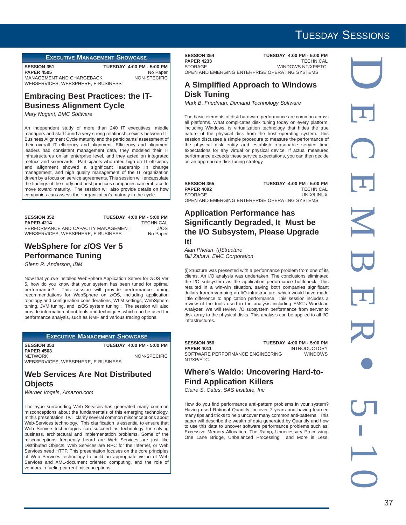#### **EXECUTIVE MANAGEMENT SHOWCASE**

**SESSION 351 TUESDAY 4:00 PM - 5:00 PM**<br>**PAPER 4505** No Paper **PAPER 4505** No Paper<br>MANAGEMENT AND CHARGEBACK NON-SPECIFIC MANAGEMENT AND CHARGEBACK WEBSERVICES, WEBSPHERE, E-BUSINESS

#### **Embracing Best Practices: the IT-Business Alignment Cycle**

*Mary Nugent*, *BMC Software*

An independent study of more than 240 IT executives, middle managers and staff found a very strong relationship exists between IT-Business Alignment Cycle maturity and the participants' assessment of their overall IT efficiency and alignment. Efficiency and alignment leaders had consistent management data, they modeled their IT infrastructures on an enterprise level, and they acted on integrated metrics and scorecards. Participants who rated high on IT efficiency and alignment showed a significant leadership in change management, and high quality management of the IT organization driven by a focus on service agreements. This session will encapsulate the findings of the study and best practices companies can embrace to move toward maturity. The session will also provide details on how companies can assess their organization's maturity in the cycle.

#### **SESSION 352 TUESDAY 4:00 PM - 5:00 PM PAPER 4214** TECHNICAL<br>PERFORMANCE AND CAPACITY MANAGEMENT Z/OS PERFORMANCE AND CAPACITY MANAGEMENT WEBSERVICES, WEBSPHERE, E-BUSINESS No Paper

#### **WebSphere for z/OS Ver 5 Performance Tuning**

*Glenn R*. *Anderson*, *IBM*

Now that you've installed WebSphere Application Server for z/OS Ver 5, how do you know that your system has been tuned for optimal performance? This session will provide performance tuning recommendations for WebSphere on z/OS, including application topology and configuration considerations, WLM settings, WebSphere tuning, JVM tuning, and z/OS system tuning . The session will also provide information about tools and techniques which can be used for performance analysis, such as RMF and various tracing options.

#### **EXECUTIVE MANAGEMENT SHOWCASE**

**SESSION 353 TUESDAY 4:00 PM - 5:00 PM PAPER 4503** NETWORK NON-SPECIFIC WEBSERVICES, WEBSPHERE, E-BUSINESS

#### **Web Services Are Not Distributed Objects**

*Werner Vogels*, *Amazon.com*

The hype surrounding Web Services has generated many common misconceptions about the fundamentals of this emerging technology. In this presentation, I will clarify several common misconceptions about Web-Services technology. This clarification is essential to ensure that Web Service technologies can succeed as technology for solving business, architectural and implementation problems. Some of the misconceptions frequently heard are Web Services are just like Distributed Objects, Web Services are RPC for the Internet, or Web Services need HTTP. This presentation focuses on the core principles of Web Services technology to build an appropriate vision of Web Services and XML-document oriented computing, and the role of vendors in fueling current misconceptions.

**SESSION 354 TUESDAY 4:00 PM - 5:00 PM**<br>**PAPER 4233** TECHNICAL **PAPER 4233**<br>STORAGE WINDOWS NT/XP/ETC. OPEN AND EMERGING ENTERPRISE OPERATING SYSTEMS

#### **A Simplified Approach to Windows Disk Tuning**

*Mark B*. *Friedman*, *Demand Technology Software*

The basic elements of disk hardware performance are common across all platforms. What complicates disk tuning today on every platform, including Windows, is virtualization technology that hides the true nature of the physical disk from the host operating system. This session discusses a simple procedure to measure the performance of the physical disk entity and establish reasonable service time expectations for any virtual or physical device. If actual measured performance exceeds these service expectations, you can then decide on an appropriate disk tuning strategy.

**SESSION 355 TUESDAY 4:00 PM - 5:00 PM**<br>**PAPER 4092** TECHNICAL **PAPER 4092** STORAGE UNIX/LINUX OPEN AND EMERGING ENTERPRISE OPERATING SYSTEMS

#### **Application Performance has Significantly Degraded, It Must be the I/O Subsystem, Please Upgrade It!**

*Alan Phelan*, *(i)Structure Bill Zahavi*, *EMC Corporation*

(i)Structure was presented with a performance problem from one of its clients. An I/O analysis was undertaken. The conclusions eliminated the I/O subsystem as the application performance bottleneck. This resulted in a win-win situation, saving both companies significant dollars from revamping an I/O infrastructure, which would have made little difference to application performance. This session includes a review of the tools used in the analysis including EMC's Workload Analyzer. We will review I/O subsystem performance from server to disk array to the physical disks. This analysis can be applied to all I/O infrastructures.

SOFTWARE PERFORMANCE ENGINEERING NT/XP/ETC.

**SESSION 356 TUESDAY 4:00 PM - 5:00 PM PAPER 4011** INTRODUCTORY<br>SOFTWARE PERFORMANCE ENGINEERING WINDOWS

#### **Where's Waldo: Uncovering Hard-to-Find Application Killers**

*Claire S*. *Cates*, *SAS Institute, Inc*

How do you find performance anti-pattern problems in your system? Having used Rational Quantify for over 7 years and having learned many tips and tricks to help uncover many common anti-patterns. This paper will describe the wealth of data generated by Quantify and how to use this data to uncover software performance problems such as: Excessive Memory Allocation, The Ramp, Unnecessary Processing, One Lane Bridge, Unbalanced Processing and More is Less.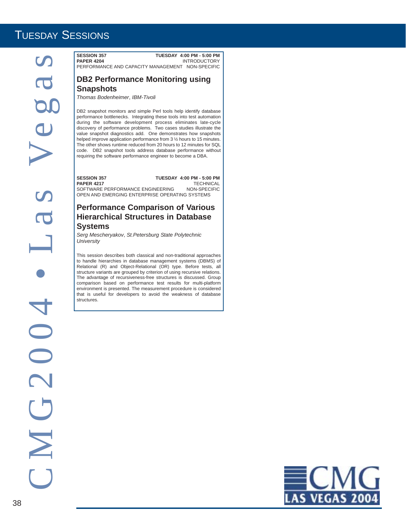SEED MAN THE SEED MAN THE SEED MAN THE SEED MAN THE SEED MAN THE SEED MANUFACTURE CONTINUES AND CONTINUES IN THE SEED MANUFACTURE CONTINUES IN THE SEED MANUFACTURE CONTINUES IN THE SEED MANUFACTURE CONTINUES IN THE SEED OF

**PAPER 4204 INTRODUCTORY** PERFORMANCE AND CAPACITY MANAGEMENT NON-SPECIFIC

## **DB2 Performance Monitoring using**

*Thomas Bodenheimer*, *IBM-Tivoli*

**Snapshots**

DB2 snapshot monitors and simple Perl tools help identify database performance bottlenecks. Integrating these tools into test automation during the software development process eliminates late-cycle discovery of performance problems. Two cases studies illustrate the value snapshot diagnostics add. One demonstrates how snapshots helped improve application performance from 3 ½ hours to 15 minutes. The other shows runtime reduced from 20 hours to 12 minutes for SQL code. DB2 snapshot tools address database performance without requiring the software performance engineer to become a DBA.

**SESSION 357 TUESDAY 4:00 PM - 5:00 PM<br>PAPER 4217 TECHNICAL PAPER 4217** TECHNICAL<br>SOFTWARE PERFORMANCE ENGINEERING NON-SPECIFIC SOFTWARE PERFORMANCE ENGINEERING OPEN AND EMERGING ENTERPRISE OPERATING SYSTEMS

#### **Performance Comparison of Various Hierarchical Structures in Database Systems**

*Serg Mescheryakov*, *St.Petersburg State Polytechnic University*

This session describes both classical and non-traditional approaches to handle hierarchies in database management systems (DBMS) of Relational (R) and Object-Relational (OR) type. Before tests, all structure variants are grouped by criterion of using recursive relations. The advantage of recursiveness-free structures is discussed. Group comparison based on performance test results for multi-platform environment is presented. The measurement procedure is considered that is useful for developers to avoid the weakness of database structures.

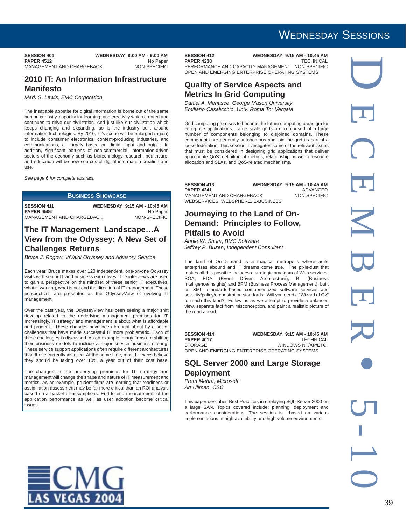| <b>SESSION 401</b>        | <b>WEDNESDAY 8:00 AM - 9:00 AM</b> |
|---------------------------|------------------------------------|
| <b>PAPER 4512</b>         | No Paper                           |
| MANAGEMENT AND CHARGEBACK | NON-SPECIFIC                       |

#### **2010 IT: An Information Infrastructure Manifesto**

*Mark S*. *Lewis*, *EMC Corporation*

The insatiable appetite for digital information is borne out of the same human curiosity, capacity for learning, and creativity which created and continues to drive our civilization. And just like our civilization which keeps changing and expanding, so is the industry built around information technologies. By 2010, IT's scope will be enlarged (again) to include consumer electronics, content-producing industries, and communications, all largely based on digital input and output. In addition, significant portions of non-commercial, information-driven sectors of the economy such as biotechnology research, healthcare, and education will be new sources of digital information creation and use.

*See page 6 for complete abstract.*

#### **BUSINESS SHOWCASE**

**SESSION 411 WEDNESDAY 9:15 AM - 10:45 AM**<br>PAPER 4506 Mo Paper **PAPER 4506** No Paper<br>MANAGEMENT AND CHARGEBACK NON-SPECIFIC MANAGEMENT AND CHARGEBACK

#### **The IT Management Landscape…A View from the Odyssey: A New Set of Challenges Returns**

*Bruce J*. *Rogow*, *ViValdi Odyssey and Advisory Service*

Each year, Bruce makes over 120 independent, one-on-one Odyssey visits with senior IT and business executives. The interviews are used to gain a perspective on the mindset of these senior IT executives, what is working, what is not and the direction of IT management. These perspectives are presented as the OdysseyView of evolving IT management.

Over the past year, the OdysseyView has been seeing a major shift develop related to the underlying management premises for IT. Increasingly, IT strategy and management is about what is affordable and prudent. These changes have been brought about by a set of challenges that have made successful IT more problematic. Each of these challenges is discussed. As an example, many firms are shifting their business models to include a major service business offering. These service support applications often require different architectures than those currently installed. At the same time, most IT execs believe they should be taking over 10% a year out of their cost base.

The changes in the underlying premises for IT, strategy and management will change the shape and nature of IT measurement and metrics. As an example, prudent firms are learning that readiness or assimilation assessment may be far more critical than an ROI analysis based on a basket of assumptions. End to end measurement of the application performance as well as user adoption become critical issues.

## WEDNESDAY SESSIONS

**SESSION 412 WEDNESDAY 9:15 AM - 10:45 AM**<br>PAPER 4238 TECHNICAL

**PAPER 4238** PERFORMANCE AND CAPACITY MANAGEMENT NON-SPECIFIC OPEN AND EMERGING ENTERPRISE OPERATING SYSTEMS

#### **Quality of Service Aspects and Metrics In Grid Computing**

*Daniel A*. *Menasce*, *George Mason University Emiliano Casalicchio*, *Univ. Roma Tor Vergata*

Grid computing promises to become the future computing paradigm for enterprise applications. Large scale grids are composed of a large number of components belonging to disjoined domains. These components are generally autonomous and join the grid as part of a loose federation. This session investigates some of the relevant issues that must be considered in designing grid applications that deliver appropriate QoS: definition of metrics, relationship between resource allocation and SLAs, and QoS-related mechanisms.

| <b>SESSION 413</b>                 | <b>WEDNESDAY 9:15 AM - 10:45 AM</b> |
|------------------------------------|-------------------------------------|
| <b>PAPER 4241</b>                  | ADVANCED                            |
| MANAGEMENT AND CHARGEBACK          | NON-SPECIFIC                        |
| WEBSERVICES, WEBSPHERE, E-BUSINESS |                                     |

#### **Journeying to the Land of On-Demand: Principles to Follow, Pitfalls to Avoid**

*Annie W*. *Shum*, *BMC Software Jeffrey P*. *Buzen*, *Independent Consultant*

The land of On-Demand is a magical metropolis where agile enterprises abound and IT dreams come true. The pixie-dust that makes all this possible includes a strategic amalgam of Web services, SOA, EDA (Event Driven Architecture), BI (Business Intelligence/Insights) and BPM (Business Process Management), built on XML, standards-based componentized software services and security/policy/orchestration standards. Will you need a "Wizard of Oz" to reach this land? Follow us as we attempt to provide a balanced view, separate fact from misconception, and paint a realistic picture of the road ahead.

**SESSION 414 WEDNESDAY 9:15 AM - 10:45 AM**<br>**PAPER 4017** TECHNICAL **PAPER 4017**<br>STORAGE WINDOWS NT/XP/ETC. OPEN AND EMERGING ENTERPRISE OPERATING SYSTEMS

#### **SQL Server 2000 and Large Storage Deployment**

*Prem Mehra*, *Microsoft Art Ullman*, *CSC*

This paper describes Best Practices in deploying SQL Server 2000 on a large SAN. Topics covered include: planning, deployment and performance considerations. The session is based on various implementations in high availability and high volume environments.

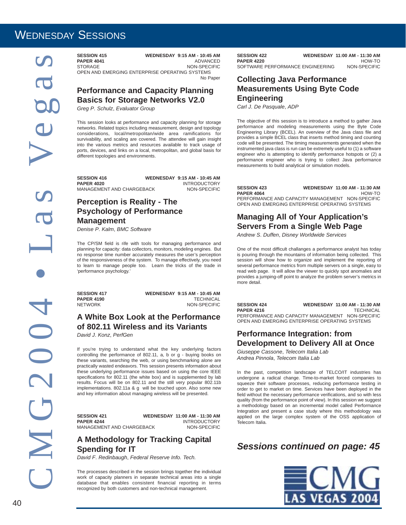## WEDNESDAY SESSIONS

SESSION ASSESSION THE CHRIST AND CHARGEBOAY STEAM -10:54 AM - 10:45 AM - 10:54 AM - 10:54 AM - 10:54 AM - 10:54 AM - 10:54 AM - 10:54 AM - 10:54 AM - 10:54 AM - 10:54 AM - 10:54 AM - 10:54 AM - 10:54 AM - 10:54 AM - 10:54

**PAPER 4041** ADVANCED<br>STORAGE NON-SPECIFIC NON-SPECIFIC OPEN AND EMERGING ENTERPRISE OPERATING SYSTEMS

No Paper

#### **Performance and Capacity Planning Basics for Storage Networks V2.0**

*Greg P*. *Schulz*, *Evaluator Group*

This session looks at performance and capacity planning for storage networks. Related topics including measurement, design and topology considerations, local/metropolitan/wide area ramifications for survivability, and scaling are covered. The attendee will gain insight into the various metrics and resources available to track usage of ports, devices, and links on a local, metropolitan, and global basis for different topologies and environments.

**SESSION 416 WEDNESDAY 9:15 AM - 10:45 AM PAPER 4020**<br>MANAGEMENT AND CHARGEBACK MON-SPECIFIC MANAGEMENT AND CHARGEBACK

### **Perception is Reality - The Psychology of Performance Management**

*Denise P*. *Kalm*, *BMC Software*

The CP/SM field is rife with tools for managing performance and planning for capacity: data collectors, monitors, modeling engines. But no response time number accurately measures the user's perception of the responsiveness of the system. To manage effectively, you need to learn to manage people too. Learn the tricks of the trade in 'performance psychology.'

**SESSION 417 WEDNESDAY 9:15 AM - 10:45 AM PAPER 4190** TECHNICAL NETWORK NON-SPECIFIC

#### **A White Box Look at the Performance of 802.11 Wireless and its Variants** *David J*. *Konz*, *PerfGen*

If you're trying to understand what the key underlying factors controlling the performance of 802.11, a, b or g - buying books on these variants, searching the web, or using benchmarking alone are practically wasted endeavors. This session presents information about these underlying performance issues based on using the core IEEE specifications for 802.11 (the white box) and is supplemented by lab results. Focus will be on 802.11 and the still very popular 802.11b implementations. 802.11a & g will be touched upon. Also some new and key information about managing wireless will be presented.

**PAPER 4244** INTRODUCTORY<br>MANAGEMENT AND CHARGEBACK MON-SPECIFIC MANAGEMENT AND CHARGEBACK

**SESSION 421 WEDNESDAY 11:00 AM - 11:30 AM**

#### **A Methodology for Tracking Capital Spending for IT**

*David F*. *Redinbaugh*, *Federal Reserve Info. Tech.*

The processes described in the session brings together the individual work of capacity planners in separate technical areas into a single database that enables consistent financial reporting in terms recognized by both customers and non-technical management.

**SESSION 422 WEDNESDAY 11:00 AM - 11:30 AM**<br>HOW-TO **PAPER 4220 HOW-TO**<br>SOFTWARE PERFORMANCE ENGINEERING MON-SPECIFIC SOFTWARE PERFORMANCE ENGINEERING

#### **Collecting Java Performance Measurements Using Byte Code Engineering**

*Carl J*. *De Pasquale*, *ADP*

The objective of this session is to introduce a method to gather Java performance and modeling measurements using the Byte Code Engineering Library (BCEL). An overview of the Java class file and provides a simple BCEL class that inserts method timing and counting code will be presented. The timing measurements generated when the instrumented java class is run can be extremely useful to (1) a software engineer who is attempting to identify performance hotspots or (2) a performance engineer who is trying to collect Java performance measurements to build analytical or simulation models.

**SESSION 423 WEDNESDAY 11:00 AM - 11:30 AM PAPER 4064** HOW-TO PERFORMANCE AND CAPACITY MANAGEMENT NON-SPECIFIC OPEN AND EMERGING ENTERPRISE OPERATING SYSTEMS

#### **Managing All of Your Application's Servers From a Single Web Page**

*Andrew S*. *Duffen*, *Disney Worldwide Services*

One of the most difficult challanges a performance analyst has today is pouring through the mountains of information being collected. This session will show how to organize and implement the reporting of several performance metrics from multiple servers on a single, easy to read web page. It will allow the viewer to quickly spot anomalies and provides a jumping-off point to analyze the problem server's metrics in more detail.

| <b>SESSION 424</b>                  | <b>WEDNESDAY 11:00 AM - 11:30 AM</b> |              |
|-------------------------------------|--------------------------------------|--------------|
| <b>PAPER 4216</b>                   |                                      | TECHNICAL    |
| PERFORMANCE AND CAPACITY MANAGEMENT |                                      | NON-SPECIFIC |

PERFORMANCE AND CAPACITY MANAGEMENT NON-SPECIFIC OPEN AND EMERGING ENTERPRISE OPERATING SYSTEMS

#### **Performance Integration: from Development to Delivery All at Once**

*Giuseppe Cassone*, *Telecom Italia Lab Andrea Pinnola*, *Telecom Italia Lab*

In the past, competition landscape of TELCO/IT industries has undergone a radical change. Time-to-market forced companies to squeeze their software processes, reducing performance testing in order to get to market on time. Services have been deployed in the field without the necessary performance verifications, and so with less quality (from the performance point of view). In this session we suggest a methodology based on an incremental model called Performance Integration and present a case study where this methodology was applied on the large complex system of the OSS application of Telecom Italia.

### *Sessions continued on page: 45*

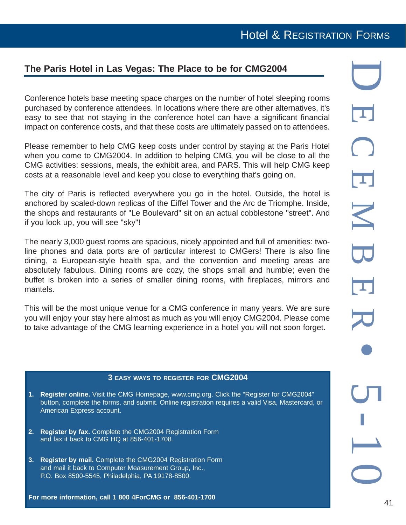## Hotel & REGISTRATION FORMS

### **The Paris Hotel in Las Vegas: The Place to be for CMG2004**

Conference hotels base meeting space charges on the number of hotel sleeping rooms purchased by conference attendees. In locations where there are other alternatives, it's easy to see that not staying in the conference hotel can have a significant financial impact on conference costs, and that these costs are ultimately passed on to attendees.

Please remember to help CMG keep costs under control by staying at the Paris Hotel when you come to CMG2004. In addition to helping CMG, you will be close to all the CMG activities: sessions, meals, the exhibit area, and PARS. This will help CMG keep costs at a reasonable level and keep you close to everything that's going on.

The city of Paris is reflected everywhere you go in the hotel. Outside, the hotel is anchored by scaled-down replicas of the Eiffel Tower and the Arc de Triomphe. Inside, the shops and restaurants of "Le Boulevard" sit on an actual cobblestone "street". And if you look up, you will see "sky"!

The nearly 3,000 guest rooms are spacious, nicely appointed and full of amenities: twoline phones and data ports are of particular interest to CMGers! There is also fine dining, a European-style health spa, and the convention and meeting areas are absolutely fabulous. Dining rooms are cozy, the shops small and humble; even the buffet is broken into a series of smaller dining rooms, with fireplaces, mirrors and mantels.

This will be the most unique venue for a CMG conference in many years. We are sure you will enjoy your stay here almost as much as you will enjoy CMG2004. Please come to take advantage of the CMG learning experience in a hotel you will not soon forget.

#### **3 EASY WAYS TO REGISTER FOR CMG2004**

- **1. Register online.** Visit the CMG Homepage, www.cmg.org. Click the "Register for CMG2004" button, complete the forms, and submit. Online registration requires a valid Visa, Mastercard, or American Express account.
- **2. Register by fax.** Complete the CMG2004 Registration Form and fax it back to CMG HQ at 856-401-1708.
- **3. Register by mail.** Complete the CMG2004 Registration Form and mail it back to Computer Measurement Group, Inc., P.O. Box 8500-5545, Philadelphia, PA 19178-8500.

**For more information, call 1 800 4ForCMG or 856-401-1700**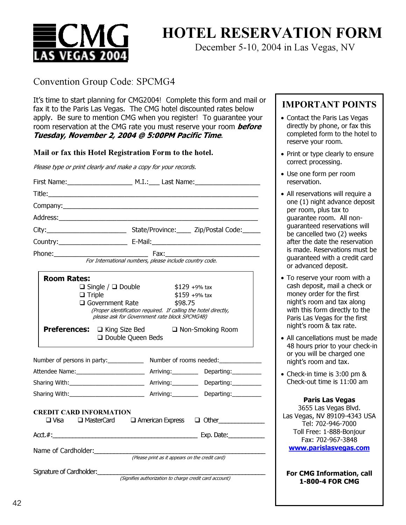

December 5-10, 2004 in Las Vegas, NV

#### Convention Group Code: SPCMG4

It's time to start planning for CMG2004! Complete this form and mail or fax it to the Paris Las Vegas. The CMG hotel discounted rates below apply. Be sure to mention CMG when you register! To guarantee your room reservation at the CMG rate you must reserve your room **before Tuesday, November 2, 2004 @ 5:00PM Pacific Time**.

## **Mail or fax this Hotel Registration Form to the hotel.**

Please type or print clearly and make a copy for your records.

| Company: the company of the company of the company of the company of the company of the company of the company |                                                                                                                  |
|----------------------------------------------------------------------------------------------------------------|------------------------------------------------------------------------------------------------------------------|
|                                                                                                                |                                                                                                                  |
|                                                                                                                |                                                                                                                  |
|                                                                                                                |                                                                                                                  |
|                                                                                                                |                                                                                                                  |
|                                                                                                                | For International numbers, please include country code.                                                          |
| <b>Room Rates:</b>                                                                                             |                                                                                                                  |
| $\Box$ Single / $\Box$ Double                                                                                  | $$129 + 9\%$ tax                                                                                                 |
| $\Box$ Triple                                                                                                  | $$159 + 9\%$ tax                                                                                                 |
| $\Box$ Government Rate                                                                                         | \$98.75                                                                                                          |
|                                                                                                                | (Proper identification required. If calling the hotel directly,<br>please ask for Government rate block SPCMG4B) |
| $\Box$ Double Queen Beds                                                                                       | <b>Preferences:</b> The King Size Bed The Non-Smoking Room                                                       |
|                                                                                                                | Number of persons in party:______________ Number of rooms needed:_______________                                 |
|                                                                                                                |                                                                                                                  |
|                                                                                                                |                                                                                                                  |
|                                                                                                                |                                                                                                                  |
| <b>CREDIT CARD INFORMATION</b>                                                                                 | $\square$ Visa $\square$ MasterCard $\square$ American Express $\square$ Other                                   |
|                                                                                                                |                                                                                                                  |
| Name of Cardholder:<br>(Please print as it appears on the credit card)                                         |                                                                                                                  |
| Signature of Cardholder:                                                                                       | (Signifies authorization to charge credit card account)                                                          |

#### **IMPORTANT POINTS**

- Contact the Paris Las Vegas directly by phone, or fax this completed form to the hotel to reserve your room.
- Print or type clearly to ensure correct processing.
- Use one form per room reservation.
- All reservations will require a one (1) night advance deposit per room, plus tax to guarantee room. All nonguaranteed reservations will be cancelled two (2) weeks after the date the reservation is made. Reservations must be guaranteed with a credit card or advanced deposit.
- To reserve your room with a cash deposit, mail a check or money order for the first night's room and tax along with this form directly to the Paris Las Vegas for the first night's room & tax rate.
- All cancellations must be made 48 hours prior to your check-in or you will be charged one night's room and tax.
- Check-in time is 3:00 pm & Check-out time is 11:00 am

#### **Paris Las Vegas**

3655 Las Vegas Blvd. Las Vegas, NV 89109-4343 USA Tel: 702-946-7000 Toll Free: 1-888-Bonjour Fax: 702-967-3848

**www.parislasvegas.com**

**For CMG Information, call 1-800-4 FOR CMG**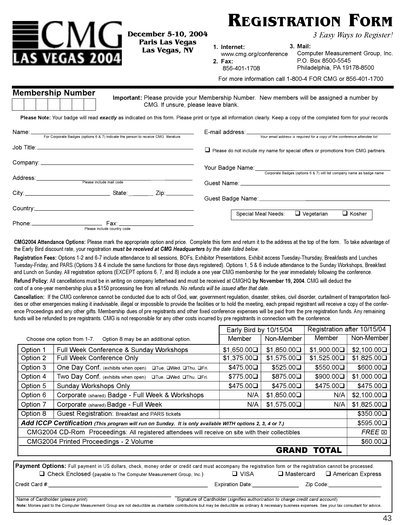

**December 5-10, 2004 Las Vegas, NV Las Vegas, NV**

**EXECTED AND SEASY Ways to Register!** 

**1. Internet:**

856-401-1708

**2. Fax:**

**3. Mail:**

www.cmg.org/conference Computer Measurement Group, Inc. P.O. Box 8500-5545 Philadelphia, PA 19178-8500

For more information call 1-800-4 FOR CMG or 856-401-1700

|  | <b>Membership Number</b> |  |  |
|--|--------------------------|--|--|
|  |                          |  |  |

**Important:** Please provide your Membership Number. New members will be assigned a number by CMG. If unsure, please leave blank.

**Please Note:** Your badge will read *exactly* as indicated on this form. Please print or type all information clearly. Keep a copy of the completed form for your records

| Name:__   |                                                                                    |                                                                                                                              |
|-----------|------------------------------------------------------------------------------------|------------------------------------------------------------------------------------------------------------------------------|
|           | For Corporate Badges (options 6 & 7) indicate the person to receive CMG literature | Your email address is required for a copy of the conference attendee list                                                    |
|           |                                                                                    | $\Box$ Please do not include my name for special offers or promotions from CMG partners.                                     |
|           |                                                                                    | Your Badge Name: Vour Badge Name:                                                                                            |
| Address:_ | Please include mail code                                                           | Corporate Badges (options 6 & 7) will list company name as badge name<br>Guest Name: <u>Alexander Contract Communication</u> |
|           | State Zip:_________                                                                |                                                                                                                              |
| Country:  | <u> 1980 - Johann John Stone, Amerikaansk politiker († 1908)</u>                   | $\Box$ Vegetarian<br>Special Meal Needs:<br>$\Box$ Kosher                                                                    |
|           | Phone:__________________________<br>Fax: __________________________                |                                                                                                                              |

Please include country code

**CMG2004 Attendance Options:** Please mark the appropriate option and price. Complete this form and return it to the address at the top of the form. To take advantage of the Early Bird discount rate, your registration *must be received at CMG Headquarters by the date listed below*.

**Registration Fees:** Options 1-2 and 6-7 include attendance to all sessions, BOFs, Exhibitor Presentations, Exhibit access Tuesday-Thursday, Breakfasts and Lunches Tuesday-Friday, and PARS (Options 3 & 4 include the same functions for those days registered). Options 1, 5 & 6 include attendance to the Sunday Workshops, Breakfast and Lunch on Sunday. All registration options (EXCEPT options 6, 7, and 8) include a one year CMG membership for the year immediately following the conference. **Refund Policy:** All cancellations must be in writing on company letterhead and must be received at CMGHQ **by November 19, 2004**. CMG will deduct the cost of a one-year membership plus a \$150 processing fee from all refunds. *No refunds will be issued after that date.* 

**Cancellation:** If the CMG conference cannot be conducted due to acts of God, war, government regulation, disaster, strikes, civil disorder, curtailment of transportation facilities or other emergencies making it inadvisable, illegal or impossible to provide the facilities or to hold the meeting, each prepaid registrant will receive a copy of the conference Proceedings and any other gifts. Membership dues of pre registrants and other fixed conference expenses will be paid from the pre registration funds. Any remaining funds will be refunded to pre registrants. CMG is not responsible for any other costs incurred by pre registrants in connection with the conference.

|                                                                                                                                                          | Early Bird by 10/15/04                                               |             | Registration after 10/15/04 |                  |               |
|----------------------------------------------------------------------------------------------------------------------------------------------------------|----------------------------------------------------------------------|-------------|-----------------------------|------------------|---------------|
|                                                                                                                                                          | Choose one option from 1-7.<br>Option 8 may be an additional option. | Member      | Non-Member                  | Member           | Non-Member    |
| Option 1                                                                                                                                                 | Full Week Conference & Sunday Workshops                              | \$1,650.00□ | \$1,850.00□                 | \$1,900.00□      | \$2,100.00□   |
| Option 2                                                                                                                                                 | Full Week Conference Only                                            | \$1,375.00□ | \$1,575.00□                 | \$1,525.00       | \$1,825.00□   |
| Option 3                                                                                                                                                 | One Day Conf. (exhibits when open)<br>□Tue. □Wed. □Thu. □Fri.        | \$475.00□   | $$525.00\Box$               | $$550.00\square$ | \$600.00      |
| Option 4                                                                                                                                                 | Two Day Conf. (exhibits when open)<br>OTue, OWed, OThu, OFri.        | \$775.00□   | \$875.00□                   | $$900.00\square$ | \$1,000.000   |
| Option 5                                                                                                                                                 | Sunday Workshops Only                                                | \$475.00□   | \$475.00□                   | \$475.00□        | \$475.00□     |
| Option 6                                                                                                                                                 | Corporate (shared) Badge - Full Week & Workshops                     | N/A         | \$1,850.00                  | N/A              | \$2,100.00□   |
| Option 7                                                                                                                                                 | Corporate (shared) Badge - Full Week                                 | N/A         | \$1,575.00                  | N/A              | \$1,825.00□   |
| Option 8<br>Guest Registration: Breakfast and PARS tickets                                                                                               |                                                                      |             |                             |                  | $$350.00\Box$ |
| Add ICCP Certification (This program will run on Sunday. It is only available WITH options 2, 3, 4 or 7.)                                                |                                                                      |             |                             |                  | $$595.00\Box$ |
| CMG2004 CD-Rom Proceedings: All registered attendees will receive on site with their collectibles                                                        |                                                                      |             |                             | FREE <b>E</b>    |               |
| CMG2004 Printed Proceedings - 2 Volume                                                                                                                   |                                                                      |             |                             | $$60.00\square$  |               |
|                                                                                                                                                          |                                                                      |             | <b>GRAND</b>                | <b>TOTAL</b>     |               |
| Downant Ontiana: Full account in UC dellere, sheek, means coder are credit and must accompany the maintation form on the maintention account he measured |                                                                      |             |                             |                  |               |

**Payment Options:** Full payment in US dollars, check, money order or credit card must accompany the registration form or the registration cannot be processed. □ Check Enclosed (payable to The Computer Measurement Group, Inc.) □ VISA □ Mastercard □ American Express Credit Card #:\_\_\_\_\_\_\_\_\_\_\_\_\_\_\_\_\_\_\_\_\_\_\_\_\_\_\_\_\_\_\_\_\_\_\_\_\_\_\_\_\_\_\_\_\_\_\_\_ Expiration Date:\_\_\_\_\_\_\_\_\_\_\_\_\_\_ Zip Code:\_\_\_\_\_\_\_\_\_\_\_\_\_\_\_\_\_\_

\_\_\_\_\_\_\_\_\_\_\_\_\_\_\_\_\_\_\_\_\_\_\_\_\_\_\_\_\_\_\_\_\_\_\_\_\_\_\_\_\_\_\_\_\_\_\_ \_\_\_\_\_\_\_\_\_\_\_\_\_\_\_\_\_\_\_\_\_\_\_\_\_\_\_\_\_\_\_\_\_\_\_\_\_\_\_\_\_\_\_\_\_\_\_\_\_\_\_\_\_\_\_\_\_\_\_\_\_\_

Name of Cardholder (*please print*) Signature of Cardholder (*signifies authorization to charge credit card account*)

Note: Monies paid to the Computer Measurement Group are not deductible as charitable contributions but may be deductible as ordinary & necessary business expenses. See your tax consultant for advice.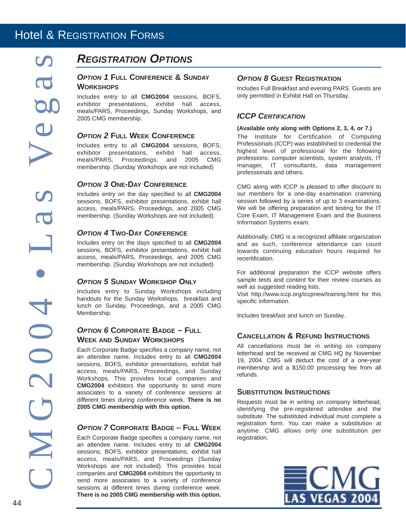## *REGISTRATION OPTIONS*

#### *OPTION 1* **FULL CONFERENCE & SUNDAY WORKSHOPS**

Includes entry to all **CMG2004** sessions, BOFS, exhibitor presentations, exhibit hall access, meals/PARS, Proceedings, Sunday Workshops, and 2005 CMG membership.

#### *OPTION 2* **FULL WEEK CONFERENCE**

Includes entry to all **CMG2004** sessions, BOFS, exhibitor presentations, exhibit hall access, meals/PARS, Proceedings, and 2005 CMG membership. (Sunday Workshops are not included)

#### *OPTION 3* **ONE-DAY CONFERENCE**

Includes entry on the day specified to all **CMG2004** sessions, BOFS, exhibitor presentations, exhibit hall access, meals/PARS, Proceedings, and 2005 CMG membership. (Sunday Workshops are not included)

#### *OPTION 4* **TWO-DAY CONFERENCE**

Includes entry on the days specified to all **CMG2004** sessions, BOFS, exhibitor presentations, exhibit hall access, meals/PARS, Proceedings, and 2005 CMG membership. (Sunday Workshops are not included)

#### *OPTION 5* **SUNDAY WORKSHOP ONLY**

Includes entry to Sunday Workshops including handouts for the Sunday Workshops, breakfast and lunch on Sunday, Proceedings, and a 2005 CMG Membership.

#### *OPTION 6* **CORPORATE BADGE – FULL WEEK AND SUNDAY WORKSHOPS**

Each Corporate Badge specifies a company name, not an attendee name. Includes entry to all **CMG2004** sessions, BOFS, exhibitor presentations, exhibit hall access, meals/PARS, Proceedings, and Sunday Workshops. This provides local companies and **CMG2004** exhibitors the opportunity to send more associates to a variety of conference sessions at different times during conference week. **There is no 2005 CMG membership with this option.**

#### *OPTION 7* **CORPORATE BADGE – FULL WEEK**

Each Corporate Badge specifies a company name, not an attendee name. Includes entry to all **CMG2004** sessions, BOFS, exhibitor presentations, exhibit hall access, meals/PARS, and Proceedings (Sunday Workshops are not included). This provides local companies and **CMG2004** exhibitors the opportunity to send more associates to a variety of conference sessions at different times during conference week. **There is no 2005 CMG membership with this option.**

#### *OPTION 8* **GUEST REGISTRATION**

Includes Full Breakfast and evening PARS. Guests are only permitted in Exhibit Hall on Thursday.

#### *ICCP CERTIFICATION*

#### **(Available only along with Options 2, 3, 4, or 7.)**

The Institute for Certification of Computing Professionals (ICCP) was established to credential the highest level of professional for the following professions: computer scientists, system analysts, IT manager, IT consultants, data management professionals and others.

CMG along with ICCP is pleased to offer discount to our members for a one-day examination cramming session followed by a series of up to 3 examinations. We will be offering preparation and testing for the IT Core Exam, IT Management Exam and the Business Information Systems exam.

Additionally, CMG is a recognized affiliate organization and as such, conference attendance can count towards continuing education hours required for recertification.

For additional preparation the ICCP website offers sample tests and content for their review courses as well as suggested reading lists.

Visit http://www.iccp.org/iccpnew/training.html for this specific information.

Includes breakfast and lunch on Sunday.

#### **CANCELLATION & REFUND INSTRUCTIONS**

All cancellations must be in writing on company letterhead and be received at CMG HQ by November 19, 2004. CMG will deduct the cost of a one-year membership and a \$150.00 processing fee from all refunds.

#### **SUBSTITUTION INSTRUCTIONS**

Requests must be in writing on company letterhead, identifying the pre-registered attendee and the substitute. The substituted individual must complete a registration form. You can make a substitution at anytime. CMG allows only one substitution per registration.

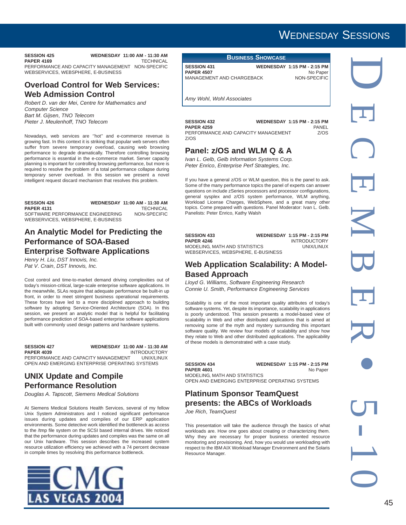WEDNESDAY SESSIONS

**PAPER 4169** 

#### **SESSION 425 WEDNESDAY 11:00 AM - 11:30 AM**

PERFORMANCE AND CAPACITY MANAGEMENT NON-SPECIFIC WEBSERVICES, WEBSPHERE, E-BUSINESS

#### **Overload Control for Web Services: Web Admission Control**

*Robert D*. *van der Mei*, *Centre for Mathematics and Computer Science Bart M*. *Gijsen*, *TNO Telecom Pieter J*. *Meulenhoff*, *TNO Telecom*

Nowadays, web services are ''hot'' and e-commerce revenue is growing fast. In this context it is striking that popular web servers often suffer from severe temporary overload, causing web browsing performance to degrade dramatically. Therefore controlling browsing performance is essential in the e-commerce market. Server capacity planning is important for controlling browsing performance, but more is required to resolve the problem of a total performance collapse during temporary server overload. In this session we present a novel intelligent request discard mechanism that resolves this problem.

### **SESSION 426 WEDNESDAY 11:00 AM - 11:30 AM**

**PAPER 4131** TECHNICAL<br>SOFTWARE PERFORMANCE ENGINEERING NON-SPECIFIC SOFTWARE PERFORMANCE ENGINEERING WEBSERVICES, WEBSPHERE, E-BUSINESS

#### **An Analytic Model for Predicting the Performance of SOA-Based Enterprise Software Applications**

*Henry H*. *Liu*, *DST Innovis, Inc.*

*Pat V*. *Crain*, *DST Innovis, Inc.*

Cost control and time-to-market demand driving complexities out of today's mission-critical, large-scale enterprise software applications. In the meanwhile, SLAs require that adequate performance be built-in up front, in order to meet stringent business operational requirements. These forces have led to a more disciplined approach to building software by adopting Service-Oriented Architecture (SOA). In this session, we present an analytic model that is helpful for facilitating performance prediction of SOA-based enterprise software applications built with commonly used design patterns and hardware systems.

#### **SESSION 427 WEDNESDAY 11:00 AM - 11:30 AM PAPER 4039** INTRODUCTORY PERFORMANCE AND CAPACITY MANAGEMENT UNIX/LINUX OPEN AND EMERGING ENTERPRISE OPERATING SYSTEMS

#### **UNIX Update and Compile Performance Resolution**

*Douglas A*. *Tapscott*, *Siemens Medical Solutions*

At Siemens Medical Solutions Health Services, several of my fellow Unix System Administrators and I noticed significant performance issues during updates and compiles of our ERP application environments. Some detective work identified the bottleneck as access to the /tmp file system on the SCSI based internal drives. We noticed that the performance during updates and compiles was the same on all our Unix hardware. This session describes the increased system resource utilization efficiency we achieved with a 74 percent decrease in compile times by resolving this performance bottleneck.



#### **BUSINESS SHOWCASE**

**SESSION 431 WEDNESDAY 1:15 PM - 2:15 PM**<br>PAPER 4507 No Paper **PAPER 4507** No Paper<br>MANAGEMENT AND CHARGEBACK NON-SPECIFIC MANAGEMENT AND CHARGEBACK

*Amy Wohl*, *Wohl Associates*

| <b>SESSION 432</b>                  | <b>WEDNESDAY 1:15 PM - 2:15 PM</b> |
|-------------------------------------|------------------------------------|
| <b>PAPER 4259</b>                   | PANFI                              |
| PERFORMANCE AND CAPACITY MANAGEMENT | 7/0S                               |
| Z/OS                                |                                    |

### **Panel: z/OS and WLM Q & A**

*Ivan L*. *Gelb*, *Gelb Information Systems Corp. Peter Enrico*, *Enterprise Perf Strategies, Inc.*

If you have a general z/OS or WLM question, this is the panel to ask. Some of the many performance topics the panel of experts can answer questions on include zSeries processors and processor configurations, general sysplex and z/OS system performance, WLM anything, Workload License Charges, WebSphere, and a great many other topics. Come prepared with questions. Panel Moderator: Ivan L. Gelb. Panelists: Peter Enrico, Kathy Walsh

| <b>SESSION 433</b>                 | <b>WEDNESDAY 1:15 PM - 2:15 PM</b> |
|------------------------------------|------------------------------------|
| <b>PAPER 4246</b>                  | <b>INTRODUCTORY</b>                |
| MODELING, MATH AND STATISTICS      | UNIX/LINUX                         |
| WEBSERVICES, WEBSPHERE, E-BUSINESS |                                    |

#### **Web Application Scalability: A Model-Based Approach**

*Lloyd G*. *Williams*, *Software Engineering Research Connie U. Smith*, *Performance Engineering Services*

Scalability is one of the most important quality attributes of today's software systems. Yet, despite its importance, scalability in applications is poorly understood. This session presents a model-based view of scalability in Web and other distributed applications that is aimed at removing some of the myth and mystery surrounding this important software quality. We review four models of scalability and show how they relate to Web and other distributed applications. The applicability of these models is demonstrated with a case study.

**SESSION 434 WEDNESDAY 1:15 PM - 2:15 PM** PAPER 4601 No Paper MODELING, MATH AND STATISTICS OPEN AND EMERGING ENTERPRISE OPERATING SYSTEMS

#### **Platinum Sponsor TeamQuest presents: the ABCs of Workloads**

*Joe Rich*, *TeamQuest*

This presentation will take the audience through the basics of what workloads are. How one goes about creating or characterizing them. Why they are necessary for proper business oriented resource monitoring and provisioning. And, how you would use workloading with respect to the IBM AIX Workload Manager Environment and the Solaris Resource Manager.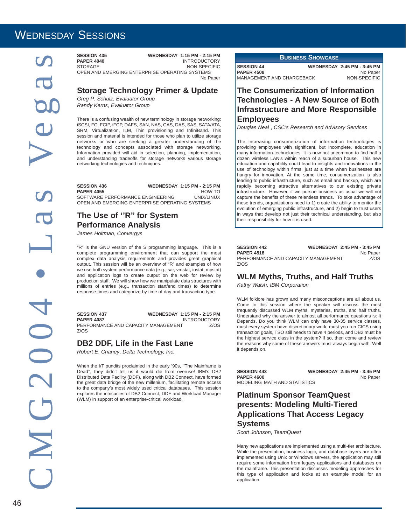## WEDNESDAY SESSIONS

**SESSION 435 WEDNESDAY 1:15 PM - 2:15 PM<br>PAPER 4040 INTRODUCTORY PAPER 4040** INTRODUCTORY NON-SPECIFIC OPEN AND EMERGING ENTERPRISE OPERATING SYSTEMS No Paper

#### **Storage Technology Primer & Update**

*Greg P*. *Schulz*, *Evaluator Group Randy Kerns*, *Evaluator Group*

There is a confusing wealth of new terminology in storage networking: iSCSI, FC, FCIP, iFCP, DAFS, SAN, NAS, CAS, DAS, SAS, SATA/ATA, SRM, Virtualization, ILM, Thin provisioning and InfiniBand. This session and material is intended for those who plan to utilize storage networks or who are seeking a greater understanding of the technology and concepts associated with storage networking. Information provided will aid in selection, planning, implementation, and understanding tradeoffs for storage networks various storage networking technologies and techniques.

**SESSION 436 WEDNESDAY 1:15 PM - 2:15 PM PAPER 4055** HOW-TO<br>SOFTWARE PERFORMANCE ENGINEERING UNIX/LINUX SOFTWARE PERFORMANCE ENGINEERING OPEN AND EMERGING ENTERPRISE OPERATING SYSTEMS

#### **The Use of ''R'' for System Performance Analysis**

*James Holtman*, *Convergys*

"R" is the GNU version of the S programming language. This is a complete programming environment that can support the most complex data analysis requirements and provides great graphical output. This session will be an overview of "R" and examples of how we use both system performance data (e.g., sar, vmstat, iostat, mpstat) and application logs to create output on the web for review by production staff. We will show how we manipulate data structures with millions of entries (e.g., transaction start/end times) to determine response times and categorize by time of day and transaction type.

**SESSION 437 WEDNESDAY 1:15 PM - 2:15 PM**<br>PAPER 4087 INTRODUCTORY **INTRODUCTORY** PERFORMANCE AND CAPACITY MANAGEMENT Z/OS Z/OS

#### **DB2 DDF, Life in the Fast Lane**

*Robert E*. *Chaney*, *Delta Technology, Inc.*

When the I/T pundits proclaimed in the early '90s, ''The Mainframe is Dead'', they didn't tell us it would die from overuse! IBM's DB2 Distributed Data Facility (DDF), along with DB2 Connect, have formed the great data bridge of the new millenium, facilitating remote access to the company's most widely used critical databases. This session explores the intricacies of DB2 Connect, DDF and Workload Manager (WLM) in support of an enterprise-critical workload.

**BUSINESS SHOWCASE**

**SESSION 44** WEDNESDAY 2:45 PM - 3:45 PM<br>PAPER 4508 Mo Paper **PAPER 4508** No Paper<br>MANAGEMENT AND CHARGEBACK NON-SPECIFIC MANAGEMENT AND CHARGEBACK

#### **The Consumerization of Information Technologies - A New Source of Both Infrastructure and More Responsible Employees**

*Douglas Neal* , *CSC's Research and Advisory Services*

The increasing consumerization of information technologies is providing employees with significant, but incomplete, education in many information technologies. It is now not uncommon to find half a dozen wireless LAN's within reach of a suburban house. This new education and capability could lead to insights and innovations in the use of technology within firms, just at a time when businesses are hungry for innovation. At the same time, consumerization is also leading to public infrastructure, such as email and backup, which are rapidly becoming attractive alternatives to our existing private infrastructure. However, if we pursue business as usual we will not capture the benefits of these relentless trends. To take advantage of these trends, organizations need to 1) create the ability to monitor the evolution of emerging public infrastructure, and 2) begin to trust users in ways that develop not just their technical understanding, but also their responsibility for how it is used.

**SESSION 442 WEDNESDAY 2:45 PM - 3:45 PM PAPER 4518** No Paper PERFORMANCE AND CAPACITY MANAGEMENT Z/OS Z/OS

#### **WLM Myths, Truths, and Half Truths**

*Kathy Walsh*, *IBM Corporation*

WLM folklore has grown and many misconceptions are all about us. Come to this session where the speaker will discuss the most frequently discussed WLM myths, mysteries, truths, and half truths. Understand why the answer to almost all performance questions is: It Depends. Do you think WLM can only have 30-35 service classes, must every system have discretionary work, must you run CICS using transaction goals, TSO still needs to have 4 periods, and DB2 must be the highest service class in the system? If so, then come and review the reasons why some of these answers must always begin with: Well it depends on.

| <b>SESSION 443</b>            | <b>WEDNESDAY 2:45 PM - 3:45 PM</b> |
|-------------------------------|------------------------------------|
| <b>PAPER 4600</b>             | No Paper                           |
| MODELING. MATH AND STATISTICS |                                    |

#### **Platinum Sponsor TeamQuest presents: Modeling Multi-Tiered Applications That Access Legacy Systems**

*Scott Johnson*, *TeamQuest*

Many new applications are implemented using a multi-tier architecture. While the presentation, business logic, and database layers are often implemented using Unix or Windows servers, the application may still require some information from legacy applications and databases on the mainframe. This presentation discusses modeling approaches for this type of application and looks at an example model for an application.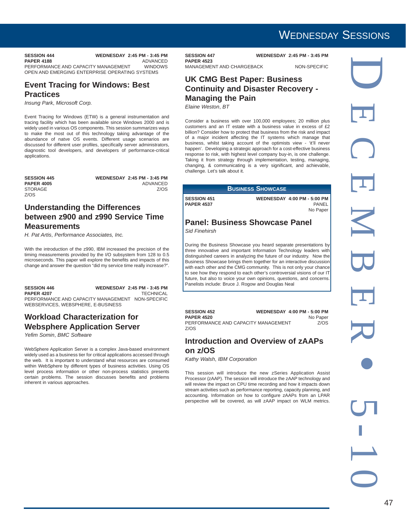**SESSION 444** WEDNESDAY 2:45 PM - 3:45 PM<br>PAPER 4188 ADVANCED **PAPER 4188** ADVANCED<br>PERFORMANCE AND CAPACITY MANAGEMENT WINDOWS PERFORMANCE AND CAPACITY MANAGEMENT OPEN AND EMERGING ENTERPRISE OPERATING SYSTEMS

#### **Event Tracing for Windows: Best Practices**

*Insung Park*, *Microsoft Corp.*

Event Tracing for Windows (ETW) is a general instrumentation and tracing facility which has been available since Windows 2000 and is widely used in various OS components. This session summarizes ways to make the most out of this technology taking advantage of the abundance of natve OS events. Different usage scenarios are discussed for different user profiles, specifically server administrators, diagnostic tool developers, and developers of performance-critical applications.

STORAGE Z/OS

**SESSION 445 WEDNESDAY 2:45 PM - 3:45 PM PAPER 4005** ADVANCED

#### **Understanding the Differences between z900 and z990 Service Time Measurements**

*H. Pat Artis*, *Performance Associates, Inc.*

With the introduction of the z990, IBM increased the precision of the timing measurements provided by the I/O subsystem from 128 to 0.5 microseconds. This paper will explore the benefits and impacts of this change and answer the question "did my service time really increase?".

**SESSION 446 WEDNESDAY 2:45 PM - 3:45 PM PAPER 4207** TECHNICAL PERFORMANCE AND CAPACITY MANAGEMENT NON-SPECIFIC WEBSERVICES, WEBSPHERE, E-BUSINESS

#### **Workload Characterization for Websphere Application Server**

*Yefim Somin*, *BMC Software*

WebSphere Application Server is a complex Java-based environment widely used as a business tier for critical applications accessed through the web. It is important to understand what resources are consumed within WebSphere by different types of business activities. Using OS level process information or other non-process statistics presents certain problems. The session discusses benefits and problems inherent in various approaches.

**SESSION 447 WEDNESDAY 2:45 PM - 3:45 PM PAPER 4523**

MANAGEMENT AND CHARGEBACK NON-SPECIFIC

#### **UK CMG Best Paper: Business Continuity and Disaster Recovery - Managing the Pain**

*Elaine Weston*, *BT*

Consider a business with over 100,000 employees; 20 million plus customers and an IT estate with a business value in excess of £2 billion? Consider how to protect that business from the risk and impact of a major incident affecting the IT systems which manage that business, whilst taking account of the optimists view - 'it'll never happen'. Developing a strategic approach for a cost-effective business response to risk, with highest level company buy-in, is one challenge. Taking it from strategy through implementation, testing, managing, changing, & communicating is a very significant, and achievable, challenge. Let's talk about it.

|                                         | <b>BUSINESS SHOWCASE</b>           |                   |
|-----------------------------------------|------------------------------------|-------------------|
| <b>SESSION 451</b><br><b>PAPER 4537</b> | <b>WEDNESDAY 4:00 PM - 5:00 PM</b> | PANEL<br>No Paper |
|                                         |                                    |                   |

#### **Panel: Business Showcase Panel** *Sid Finehirsh*

During the Business Showcase you heard separate presentations by three innovative and important Information Technology leaders with distinguished careers in analyzing the future of our industry. Now the Business Showcase brings them together for an interactive discussion with each other and the CMG community. This is not only your chance to see how they respond to each other's controversial visions of our IT future, but also to voice your own opinions, questions, and concerns. Panelists include: Bruce J. Rogow and Douglas Neal

| <b>SESSION 452</b>                  | <b>WEDNESDAY 4:00 PM - 5:00 PM</b> |          |
|-------------------------------------|------------------------------------|----------|
| <b>PAPER 4520</b>                   |                                    | No Paper |
| PERFORMANCE AND CAPACITY MANAGEMENT |                                    | Z/OS     |
| Z/OS                                |                                    |          |

#### **Introduction and Overview of zAAPs on z/OS**

*Kathy Walsh*, *IBM Corporation*

This session will introduce the new zSeries Application Assist Processor (zAAP). The session will introduce the zAAP technology and will review the impact on CPU time recording and how it impacts down stream activities such as performance reporting, capacity planning, and accounting. Information on how to configure zAAPs from an LPAR perspective will be covered, as will zAAP impact on WLM metrics.

## WEDNESDAY SESSIONS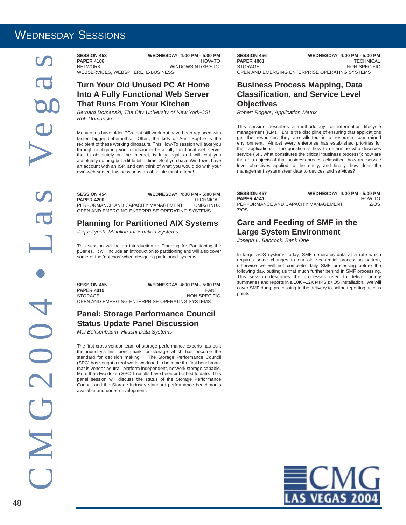## WEDNESDAY SESSIONS

C M G 2 0 0 4 • L a s Ve g a s  $2004$ NO

**SESSION 453 WEDNESDAY 4:00 PM - 5:00 PM PAPER 4186**<br>NETWORK WINDOWS NT/XP/ETC. WEBSERVICES, WEBSPHERE, E-BUSINESS

#### **Turn Your Old Unused PC At Home Into A Fully Functional Web Server That Runs From Your Kitchen**

*Bernard Domanski*, *The City University of New York-CSI Rob Domanski*

Many of us have older PCs that still work but have been replaced with faster, bigger behemoths. Often, the kids or Aunt Sophie is the recipient of these working dinosaurs. This How-To session will take you through configuring your dinosaur to be a fully functional web server that is absolutely on the Internet, is fully legal, and will cost you absolutely nothing but a little bit of time. So if you have Windows, have an account with an ISP, and can think of what you would do with your own web server, this session is an absolute must-attend!

| <b>SESSION 454</b>                             | <b>WEDNESDAY 4:00 PM - 5:00 PM</b> |  |
|------------------------------------------------|------------------------------------|--|
| <b>PAPER 4200</b>                              | <b>TECHNICAL</b>                   |  |
| PERFORMANCE AND CAPACITY MANAGEMENT            | UNIX/LINUX                         |  |
| OPEN AND EMERGING ENTERPRISE OPERATING SYSTEMS |                                    |  |

#### **Planning for Partitioned AIX Systems**

*Jaqui Lynch*, *Mainline Information Systems*

This session will be an introduction to Planning for Partitioning the pSeries. It will include an introduction to partitioning and will also cover some of the 'gotchas' when designing partitioned systems.

**SESSION 455 WEDNESDAY 4:00 PM - 5:00 PM**<br>PAPER 4019 **PAPER 4019**<br>STORAGE NON-SPECIFIC OPEN AND EMERGING ENTERPRISE OPERATING SYSTEMS

#### **Panel: Storage Performance Council Status Update Panel Discussion**

*Mel Boksenbaum*, *Hitachi Data Systems*

The first cross-vendor team of storage performance experts has built the industry's first benchmark for storage which has become the standard for decision making. The Storage Performance Council (SPC) has sought a real-world workload to become the first benchmark that is vendor-neutral, platform independent, network storage capable. More than two dozen SPC-1 results have been published to date. This panel session will discuss the status of the Storage Performance Council and the Storage Industry standard performance benchmarks available and under development.

**SESSION 456 WEDNESDAY 4:00 PM - 5:00 PM**<br>PAPER 4001 TECHNICAL **PAPER 4001**<br>STORAGE NON-SPECIFIC OPEN AND EMERGING ENTERPRISE OPERATING SYSTEMS

#### **Business Process Mapping, Data Classification, and Service Level Objectives**

*Robert Rogers*, *Application Matrix*

This session describes a methodology for information lifecycle management (ILM). ILM is the discipline of ensuring that applications get the resources they are allotted in a resource constrained environment. Almost every enterprise has established priorities for their applications. The question is how to determine who deserves service (i.e., what constitutes the critical "business process"); how are the data objects of that business process classified, how are service level objectives applied to the entity, and finally, how does the management system steer data to devices and services?

| <b>SESSION 457</b>                  | <b>WEDNESDAY 4:00 PM - 5:00 PM</b> |        |
|-------------------------------------|------------------------------------|--------|
| <b>PAPER 4141</b>                   |                                    | HOW-TO |
| PERFORMANCE AND CAPACITY MANAGEMENT |                                    | 7/0S   |
| Z/OS                                |                                    |        |

#### **Care and Feeding of SMF in the Large System Environment**

*Joseph L*. *Babcock*, *Bank One*

In large z/OS systems today, SMF generates data at a rate which requires some changes to our old sequential processing pattern, otherwise we will not complete daily SMF processing before the following day, putting us that much further behind in SMF processing. This session describes the processes used to deliver timely summaries and reports in a 10K –12K MIPS z / OS installation. We will cover SMF dump processing to the delivery to online reporting access points.

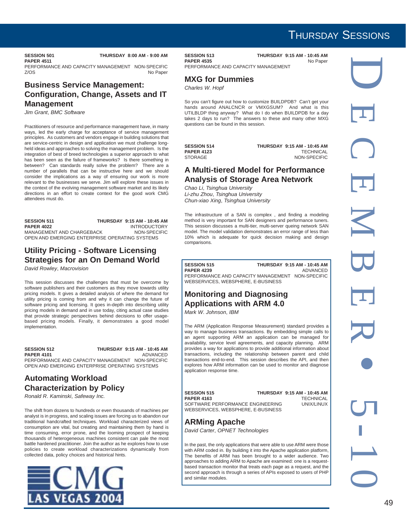#### **PAPER 4511**

**SESSION 501 THURSDAY 8:00 AM - 9:00 AM**

PERFORMANCE AND CAPACITY MANAGEMENT NON-SPECIFIC Z/OS No Paper

#### **Business Service Management: Configuration, Change, Assets and IT Management**

*Jim Grant*, *BMC Software*

Practitioners of resource and performance management have, in many ways, led the early charge for acceptance of service management principles. As customers and vendors engage in building solutions that are service-centric in design and application we must challenge longheld ideas and approaches to solving the management problem. Is the integration of best of breed technologies a superior approach to what has been seen as the failure of frameworks? Is there something in between? Can standards really solve the problem? There are a number of parallels that can be instructive here and we should consider the implications as a way of ensuring our work is more relevant to the businesses we serve. Jim will explore these issues in the context of the evolving management software market and its likely directions in an effort to create context for the good work CMG attendees must do.

#### **SESSION 511 THURSDAY 9:15 AM - 10:45 AM PAPER 4022** INTRODUCTORY<br>MANAGEMENT AND CHARGEBACK MON-SPECIFIC MANAGEMENT AND CHARGEBACK OPEN AND EMERGING ENTERPRISE OPERATING SYSTEMS

#### **Utility Pricing - Software Licensing Strategies for an On Demand World**

*David Rowley*, *Macrovision*

This session discusses the challenges that must be overcome by software publishers and their customers as they move towards utility pricing models. It gives a detailed analysis of where the demand for utility pricing is coming from and why it can change the future of software pricing and licensing. It goes in-depth into describing utility pricing models in demand and in use today, citing actual case studies that provide strategic perspectives behind decisions to offer usagebased pricing models. Finally, it demonstrates a good model implementation.

#### **SESSION 512** THURSDAY 9:15 AM - 10:45 AM<br>PAPER 4101 ADVANCED **PAPER 4101** ADVANCED PERFORMANCE AND CAPACITY MANAGEMENT NON-SPECIFIC OPEN AND EMERGING ENTERPRISE OPERATING SYSTEMS

#### **Automating Workload Characterization by Policy**

*Ronald R*. *Kaminski*, *Safeway Inc.*

The shift from dozens to hundreds or even thousands of machines per analyst is in progress, and scaling issues are forcing us to abandon our traditional handcrafted techniques. Workload characterized views of consumption are vital, but creating and maintaining them by hand is time consuming, error prone, and the looming prospect of keeping thousands of heterogeneous machines consistent can pale the most battle hardened practitioner. Join the author as he explores how to use policies to create workload characterizations dynamically from collected data, policy choices and historical hints.



**SESSION 513** THURSDAY 9:15 AM - 10:45 AM<br>PAPER 4535 No Paper **PAPER 4535** PERFORMANCE AND CAPACITY MANAGEMENT

**MXG for Dummies**

*Charles W*. *Hopf*

So you can't figure out how to customize BUILDPDB? Can't get your hands around ANALCNCR or VMXGSUM? And what is this UTILBLDP thing anyway? What do I do when BUILDPDB for a day takes 2 days to run? The answers to these and many other MXG questions can be found in this session.

**PAPER 4123**<br>STORAGE

**SESSION 514** THURSDAY 9:15 AM - 10:45 AM<br>PAPER 4123 TECHNICAL NON-SPECIFIC

#### **A Multi-tiered Model for Performance Analysis of Storage Area Network**

*Chao Li*, *Tsinghua University Li-zhu Zhou*, *Tsinghua University Chun-xiao Xing*, *Tsinghua University*

The infrastructure of a SAN is complex , and finding a modeling method is very important for SAN designers and performance tuners. This session discusses a multi-tier, multi-server queing network SAN model. The model validation demonstrates an error range of less than 10% which is adequate for quick decision making and design comparisons.

#### **PAPFR 4239**

**SESSION 515 THURSDAY 9:15 AM - 10:45 AM**<br>**PAPER 4239** ADVANCED

PERFORMANCE AND CAPACITY MANAGEMENT NON-SPECIFIC WEBSERVICES, WEBSPHERE, E-BUSINESS

#### **Monitoring and Diagnosing Applications with ARM 4.0**

*Mark W*. *Johnson*, *IBM*

The ARM (Application Response Measurement) standard provides a way to manage business transactions. By embedding simple calls to an agent supporting ARM an application can be managed for availability, service level agreements, and capacity planning. ARM provides a way for applications to provide additional information about transactions, including the relationship between parent and child transactions end-to-end. This session describes the API, and then explores how ARM information can be used to monitor and diagnose application response time.

**SESSION 515 THURSDAY 9:15 AM - 10:45 AM PAPER 4163** TECHNICAL<br>SOFTWARE PERFORMANCE ENGINEERING UNIX/UNUX SOFTWARE PERFORMANCE ENGINEERING WEBSERVICES, WEBSPHERE, E-BUSINESS

### **ARMing Apache**

*David Carter*, *OPNET Technologies*

In the past, the only applications that were able to use ARM were those with ARM coded in. By building it into the Apache application platform, The benefits of ARM has been brought to a wider audience. Two approaches to adding ARM to Apache are examined: one is a requestbased transaction monitor that treats each page as a request, and the second approach is through a series of APIs exposed to users of PHP and similar modules.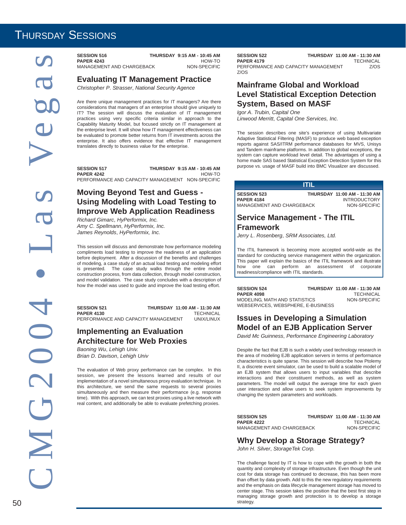**SESSION 516 THURSDAY 9:15 AM - 10:45 AM** PAPER 4243<br>MANAGEMENT AND CHARGEBACK MON-SPECIFIC MANAGEMENT AND CHARGEBACK

**Evaluating IT Management Practice**

*Christopher P*. *Strasser*, *National Security Agence*

Are there unique management practices for IT managers? Are there considerations that managers of an enterprise should give uniquely to IT? The session will discuss the evaluation of IT management practices using very specific criteria similar in approach to the Capability Maturity Model, but focused strictly on IT management at the enterprise level. It will show how IT management effectiveness can be evaluated to promote better returns from IT investments across the enterprise. It also offers evidence that effective IT management translates directly to business value for the enterprise.

**SESSION 517 THURSDAY 9:15 AM - 10:45 AM PAPER 4242** HOW-TO PERFORMANCE AND CAPACITY MANAGEMENT NON-SPECIFIC

#### **Moving Beyond Test and Guess - Using Modeling with Load Testing to Improve Web Application Readiness**

*Richard Gimarc*, *HyPerformix, Inc. Amy C*. *Spellmann*, *HyPerformix, Inc. James Reynolds*, *HyPerformix, Inc.*

This session will discuss and demonstrate how performance modeling compliments load testing to improve the readiness of an application before deployment. After a discussion of the benefits and challenges of modeling, a case study of an actual load testing and modeling effort is presented. The case study walks through the entire model construction process, from data collection, through model construction, and model validation. The case study concludes with a description of how the model was used to guide and improve the load testing effort.

**SESSION 521 THURSDAY 11:00 AM - 11:30 AM PAPER 4130** TECHNICAL PERFORMANCE AND CAPACITY MANAGEMENT

#### **Implementing an Evaluation Architecture for Web Proxies**

*Baoning Wu*, *Lehigh Univ. Brian D*. *Davison*, *Lehigh Univ*

The evaluation of Web proxy performance can be complex. In this session, we present the lessons learned and results of our implementation of a novel simultaneous proxy evaluation technique. In this architecture, we send the same requests to several proxies simultaneously and then measure their performance (e.g. response time). With this approach, we can test proxies using a live network with real content, and additionally be able to evaluate prefetching proxies.

**SESSION 522 THURSDAY 11:00 AM - 11:30 AM PAPER 4179** TECHNICAL<br>PERFORMANCE AND CAPACITY MANAGEMENT 7/OS PERFORMANCE AND CAPACITY MANAGEMENT Z/OS

#### **Mainframe Global and Workload Level Statistical Exception Detection System, Based on MASF**

*Igor A*. *Trubin*, *Capital One Linwood Merritt*, *Capital One Services, Inc.*

The session describes one site's experience of using Multivariate Adaptive Statistical Filtering (MASF) to produce web based exception reports against SAS/ITRM performance databases for MVS, Unisys and Tandem mainframe platforms. In addition to global exceptions, the system can capture workload level detail. The advantages of using a home made SAS based Statistical Exception Detection System for this purpose vs. usage of MASF build into BMC Visualizer are discussed.

|                                                                      | IT IE |                                                                     |
|----------------------------------------------------------------------|-------|---------------------------------------------------------------------|
| <b>SESSION 523</b><br><b>PAPER 4184</b><br>MANAGEMENT AND CHARGEBACK |       | THURSDAY 11:00 AM - 11:30 AM<br><b>INTRODUCTORY</b><br>NON-SPECIFIC |

#### **Service Management - The ITIL Framework**

*Jerry L*. *Rosenberg*, *SRM Associates, Ltd.*

The ITIL framework is becoming more accepted world-wide as the standard for conducting service management within the organization. This paper will explain the basics of the ITIL framework and illustrate how one can perform an assessment of corporate readiness/compliance with ITIL standards.

**SESSION 524** THURSDAY 11:00 AM - 11:30 AM<br>PAPER 4098 TECHNICAL **PAPER 4098** TECHNICAL MODELING, MATH AND STATISTICS WEBSERVICES, WEBSPHERE, E-BUSINESS

#### **Issues in Developing a Simulation Model of an EJB Application Server**

*David Mc Guinness*, *Performance Engineering Laboratory*

Despite the fact that EJB is such a widely used technology research in the area of modeling EJB application servers in terms of performance characteristics is quite sparse. This session will describe how Ptolemy II, a discrete event simulator, can be used to build a scalable model of an EJB system that allows users to input variables that describe interactions and their constituent methods, as well as system parameters. The model will output the average time for each given user interaction and allow users to seek system improvements by changing the system parameters and workloads.

**SESSION 525 THURSDAY 11:00 AM - 11:30 AM**<br>**PAPER 4222** TECHNICAL **TECHNICAL**<br>NON-SPECIFIC MANAGEMENT AND CHARGEBACK

#### **Why Develop a Storage Strategy?**

*John H*. *Silver*, *StorageTek Corp.*

The challenge faced by IT is how to cope with the growth in both the quantity and complexity of storage infrastructure. Even though the unit cost for data storage has continued to decrease, this has been more than offset by data growth. Add to this the new regulatory requirements and the emphasis on data lifecycle management storage has moved to center stage. This session takes the position that the best first step in managing storage growth and protection is to develop a storage  $50$  strategy.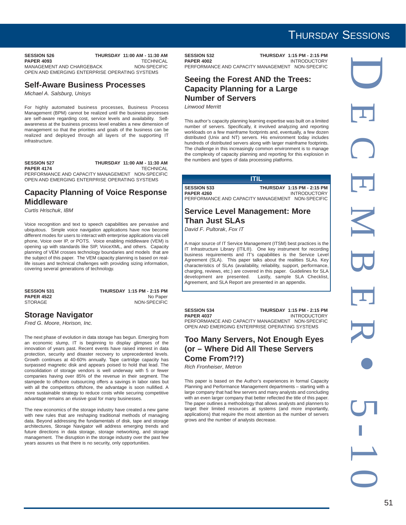**SESSION 526 THURSDAY 11:00 AM - 11:30 AM PAPER 4093** TECHNICAL<br>MANAGEMENT AND CHARGEBACK MON-SPECIFIC MANAGEMENT AND CHARGEBACK OPEN AND EMERGING ENTERPRISE OPERATING SYSTEMS

#### **Self-Aware Business Processes**

*Michael A*. *Salsburg*, *Unisys*

For highly automated business processes, Business Process Management (BPM) cannot be realized until the business processes are self-aware regarding cost, service levels and availability. Selfawareness at the business process level enables a new dimension of management so that the priorities and goals of the business can be realized and deployed through all layers of the supporting IT infrastructure.

**SESSION 527 THURSDAY 11:00 AM - 11:30 AM PAPER 4174** TECHNICAL PERFORMANCE AND CAPACITY MANAGEMENT NON-SPECIFIC OPEN AND EMERGING ENTERPRISE OPERATING SYSTEMS

#### **Capacity Planning of Voice Response Middleware**

*Curtis Hrischuk*, *IBM*

Voice recognition and text to speech capabilities are pervasive and ubiquitous. Simple voice navigation applications have now become different modes for users to interact with enterprise applications via cell phone, Voice over IP, or POTS. Voice enabling middleware (VEM) is opening up with standards like SIP, VoiceXML, and others. Capacity planning of VEM crosses technology boundaries and models that are the subject of this paper. The VEM capacity planning is based on reallife issues and technical challenges with providing sizing information, covering several generations of technology.

**SESSION 531 THURSDAY 1:15 PM - 2:15 PM PAPER 4522** No Paper STORAGE NON-SPECIFIC

#### **Storage Navigator**

*Fred G*. *Moore*, *Horison, Inc.*

The next phase of evolution in data storage has begun. Emerging from an economic slump, IT is beginning to display glimpses of the innovation of years past. Recent events have raised interest in data protection, security and disaster recovery to unprecedented levels. Growth continues at 40-60% annually. Tape cartridge capacity has surpassed magnetic disk and appears poised to hold that lead. The consolidation of storage vendors is well underway with 5 or fewer companies having over 85% of the revenue in their segment. The stampede to offshore outsourcing offers a savings in labor rates but with all the competitors offshore, the advantage is soon nullified. A more sustainable strategy to reduce costs while securing competitive advantage remains an elusive goal for many businesses.

The new economics of the storage industry have created a new game with new rules that are reshaping traditional methods of managing data. Beyond addressing the fundamentals of disk, tape and storage architectures, Storage Navigator will address emerging trends and future directions in data storage, storage networking, and storage management. The disruption in the storage industry over the past few years assures us that there is no security, only opportunities.

**SESSION 532 THURSDAY 1:15 PM - 2:15 PM**<br>PAPER 4002 INTRODUCTORY **INTRODUCTORY** PERFORMANCE AND CAPACITY MANAGEMENT NON-SPECIFIC

#### **Seeing the Forest AND the Trees: Capacity Planning for a Large Number of Servers**

*Linwood Merritt*

This author's capacity planning learning expertise was built on a limited number of servers. Specifically, it involved analyzing and reporting workloads on a few mainframe footprints and, eventually, a few dozen distributed (Unix and NT) servers. His environment today includes hundreds of distributed servers along with larger mainframe footprints. The challenge in this increasingly common environment is to manage the complexity of capacity planning and reporting for this explosion in the numbers and types of data processing platforms.

| ш                  |                                                  |  |  |
|--------------------|--------------------------------------------------|--|--|
| <b>SESSION 533</b> | THURSDAY 1:15 PM - 2:15 PM                       |  |  |
| <b>PAPER 4260</b>  | <b>INTRODUCTORY</b>                              |  |  |
|                    | PERFORMANCE AND CAPACITY MANAGEMENT NON-SPECIFIC |  |  |

#### **Service Level Management: More Than Just SLAs**

*David F*. *Pultorak*, *Fox IT*

A major source of IT Service Management (ITSM) best practices is the IT Infrastructure Library (ITIL®). One key instrument for recording business requirements and IT's capabilities is the Service Level Agreement (SLA). This paper talks about the realities SLAs. Key characteristics of SLAs (availability, reliability, support, performance, charging, reviews, etc.) are covered in this paper. Guidelines for SLA development are presented. Lastly, sample SLA Checklist, Agreement, and SLA Report are presented in an appendix.

### **SESSION 534** THURSDAY 1:15 PM - 2:15 PM<br>PAPER 4037 INTRODUCTORY

**INTRODUCTORY** PERFORMANCE AND CAPACITY MANAGEMENT NON-SPECIFIC OPEN AND EMERGING ENTERPRISE OPERATING SYSTEMS

#### **Too Many Servers, Not Enough Eyes (or – Where Did All These Servers Come From?!?)**

*Rich Fronheiser*, *Metron*

This paper is based on the Author's experiences in formal Capacity Planning and Performance Management departments – starting with a large company that had few servers and many analysts and concluding with an even larger company that better reflected the title of this paper. The paper outlines a methodology that allows analysts and planners to target their limited resources at systems (and more importantly, applications) that require the most attention as the number of servers grows and the number of analysts decrease.

## THURSDAY SESSIONS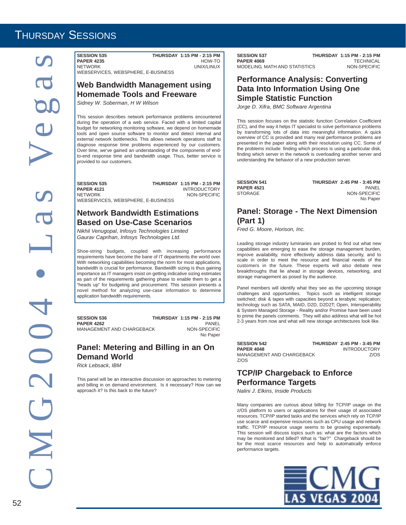**SESSION 535 THURSDAY 1:15 PM - 2:15 PM PAPER 4235**<br>NETWORK UNIX/LINUX WEBSERVICES, WEBSPHERE, E-BUSINESS

#### **Web Bandwidth Management using Homemade Tools and Freeware**

*Sidney W*. *Soberman*, *H W Wilson*

This session describes network performance problems encountered during the operation of a web service. Faced with a limited capital budget for networking monitoring software, we depend on homemade tools and open source software to monitor and detect internal and external network bottlenecks. This allows network operations staff to diagnose response time problems experienced by our customers. Over time, we've gained an understanding of the components of endto-end response time and bandwidth usage. Thus, better service is provided to our customers.

**SESSION 535 THURSDAY 1:15 PM - 2:15 PM**<br>PAPER 4121 INTRODUCTORY **PAPER 4121** INTRODUCTORY<br>
NETWORK NETWORK NON-SPECIEIC WEBSERVICES, WEBSPHERE, E-BUSINESS

#### **Network Bandwidth Estimations Based on Use-Case Scenarios**

*Nikhil Venugopal*, *Infosys Technologies Limited Gaurav Caprihan*, *Infosys Technologies Ltd.*

Shoe-string budgets, coupled with increasing performance requirements have become the bane of IT departments the world over. With networking capabilities becoming the norm for most applications, bandwidth is crucial for performance. Bandwidth sizing is thus gaining importance as IT managers insist on getting indicative sizing estimates as part of the requirements gathering phase to enable them to get a "heads up" for budgeting and procurement. This session presents a novel method for analyzing use-case information to determine application bandwidth requirements.

**SESSION 536 THURSDAY 1:15 PM - 2:15 PM PAPER 4262** PANEL MANAGEMENT AND CHARGEBACK

No Paper

NON-SPECIFIC

#### **Panel: Metering and Billing in an On Demand World**

*Rick Lebsack*, *IBM*

This panel will be an interactive discussion on approaches to metering and billing in on demand environment. Is it necessary? How can we approach it? Is this back to the future?

**SESSION 537 THURSDAY 1:15 PM - 2:15 PM**<br>**PAPER 4069** TECHNICAL **PAPER 4069** TECHNICAL<br>MODELING, MATH AND STATISTICS NON-SPECIFIC MODELING, MATH AND STATISTICS

#### **Performance Analysis: Converting Data Into Information Using One Simple Statistic Function**

*Jorge D*. *Xifra*, *BMC Software Argentina*

This session focuses on the statistic function Correlation Coefficient (CC), and the way it helps IT specialist to solve performance problems by transforming lots of data into meaningful information. A quick overview of CC is provided and many real performance problems are presented in the paper along with their resolution using CC. Some of the problems include: finding which process is using a particular disk, finding which server in the network is overloading another server and understanding the behavior of a new production server.

| <b>SESSION 541</b> | <b>THURSDAY 2:45 PM - 3:45 PM</b> |
|--------------------|-----------------------------------|
| <b>PAPER 4521</b>  | PANEL                             |
| STORAGE            | NON-SPECIFIC                      |
|                    | No Paper                          |

#### **Panel: Storage - The Next Dimension (Part 1)**

*Fred G*. *Moore*, *Horison, Inc.*

Leading storage industry luminaries are probed to find out what new capabilities are emerging to ease the storage management burden, improve availability, more effectively address data security, and to scale in order to meet the resource and financial needs of the customers in the future. These experts will also debate new breakthroughs that lie ahead in storage devices, networking, and storage management as posed by the audience.

Panel members will identify what they see as the upcoming storage challenges and opportunities. Topics such as intelligent storage switched; disk & tapes with capacities beyond a terabyte; replication; technology such as SATA, MAID, D2D, D2D2T; Open, Interoperability & System Managed Storage - Reality and/or Promise have been used to prime the panels comments. They will also address what will be hot 2-3 years from now and what will new storage architectures look like.

| <b>SESSION 542</b>        | <b>THURSDAY 2:45 PM - 3:45 PM</b> |
|---------------------------|-----------------------------------|
| <b>PAPER 4048</b>         | <b>INTRODUCTORY</b>               |
| MANAGEMENT AND CHARGEBACK | 7/0S                              |
| Z/OS                      |                                   |

#### **TCP/IP Chargeback to Enforce Performance Targets**

*Nalini J*. *Elkins*, *Inside Products*

Many companies are curious about billing for TCP/IP usage on the z/OS platform to users or applications for their usage of associated resources. TCP/IP started tasks and the services which rely on TCP/IP use scarce and expensive resources such as CPU usage and network traffic. TCP/IP resource usage seems to be growing exponentially. This session will discuss topics such as: what are the factors which may be monitored and billed? What is "fair?" Chargeback should be for the most scarce resources and help to automatically enforce performance targets.

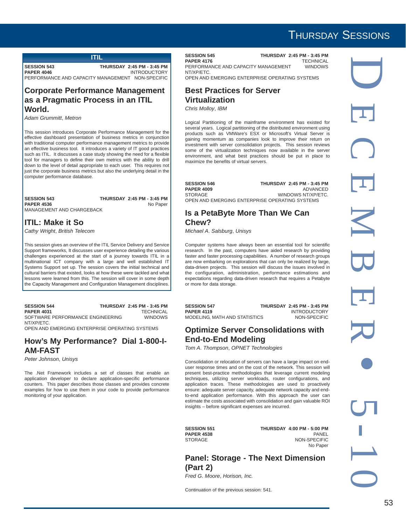#### **ITIL**

**SESSION 543** THURSDAY 2:45 PM - 3:45 PM<br>PAPER 4046 MITRODUCTORY **PAPER 4046 INTRODUCTORY** PERFORMANCE AND CAPACITY MANAGEMENT NON-SPECIFIC

#### **Corporate Performance Management as a Pragmatic Process in an ITIL World.**

*Adam Grummitt*, *Metron*

This session introduces Corporate Performance Management for the effective dashboard presentation of business metrics in conjunction with traditional computer performance management metrics to provide an effective business tool. It introduces a variety of IT good practices such as ITIL. It discusses a case study showing the need for a flexible tool for managers to define their own metrics with the ability to drill down to the level of detail appropriate to each user. This requires not just the corporate business metrics but also the underlying detail in the computer performance database.

#### **SESSION 543 THURSDAY 2:45 PM - 3:45 PM** PAPER 4536 No Paper MANAGEMENT AND CHARGEBACK

## **ITIL: Make it So**

*Cathy Wright*, *British Telecom*

This session gives an overview of the ITIL Service Delivery and Service Support frameworks, It discusses user experience detailing the various challenges experienced at the start of a journey towards ITIL in a multinational ICT company with a large and well established IT Systems Support set up. The session covers the initial technical and cultural barriers that existed, looks at how these were tackled and what lessons were learned from this. The session will cover in some depth the Capacity Management and Configuration Management disciplines.

#### **SESSION 544** THURSDAY 2:45 PM - 3:45 PM<br>PAPER 4031 TECHNICAL **PAPER 4031** TECHNICAL<br>SOFTWARE PERFORMANCE ENGINEERING WINDOWS SOFTWARE PERFORMANCE ENGINEERING NT/XP/ETC.

OPEN AND EMERGING ENTERPRISE OPERATING SYSTEMS

#### **How's My Performance? Dial 1-800-I-AM-FAST**

*Peter Johnson*, *Unisys*

The .Net Framework includes a set of classes that enable an application developer to declare application-specific performance counters. This paper describes those classes and provides concrete examples for how to use them in your code to provide performance monitoring of your application.

**SESSION 545 THURSDAY 2:45 PM - 3:45 PM**<br>PAPER 4176 TECHNICAL **PAPER 4176** TECHNICAL<br>PERFORMANCE AND CAPACITY MANAGEMENT WINDOWS PERFORMANCE AND CAPACITY MANAGEMENT NT/XP/ETC. OPEN AND EMERGING ENTERPRISE OPERATING SYSTEMS

#### **Best Practices for Server Virtualization**

*Chris Molloy*, *IBM*

Logical Partitioning of the mainframe environment has existed for several years. Logical partitioning of the distributed environment using products such as VMWare's ESX or Microsoft's Virtual Server is gaining momentum as companies look to improve their return on investment with server consolidation projects. This session reviews some of the virtualization techniques now available in the server environment, and what best practices should be put in place to maximize the benefits of virtual servers.

**SESSION 546 THURSDAY 2:45 PM - 3:45 PM**<br>PAPER 4009 ADVANCED **PAPER 4009**<br>STORAGE WINDOWS NT/XP/ETC. OPEN AND EMERGING ENTERPRISE OPERATING SYSTEMS

#### **Is a PetaByte More Than We Can Chew?**

*Michael A*. *Salsburg*, *Unisys*

Computer systems have always been an essential tool for scientific research. In the past, computers have aided research by providing faster and faster processing capabilities. A number of research groups are now embarking on explorations that can only be realized by large, data-driven projects. This session will discuss the issues involved in the configuration, administration, performance estimations and expectations regarding data-driven research that requires a Petabyte or more for data storage.

**SESSION 547 THURSDAY 2:45 PM - 3:45 PM**<br>PAPER 4119 INTRODUCTORY MODELING, MATH AND STATISTICS

**INTRODUCTORY**<br>NON-SPECIFIC

#### **Optimize Server Consolidations with End-to-End Modeling**

*Tom A*. *Thompson*, *OPNET Technologies*

Consolidation or relocation of servers can have a large impact on enduser response times and on the cost of the network. This session will present best-practice methodologies that leverage current modeling techniques, utilizing server workloads, router configurations, and application traces. These methodologies are used to proactively ensure: adequate server capacity, adequate network capacity and endto-end application performance. With this approach the user can estimate the costs associated with consolidation and gain valuable ROI insights – before significant expenses are incurred.

**PAPER 4538** 

**SESSION 551 THURSDAY 4:00 PM - 5:00 PM** STORAGE NON-SPECIFIC No Paper

#### **Panel: Storage - The Next Dimension (Part 2)**

*Fred G*. *Moore*, *Horison, Inc.*

Continuation of the previous session: 541.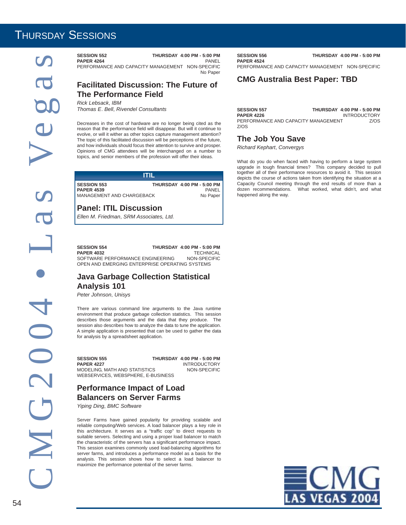Thussen assessmess of the three contents of the state of the state of the state of the **Proference** AND CAPACITY MANAGEMENT INCESSION CONTENTS For the STATE of the **Proference CFIGIC CONTENTS CONTENTS CONTENTS CONTENTS (SM** 

**PAPER 4264** PANEL PERFORMANCE AND CAPACITY MANAGEMENT NON-SPECIFIC No Paper

#### **Facilitated Discussion: The Future of The Performance Field**

*Rick Lebsack*, *IBM Thomas E*. *Bell*, *Rivendel Consultants*

Decreases in the cost of hardware are no longer being cited as the reason that the performance field will disappear. But will it continue to evolve, or will it wither as other topics capture management attention? The topic of this facilitated discussion will be perceptions of the future, and how individuals should focus their attention to survive and prosper. Opinions of CMG attendees will be interchanged on a number to topics, and senior members of the profession will offer their ideas.

| m                                                                    |  |                                                          |  |
|----------------------------------------------------------------------|--|----------------------------------------------------------|--|
| <b>SESSION 553</b><br><b>PAPER 4539</b><br>MANAGEMENT AND CHARGEBACK |  | <b>THURSDAY 4:00 PM - 5:00 PM  </b><br>PANEL<br>No Paper |  |

#### **Panel: ITIL Discussion**

*Ellen M*. *Friedman*, *SRM Associates, Ltd.*

**SESSION 554 THURSDAY 4:00 PM - 5:00 PM PAPER 4032** TECHNICAL SOFTWARE PERFORMANCE ENGINEERING NON-SPECIFIC OPEN AND EMERGING ENTERPRISE OPERATING SYSTEMS

#### **Java Garbage Collection Statistical Analysis 101**

*Peter Johnson*, *Unisys*

There are various command line arguments to the Java runtime environment that produce garbage collection statistics. This session describes those arguments and the data that they produce. The session also describes how to analyze the data to tune the application. A simple application is presented that can be used to gather the data for analysis by a spreadsheet application.

| <b>SESSION 555</b>                 | <b>THURSDAY 4:00 PM - 5:00 PM</b> |
|------------------------------------|-----------------------------------|
| <b>PAPER 4227</b>                  | <b>INTRODUCTORY</b>               |
| MODELING. MATH AND STATISTICS      | NON-SPECIFIC                      |
| WEBSERVICES. WEBSPHERE. E-BUSINESS |                                   |

#### **Performance Impact of Load Balancers on Server Farms**

*Yiping Ding*, *BMC Software*

Server Farms have gained popularity for providing scalable and reliable computing/Web services. A load balancer plays a key role in this architecture. It serves as a "traffic cop" to direct requests to suitable servers. Selecting and using a proper load balancer to match the characteristic of the servers has a significant performance impact. This session examines commonly used load-balancing algorithms for server farms, and introduces a performance model as a basis for the analysis. This session shows how to select a load balancer to maximize the performance potential of the server farms.

**PAPER 4524**

**SESSION 556 THURSDAY 4:00 PM - 5:00 PM**

PERFORMANCE AND CAPACITY MANAGEMENT NON-SPECIFIC

#### **CMG Australia Best Paper: TBD**

| <b>SESSION 557</b>                  | <b>THURSDAY 4:00 PM - 5:00 PM</b> |
|-------------------------------------|-----------------------------------|
| <b>PAPER 4226</b>                   | <b>INTRODUCTORY</b>               |
| PERFORMANCE AND CAPACITY MANAGEMENT | Z/OS                              |
| Z/OS                                |                                   |

#### **The Job You Save**

*Richard Kephart*, *Convergys*

What do you do when faced with having to perform a large system upgrade in tough financial times? This company decided to pull together all of their performance resources to avoid it. This session depicts the course of actions taken from identifying the situation at a Capacity Council meeting through the end results of more than a dozen recommendations. What worked, what didn't, and what happened along the way.

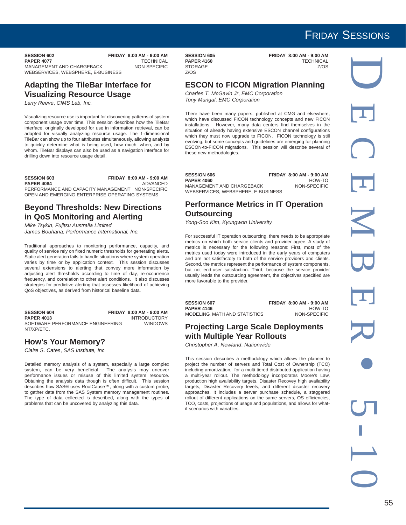## FRIDAY SESSIONS

**SESSION 602 FRIDAY 8:00 AM - 9:00 AM**<br>**PAPER 4077 TECHNICAL PAPER 4077**<br>MANAGEMENT AND CHARGEBACK MON-SPECIFIC MANAGEMENT AND CHARGEBACK WEBSERVICES, WEBSPHERE, E-BUSINESS

#### **Adapting the TileBar Interface for Visualizing Resource Usage**

*Larry Reeve*, *CIMS Lab, Inc.*

Visualizing resource use is important for discovering patterns of system component usage over time. This session describes how the TileBar interface, originally developed for use in information retrieval, can be adapted for visually analyzing resource usage. The 1-dimensional TileBar can show up to four attributes simultaneously, allowing analysts to quickly determine what is being used, how much, when, and by whom. TileBar displays can also be used as a navigation interface for drilling down into resource usage detail.

**SESSION 603 FRIDAY 8:00 AM - 9:00 AM PAPER 4084** ADVANCED PERFORMANCE AND CAPACITY MANAGEMENT NON-SPECIFIC OPEN AND EMERGING ENTERPRISE OPERATING SYSTEMS

#### **Beyond Thresholds: New Directions in QoS Monitoring and Alerting**

*Mike Tsykin*, *Fujitsu Australia Limited James Bouhana*, *Performance International, Inc.*

Traditional approaches to monitoring performance, capacity, and quality of service rely on fixed numeric thresholds for generating alerts. Static alert generation fails to handle situations where system operation varies by time or by application context. This session discusses several extensions to alerting that convey more information by adjusting alert thresholds according to time of day, re-occurrence frequency, and correlation to other alert conditions. It also discusses strategies for predictive alerting that assesses likelihood of achieving QoS objectives, as derived from historical baseline data.

**SESSION 604 FRIDAY 8:00 AM - 9:00 AM PAPER 4013**<br>SOFTWARE PERFORMANCE ENGINEERING WINDOWS SOFTWARE PERFORMANCE ENGINEERING NT/XP/ETC.

#### **How's Your Memory?**

*Claire S*. *Cates*, *SAS Institute, Inc*

Detailed memory analysis of a system, especially a large complex system, can be very beneficial. The analysis may uncover performance issues or misuse of this limited system resource. Obtaining the analysis data though is often difficult. This session describes how SAS® uses RootCause™, along with a custom probe, to gather data from the SAS System memory management routines. The type of data collected is described, along with the types of problems that can be uncovered by analyzing this data.

STORAGE Z/OS

**SESSION 605 FRIDAY 8:00 AM - 9:00 AM**<br>**PAPER 4160 FRIDAY RECHNICAL PAPER 4160** TECHNICAL

#### **ESCON to FICON Migration Planning**

*Charles T*. *McGavin Jr*, *EMC Corporation Tony Mungal*, *EMC Corporation*

There have been many papers, published at CMG and elsewhere, which have discussed FICON technology concepts and new FICON installations. However, many data centers find themselves in the situation of already having extensive ESCON channel configurations which they must now upgrade to FICON. FICON technology is still evolving, but some concepts and guidelines are emerging for planning ESCON-to-FICON migrations. This session will describe several of these new methodologies.

| <b>SESSION 606</b>                 | <b>FRIDAY 8:00 AM - 9:00 AM</b> |
|------------------------------------|---------------------------------|
| <b>PAPER 4060</b>                  | HOW-TO                          |
| MANAGEMENT AND CHARGEBACK          | NON-SPECIFIC                    |
| WEBSERVICES, WEBSPHERE, E-BUSINESS |                                 |

#### **Performance Metrics in IT Operation Outsourcing**

*Yong-Soo Kim*, *Kyungwon University*

For successful IT operation outsourcing, there needs to be appropriate metrics on which both service clients and provider agree. A study of metrics is necessary for the following reasons: First, most of the metrics used today were introduced in the early years of computers and are not satisfactory to both of the service providers and clients. Second, the metrics represent the performance of system components, but not end-user satisfaction. Third, because the service provider usually leads the outsourcing agreement, the objectives specified are more favorable to the provider.

**SESSION 607 FRIDAY 8:00 AM - 9:00 AM PAPER 4146** HOW-TO<br>MODELING MATH AND STATISTICS MON-SPECIFIC MODELING, MATH AND STATISTICS

#### **Projecting Large Scale Deployments with Multiple Year Rollouts**

*Christopher A*. *Newland*, *Nationwide*

This session describes a methodology which allows the planner to project the number of servers and Total Cost of Ownership (TCO) including amortization, for a multi-tiered distributed application having a multi-year rollout. The methodology incorporates Moore's Law, production high availability targets, Disaster Recovey high availability targets, Disaster Recovery levels, and different disaster recovery approaches. It includes a server purchase schedule, a staggered rollout of different applications on the same servers, OS efficiencies, TCO, costs, projections of usage and populations, and allows for whatif scenarios with variables.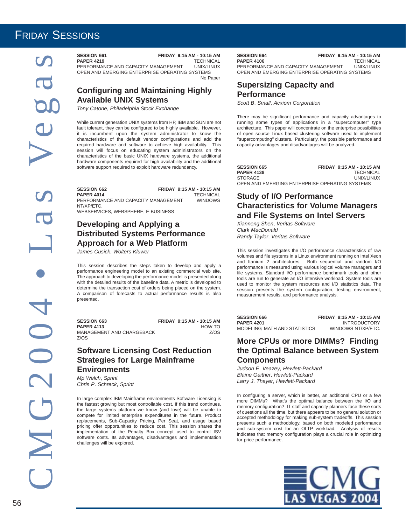## FRIDAY SESSIONS

C M G 2 0 0 4 • L a s Ve g a s 

#### **SESSION 661 FRIDAY 9:15 AM - 10:15 AM PAPER 4219** TECHNICAL<br>PERFORMANCE AND CAPACITY MANAGEMENT UNIX/LINUX

PERFORMANCE AND CAPACITY MANAGEMENT OPEN AND EMERGING ENTERPRISE OPERATING SYSTEMS No Paper

#### **Configuring and Maintaining Highly Available UNIX Systems**

*Tony Catone*, *Philadelphia Stock Exchange*

While current generation UNIX systems from HP, IBM and SUN are not fault tolerant, they can be configured to be highly available. However, it is incumbent upon the system administrator to know the characteristics of the default vendor configurations and add the required hardware and software to achieve high availability. This session will focus on educating system administrators on the characteristics of the basic UNIX hardware systems, the additional hardware components required for high availability and the additional software support required to exploit hardware redundancy.

**SESSION 662 FRIDAY 9:15 AM - 10:15 AM PAPER 4014** TECHNICAL<br>PERFORMANCE AND CAPACITY MANAGEMENT WINDOWS PERFORMANCE AND CAPACITY MANAGEMENT NT/XP/ETC. WEBSERVICES, WEBSPHERE, E-BUSINESS

#### **Developing and Applying a Distributed Systems Performance Approach for a Web Platform**

*James Cusick*, *Wolters Kluwer*

This session describes the steps taken to develop and apply a performance engineering model to an existing commercial web site. .<br>The approach to developing the performance model is presented along with the detailed results of the baseline data. A metric is developed to determine the transaction cost of orders being placed on the system. A comparison of forecasts to actual performance results is also presented.

**SESSION 663** FRIDAY 9:15 AM - 10:15 AM<br>PAPER 4113 HOW-TO **PAPER 4113** MANAGEMENT AND CHARGEBACK Z/OS Z/OS

#### **Software Licensing Cost Reduction Strategies for Large Mainframe Environments**

*Mp Welch*, *Sprint Chris P*. *Schreck*, *Sprint*

In large complex IBM Mainframe environments Software Licensing is the fastest growing but most controllable cost. If this trend continues, the large systems platform we know (and love) will be unable to compete for limited enterprise expenditures in the future. Product replacements, Sub-Capacity Pricing, Per Seat, and usage based pricing offer opportunities to reduce cost. This session shares the implementation of the Penalty Box concept used to control ISV software costs. Its advantages, disadvantages and implementation challenges will be explored.

**SESSION 664 FRIDAY 9:15 AM - 10:15 AM**<br>**PAPER 4106 FRIDAY 9:15 AM TECHNICAL PAPER 4106** TECHNICAL<br>PERFORMANCE AND CAPACITY MANAGEMENT UNIX/LINUX PERFORMANCE AND CAPACITY MANAGEMENT OPEN AND EMERGING ENTERPRISE OPERATING SYSTEMS

#### **Supersizing Capacity and Performance**

*Scott B*. *Small*, *Acxiom Corporation*

There may be significant performance and capacity advantages to running some types of applications in a "supercomputer" type architecture. This paper will concentrate on the enterprise possibilities of open source Linux based clustering software used to implement ''supercomputing'' clusters. Particularly, the possible performance and capacity advantages and disadvantages will be analyzed.

| <b>SESSION 665</b>                              |  | FRIDAY 9:15 AM - 10:15 AM |  |
|-------------------------------------------------|--|---------------------------|--|
| <b>PAPER 4138</b>                               |  | <b>TECHNICAL</b>          |  |
| STORAGE                                         |  | UNIX/LINUX                |  |
| OPEN AND EMERGING ENTERPRISE OPERATING SYSTEMS. |  |                           |  |

#### **Study of I/O Performance Characteristics for Volume Managers and File Systems on Intel Servers**

*Xianneng Shen*, *Veritas Software Clark MacDonald Randy Taylor*, *Veritas Software*

This session investigates the I/O performance characteristics of raw volumes and file systems in a Linux environment running on Intel Xeon and Itanium 2 architectures. Both sequential and random I/O performance is measured using various logical volume managers and file systems. Standard I/O performance benchmark tools and other tools are run to generate an I/O intensive workload. System tools are used to monitor the system resources and I/O statistics data. The session presents the system configuration, testing environment, measurement results, and performance analysis.

| <b>SESSION 666</b>            | FRIDAY 9:15 AM - 10:15 AM |
|-------------------------------|---------------------------|
| <b>PAPER 4201</b>             | <b>INTRODUCTORY</b>       |
| MODELING, MATH AND STATISTICS | WINDOWS NT/XP/ETC.        |

#### **More CPUs or more DIMMs? Finding the Optimal Balance between System Components**

*Judson E*. *Veazey*, *Hewlett-Packard Blaine Gaither*, *Hewlett-Packard Larry J*. *Thayer*, *Hewlett-Packard*

In configuring a server, which is better, an additional CPU or a few more DIMMs? What's the optimal balance between the I/O and memory configuration? IT staff and capacity planners face these sorts of questions all the time, but there appears to be no general solution or accepted methodology for making sub-system tradeoffs. This session presents such a methodology, based on both modeled performance and sub-system cost for an OLTP workload. Analysis of results indicates that memory configuration plays a crucial role in optimizing for price-performance.

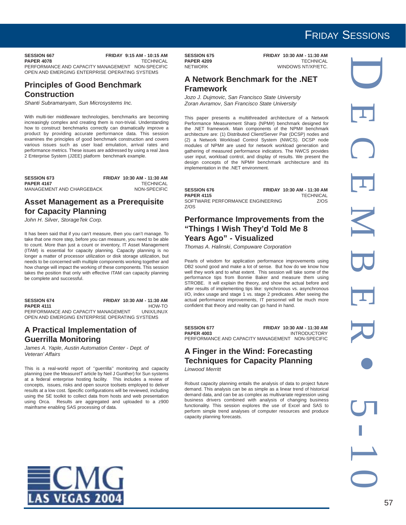**SESSION 667 FRIDAY 9:15 AM - 10:15 AM**<br>PAPER 4078 FRIDAY 9:15 AM TECHNICAL **PAPER 4078** PERFORMANCE AND CAPACITY MANAGEMENT NON-SPECIFIC OPEN AND EMERGING ENTERPRISE OPERATING SYSTEMS

#### **Principles of Good Benchmark Construction**

*Shanti Subramanyam*, *Sun Microsystems Inc.*

With multi-tier middleware technologies, benchmarks are becoming increasingly complex and creating them is non-trivial. Understanding how to construct benchmarks correctly can dramatically improve a product by providing accurate performance data. This session examines the principles of good benchmark construction and covers various issues such as user load emulation, arrival rates and performance metrics. These issues are addressed by using a real Java 2 Enterprise System (J2EE) platform benchmark example.

| <b>SESSION 673</b>        | FRIDAY 10:30 AM - 11:30 AM |
|---------------------------|----------------------------|
| <b>PAPER 4167</b>         | <b>TECHNICAL</b>           |
| MANAGEMENT AND CHARGEBACK | NON-SPECIFIC               |

#### **Asset Management as a Prerequisite for Capacity Planning**

*John H*. *Silver*, *StorageTek Corp.*

It has been said that if you can't measure, then you can't manage. To take that one more step, before you can measure, you need to be able to count. More than just a count or inventory, IT Asset Management (ITAM) is essential for capacity planning. Capacity planning is no longer a matter of processor utilization or disk storage utilization, but needs to be concerned with multiple components working together and how change will impact the working of these components. This session takes the position that only with effective ITAM can capacity planning be complete and successful.

### **SESSION 674 FRIDAY 10:30 AM - 11:30 AM**

**PAPER 4111** HOW-TO<br>PERFORMANCE AND CAPACITY MANAGEMENT UNIX/LINUX PERFORMANCE AND CAPACITY MANAGEMENT OPEN AND EMERGING ENTERPRISE OPERATING SYSTEMS

#### **A Practical Implementation of Guerrilla Monitoring**

**AS VEGAS 2004** 

*James A*. *Yaple*, *Austin Automation Center - Dept. of Veteran' Affairs*

This is a real-world report of ''guerrilla'' monitoring and capacity planning (see the MeasureIT article by Neil J Gunther) for Sun systems at a federal enterprise hosting facility. This includes a review of concepts, issues, risks and open source toolsets employed to deliver results at a low cost. Specific configurations will be reviewed, including using the SE toolkit to collect data from hosts and web presentation using Orca. Results are aggregated and uploaded to a z900 mainframe enabling SAS processing of data.

**PAPER 4209**<br>NETWORK

**SESSION 675 FRIDAY 10:30 AM - 11:30 AM<br>PAPER 4209 FRIDAY 10:30 AM - TECHNICAL** WINDOWS NT/XP/ETC.

#### **A Network Benchmark for the .NET Framework**

*Jozo J*. *Dujmovic*, *San Francisco State University Zoran Avramov*, *San Francisco State University*

This paper presents a multithreaded architecture of a Network Performance Measurement Sharp (NPM#) benchmark designed for the .NET framework. Main components of the NPM# benchmark architecture are: (1) Distributed Client/Server Pair (DCSP) nodes and (2) a Network Workload Control System (NWCS). DCSP node modules of NPM# are used for network workload generation and gathering of measured performance indicators. The NWCS provides user input, workload control, and display of results. We present the design concepts of the NPM# benchmark architecture and its implementation in the .NET environment.

| <b>SESSION 676</b>               | FRIDAY 10:30 AM - 11:30 AM |
|----------------------------------|----------------------------|
| <b>PAPER 4115</b>                | <b>TECHNICAL</b>           |
| SOFTWARE PERFORMANCE ENGINEERING | <b>7/0S</b>                |
| Z/OS                             |                            |

#### **Performance Improvements from the "Things I Wish They'd Told Me 8 Years Ago" - Visualized**

*Thomas A*. *Halinski*, *Compuware Corporation*

Pearls of wisdom for application performance improvements using DB2 sound good and make a lot of sense. But how do we know how well they work and to what extent. This session will take some of the performance tips from Bonnie Baker and measure them using STROBE. It will explain the theory, and show the actual before and after results of implementing tips like: synchronous vs. asynchronous I/O, index usage and stage 1 vs. stage 2 predicates. After seeing the actual performance improvements, IT personnel will be much more confident that theory and reality can go hand in hand.

**SESSION 677 FRIDAY 10:30 AM - 11:30 AM PAPER 4003 INTRODUCTORY** PERFORMANCE AND CAPACITY MANAGEMENT NON-SPECIFIC

#### **A Finger in the Wind: Forecasting Techniques for Capacity Planning** *Linwood Merritt*

Robust capacity planning entails the analysis of data to project future demand. This analysis can be as simple as a linear trend of historical demand data, and can be as complex as multivariate regression using business drivers combined with analysis of changing business functionality. This session explores the use of Excel and SAS to perform simple trend analyses of computer resources and produce capacity planning forecasts.



## FRIDAY SESSIONS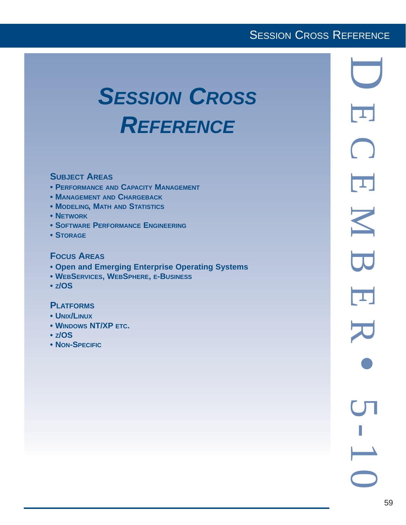## **SESSION CROSS REFERENCE**

# *SESSION CROSS REFERENCE*

#### **SUBJECT AREAS**

- **PERFORMANCE AND CAPACITY MANAGEMENT**
- **MANAGEMENT AND CHARGEBACK**
- **MODELING, MATH AND STATISTICS**
- **NETWORK**
- **SOFTWARE PERFORMANCE ENGINEERING**
- **STORAGE**

#### **FOCUS AREAS**

- **Open and Emerging Enterprise Operating Systems**
- **WEBSERVICES, WEBSPHERE, E-BUSINESS**
- **Z/OS**

#### **PLATFORMS**

- **UNIX/LINUX**
- **WINDOWS NT/XP ETC.**
- **Z/OS**
- **NON-SPECIFIC**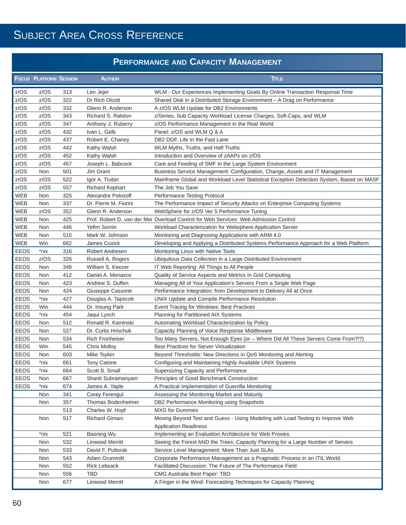## **PERFORMANCE AND CAPACITY MANAGEMENT**

|             | <b>FOCUS PLATFORM SESSION</b> |     | <b>AUTHOR</b>          | <b>TITLE</b>                                                                              |
|-------------|-------------------------------|-----|------------------------|-------------------------------------------------------------------------------------------|
| z/OS        | z/OS                          | 313 | Len Jejer              | WLM - Our Experiences Implementing Goals By Online Transaction Response Time              |
| z/OS        | z/OS                          | 322 | Dr Rich Olcott         | Shared Disk in a Distributed Storage Environment - A Drag on Performance                  |
| z/OS        | z/OS                          | 332 | Glenn R. Anderson      | A z/OS WLM Update for DB2 Environments                                                    |
| z/OS        | z/OS                          | 343 | Richard S. Ralston     | z/Series, Sub Capacity Workload License Charges, Soft-Caps, and WLM                       |
| z/OS        | z/OS                          | 347 | Anthony J. Ruberry     | z/OS Performance Management in the Real World                                             |
| z/OS        | z/OS                          | 432 | Ivan L. Gelb           | Panel: z/OS and WLM Q & A                                                                 |
| z/OS        | z/OS                          | 437 | Robert E. Chaney       | DB2 DDF, Life in the Fast Lane                                                            |
| z/OS        | z/OS                          | 442 | Kathy Walsh            | WLM Myths, Truths, and Half Truths                                                        |
| z/OS        | z/OS                          | 452 | Kathy Walsh            | Introduction and Overview of zAAPs on z/OS                                                |
| z/OS        | z/OS                          | 457 | Joseph L. Babcock      | Care and Feeding of SMF in the Large System Environment                                   |
| z/OS        | Non                           | 501 | Jim Grant              | Business Service Management: Configuration, Change, Assets and IT Management              |
| z/OS        | z/OS                          | 522 | Igor A. Trubin         | Mainframe Global and Workload Level Statistical Exception Detection System, Based on MASF |
| z/OS        | z/OS                          | 557 | <b>Richard Kephart</b> | The Job You Save                                                                          |
| <b>WEB</b>  | Non                           | 325 | Alexandre Polozoff     | <b>Performance Testing Protocol</b>                                                       |
| WEB         | Non                           | 337 | Dr. Pierre M. Fiorini  | The Performance Impact of Security Attacks on Enterprise Computing Systems                |
| <b>WEB</b>  | z/OS                          | 352 | Glenn R. Anderson      | WebSphere for z/OS Ver 5 Performance Tuning                                               |
| <b>WEB</b>  | Non                           | 425 |                        | Prof. Robert D. van der Mei Overload Control for Web Services: Web Admission Control      |
| WEB         | Non                           | 446 | Yefim Somin            | Workload Characterization for Websphere Application Server                                |
| WEB         | Non                           | 515 | Mark W. Johnson        | Monitoring and Diagnosing Applications with ARM 4.0                                       |
| WEB         | Win                           | 662 | James Cusick           | Developing and Applying a Distributed Systems Performance Approach for a Web Platform     |
| <b>EEOS</b> | *nix                          | 316 | Robert Andresen        | Monitoring Linux with Native Tools                                                        |
| <b>EEOS</b> | z/OS                          | 326 | Russell A. Rogers      | Ubiquitous Data Collection in a Large Distributed Environment                             |
| <b>EEOS</b> | Non                           | 346 | William S. Keezer      | IT Web Reporting: All Things to All People                                                |
| <b>EEOS</b> | Non                           | 412 | Daniel A. Menasce      | Quality of Service Aspects and Metrics In Grid Computing                                  |
| <b>EEOS</b> | Non                           | 423 | Andrew S. Duffen       | Managing All of Your Application's Servers From a Single Web Page                         |
| <b>EEOS</b> | Non                           | 424 | Giuseppe Cassone       | Performance Integration: from Development to Delivery All at Once                         |
| <b>EEOS</b> | *nix                          | 427 | Douglas A. Tapscott    | UNIX Update and Compile Performance Resolution                                            |
| <b>EEOS</b> | Win                           | 444 | Dr. Insung Park        | Event Tracing for Windows: Best Practices                                                 |
| <b>EEOS</b> | *nix                          | 454 | Jaqui Lynch            | Planning for Partitioned AIX Systems                                                      |
| <b>EEOS</b> | Non                           | 512 | Ronald R. Kaminski     | Automating Workload Characterization by Policy                                            |
| <b>EEOS</b> | Non                           | 527 | Dr. Curtis Hrischuk    | Capacity Planning of Voice Response Middleware                                            |
| <b>EEOS</b> | Non                           | 534 | <b>Rich Fronheiser</b> | Too Many Servers, Not Enough Eyes (or - Where Did All These Servers Come From?!?)         |
| <b>EEOS</b> | Win                           | 545 | <b>Chris Molloy</b>    | <b>Best Practices for Server Virtualization</b>                                           |
| <b>EEOS</b> | Non                           | 603 | Mike Tsykin            | Beyond Thresholds: New Directions in QoS Monitoring and Alerting                          |
| EEOS        | *nix                          | 661 | Tony Catone            | Configuring and Maintaining Highly Available UNIX Systems                                 |
| EEOS        | *nix                          | 664 | Scott B. Small         | Supersizing Capacity and Performance                                                      |
| <b>EEOS</b> | Non                           | 667 | Shanti Subramanyam     | Principles of Good Benchmark Construction                                                 |
| <b>EEOS</b> | *nix                          | 674 | James A. Yaple         | A Practical Implementation of Guerrilla Monitoring                                        |
|             | Non                           | 341 | Corey Ferengul         | Assessing the Monitoring Market and Maturity                                              |
|             | Non                           | 357 | Thomas Bodenheimer     | DB2 Performance Monitoring using Snapshots                                                |
|             |                               | 513 | Charles W. Hopf        | <b>MXG</b> for Dummies                                                                    |
|             | Non                           | 517 | Richard Gimarc         | Moving Beyond Test and Guess - Using Modeling with Load Testing to Improve Web            |
|             |                               |     |                        | <b>Application Readiness</b>                                                              |
|             | *nix                          | 521 | Baoning Wu             | Implementing an Evaluation Architecture for Web Proxies                                   |
|             | Non                           | 532 | Linwood Merritt        | Seeing the Forest AND the Trees: Capacity Planning for a Large Number of Servers          |
|             | Non                           | 533 | David F. Pultorak      | Service Level Management: More Than Just SLAs                                             |
|             | Non                           | 543 | Adam Grummitt          | Corporate Performance Management as a Pragmatic Process in an ITIL World.                 |
|             | Non                           | 552 | Rick Lebsack           | Facilitated Discussion: The Future of The Performance Field                               |
|             | Non                           | 556 | TBD                    | <b>CMG Australia Best Paper: TBD</b>                                                      |
|             | Non                           | 677 | <b>Linwood Merritt</b> | A Finger in the Wind: Forecasting Techniques for Capacity Planning                        |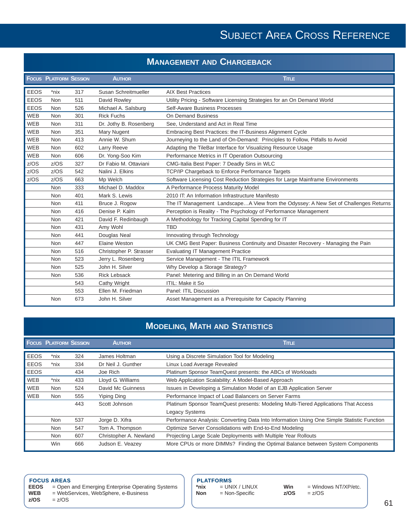#### **MANAGEMENT AND CHARGEBACK**

|             | <b>FOCUS PLATFORM SESSION</b> |     | <b>AUTHOR</b>           | <b>TITLE</b>                                                                        |
|-------------|-------------------------------|-----|-------------------------|-------------------------------------------------------------------------------------|
| <b>EEOS</b> | *nix                          | 317 | Susan Schreitmueller    | <b>AIX Best Practices</b>                                                           |
| <b>EEOS</b> | Non                           | 511 | David Rowley            | Utility Pricing - Software Licensing Strategies for an On Demand World              |
| <b>EEOS</b> | Non                           | 526 | Michael A. Salsburg     | Self-Aware Business Processes                                                       |
| <b>WEB</b>  | <b>Non</b>                    | 301 | <b>Rick Fuchs</b>       | On Demand Business                                                                  |
| <b>WEB</b>  | <b>Non</b>                    | 311 | Dr. Jothy B. Rosenberg  | See, Understand and Act in Real Time                                                |
| WEB         | Non                           | 351 | Mary Nugent             | Embracing Best Practices: the IT-Business Alignment Cycle                           |
| <b>WEB</b>  | Non                           | 413 | Annie W. Shum           | Journeying to the Land of On-Demand: Principles to Follow, Pitfalls to Avoid        |
| <b>WEB</b>  | <b>Non</b>                    | 602 | Larry Reeve             | Adapting the TileBar Interface for Visualizing Resource Usage                       |
| <b>WEB</b>  | <b>Non</b>                    | 606 | Dr. Yong-Soo Kim        | Performance Metrics in IT Operation Outsourcing                                     |
| z/OS        | z/OS                          | 327 | Dr Fabio M. Ottaviani   | CMG-Italia Best Paper: 7 Deadly Sins in WLC                                         |
| z/OS        | z/OS                          | 542 | Nalini J. Elkins        | TCP/IP Chargeback to Enforce Performance Targets                                    |
| z/OS        | z/OS                          | 663 | Mp Welch                | Software Licensing Cost Reduction Strategies for Large Mainframe Environments       |
|             | Non                           | 333 | Michael D. Maddox       | A Performance Process Maturity Model                                                |
|             | <b>Non</b>                    | 401 | Mark S. Lewis           | 2010 IT: An Information Infrastructure Manifesto                                    |
|             | Non                           | 411 | Bruce J. Rogow          | The IT Management LandscapeA View from the Odyssey: A New Set of Challenges Returns |
|             | <b>Non</b>                    | 416 | Denise P. Kalm          | Perception is Reality - The Psychology of Performance Management                    |
|             | <b>Non</b>                    | 421 | David F. Redinbaugh     | A Methodology for Tracking Capital Spending for IT                                  |
|             | Non                           | 431 | Amy Wohl                | <b>TBD</b>                                                                          |
|             | <b>Non</b>                    | 441 | Douglas Neal            | Innovating through Technology                                                       |
|             | <b>Non</b>                    | 447 | Elaine Weston           | UK CMG Best Paper: Business Continuity and Disaster Recovery - Managing the Pain    |
|             | <b>Non</b>                    | 516 | Christopher P. Strasser | <b>Evaluating IT Management Practice</b>                                            |
|             | Non                           | 523 | Jerry L. Rosenberg      | Service Management - The ITIL Framework                                             |
|             | Non                           | 525 | John H. Silver          | Why Develop a Storage Strategy?                                                     |
|             | Non                           | 536 | <b>Rick Lebsack</b>     | Panel: Metering and Billing in an On Demand World                                   |
|             |                               | 543 | Cathy Wright            | <b>ITIL: Make it So</b>                                                             |
|             |                               | 553 | Ellen M. Friedman       | Panel: ITIL Discussion                                                              |
|             | Non                           | 673 | John H. Silver          | Asset Management as a Prerequisite for Capacity Planning                            |

## **MODELING, MATH AND STATISTICS**

|             | <b>FOCUS PLATFORM SESSION</b> |     | <b>AUTHOR</b>          | <b>Time</b>                                                                                |
|-------------|-------------------------------|-----|------------------------|--------------------------------------------------------------------------------------------|
| <b>EEOS</b> | *nix                          | 324 | James Holtman          | Using a Discrete Simulation Tool for Modeling                                              |
| <b>EEOS</b> | *nix                          | 334 | Dr Neil J. Gunther     | Linux Load Average Revealed                                                                |
| <b>EEOS</b> |                               | 434 | Joe Rich               | Platinum Sponsor TeamQuest presents: the ABCs of Workloads                                 |
| <b>WEB</b>  | *nix                          | 433 | Lloyd G. Williams      | Web Application Scalability: A Model-Based Approach                                        |
| <b>WEB</b>  | Non                           | 524 | David Mc Guinness      | Issues in Developing a Simulation Model of an EJB Application Server                       |
| <b>WEB</b>  | Non                           | 555 | Yiping Ding            | Performance Impact of Load Balancers on Server Farms                                       |
|             |                               | 443 | Scott Johnson          | Platinum Sponsor TeamQuest presents: Modeling Multi-Tiered Applications That Access        |
|             |                               |     |                        | <b>Legacy Systems</b>                                                                      |
|             | Non                           | 537 | Jorge D. Xifra         | Performance Analysis: Converting Data Into Information Using One Simple Statistic Function |
|             | Non                           | 547 | Tom A. Thompson        | Optimize Server Consolidations with End-to-End Modeling                                    |
|             | Non                           | 607 | Christopher A. Newland | Projecting Large Scale Deployments with Multiple Year Rollouts                             |
|             | Win                           | 666 | Judson E. Veazey       | More CPUs or more DIMMs? Finding the Optimal Balance between System Components             |

## **FOCUS AREAS**<br>**EEOS** = Open

- **EEOS** = Open and Emerging Enterprise Operating Systems
- **WEB** = WebServices, WebSphere, e-Business

**z/OS** = z/OS

## **PLATFORMS**<br>\*nix = UN

\*nix = UNIX / LINUX<br>**Non** = Non-Specific **Non** = Non-Specific

**Win** = Windows NT/XP/etc.<br> $z/OS$  =  $z/OS$ **z/OS** = z/OS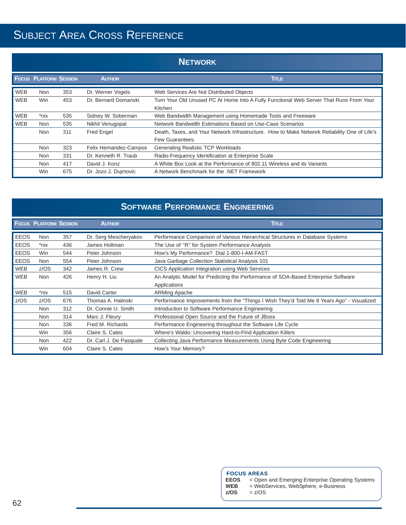|            | <b>NETWORK</b>                |     |                        |                                                                                                                 |  |
|------------|-------------------------------|-----|------------------------|-----------------------------------------------------------------------------------------------------------------|--|
|            | <b>FOCUS PLATFORM SESSION</b> |     | <b>AUTHOR</b>          | <b>Time</b>                                                                                                     |  |
| <b>WEB</b> | <b>Non</b>                    | 353 | Dr. Werner Vogels      | Web Services Are Not Distributed Objects                                                                        |  |
| <b>WEB</b> | <b>Win</b>                    | 453 | Dr. Bernard Domanski   | Turn Your Old Unused PC At Home Into A Fully Functional Web Server That Runs From Your<br>Kitchen               |  |
| <b>WEB</b> | *nix                          | 535 | Sidney W. Soberman     | Web Bandwidth Management using Homemade Tools and Freeware                                                      |  |
| <b>WEB</b> | Non                           | 535 | Nikhil Venugopal       | Network Bandwidth Estimations Based on Use-Case Scenarios                                                       |  |
|            | Non                           | 311 | Fred Engel             | Death, Taxes, and Your Network Infrastructure. How to Make Network Reliability One of Life's<br>Few Guarantees. |  |
|            | <b>Non</b>                    | 323 | Felix Hernandez-Campos | <b>Generating Realistic TCP Workloads</b>                                                                       |  |
|            | Non                           | 331 | Dr. Kenneth R. Traub   | Radio-Frequency Identification at Enterprise Scale                                                              |  |
|            | Non                           | 417 | David J. Konz          | A White Box Look at the Performance of 802.11 Wireless and its Variants                                         |  |
|            | Win                           | 675 | Dr. Jozo J. Dujmovic   | A Network Benchmark for the .NET Framework                                                                      |  |

|             |                               |     |                         | <b>SOFTWARE PERFORMANCE ENGINEERING</b>                                                   |
|-------------|-------------------------------|-----|-------------------------|-------------------------------------------------------------------------------------------|
|             | <b>FOCUS PLATFORM SESSION</b> |     | <b>AUTHOR</b>           | <b>Title</b>                                                                              |
| <b>EEOS</b> | <b>Non</b>                    | 357 | Dr. Serg Mescheryakov   | Performance Comparison of Various Hierarchical Structures in Database Systems             |
| <b>EEOS</b> | *nix                          | 436 | James Holtman           | The Use of "R" for System Performance Analysis                                            |
| <b>EEOS</b> | Win                           | 544 | Peter Johnson           | How's My Performance? Dial 1-800-I-AM-FAST                                                |
| <b>EEOS</b> | Non                           | 554 | Peter Johnson           | Java Garbage Collection Statistical Analysis 101                                          |
| <b>WEB</b>  | z/OS                          | 342 | James R. Crew           | CICS Application Integration using Web Services                                           |
| <b>WEB</b>  | Non                           | 426 | Henry H. Liu            | An Analytic Model for Predicting the Performance of SOA-Based Enterprise Software         |
|             |                               |     |                         | Applications                                                                              |
| <b>WEB</b>  | *nix                          | 515 | David Carter            | <b>ARMing Apache</b>                                                                      |
| z/OS        | z/OS                          | 676 | Thomas A. Halinski      | Performance Improvements from the "Things I Wish They'd Told Me 8 Years Ago" - Visualized |
|             | Non                           | 312 | Dr. Connie U. Smith     | Introduction to Software Performance Engineering                                          |
|             | <b>Non</b>                    | 314 | Marc J. Fleury          | Professional Open Source and the Future of JBoss                                          |
|             | <b>Non</b>                    | 336 | Fred M. Richards        | Performance Engineering throughout the Software Life Cycle                                |
|             | Win                           | 356 | Claire S. Cates         | Where's Waldo: Uncovering Hard-to-Find Application Killers                                |
|             | <b>Non</b>                    | 422 | Dr. Carl J. De Pasquale | Collecting Java Performance Measurements Using Byte Code Engineering                      |
|             | Win                           | 604 | Claire S. Cates         | How's Your Memory?                                                                        |

## **FOCUS AREAS**

- **EEOS** = Open and Emerging Enterprise Operating Systems
- **WEB** = WebServices, WebSphere, e-Business
- **z/OS** = z/OS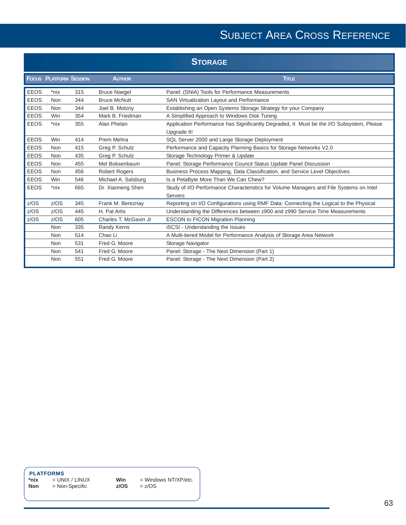|             |                               |     |                        | <b>STORAGE</b>                                                                                          |
|-------------|-------------------------------|-----|------------------------|---------------------------------------------------------------------------------------------------------|
|             | <b>FOCUS PLATFORM SESSION</b> |     | <b>AUTHOR</b>          | <b>TITLE</b>                                                                                            |
| <b>EEOS</b> | *nix                          | 315 | <b>Bruce Naegel</b>    | Panel: (SNIA) Tools for Performance Measurements                                                        |
| <b>EEOS</b> | Non                           | 344 | <b>Bruce McNutt</b>    | SAN Virtualization Layout and Performance                                                               |
| <b>EEOS</b> | Non                           | 344 | Joel B. Motzny         | Establishing an Open Systems Storage Strategy for your Company                                          |
| <b>EEOS</b> | <b>Win</b>                    | 354 | Mark B. Friedman       | A Simplified Approach to Windows Disk Tuning                                                            |
| <b>EEOS</b> | *nix                          | 355 | Alan Phelan            | Application Performance has Significantly Degraded, It Must be the I/O Subsystem, Please<br>Upgrade It! |
| <b>EEOS</b> | Win                           | 414 | Prem Mehra             | SQL Server 2000 and Large Storage Deployment                                                            |
| <b>EEOS</b> | Non                           | 415 | Greg P. Schulz         | Performance and Capacity Planning Basics for Storage Networks V2.0                                      |
| <b>EEOS</b> | Non                           | 435 | Greg P. Schulz         | Storage Technology Primer & Update                                                                      |
| <b>EEOS</b> | Non                           | 455 | Mel Boksenbaum         | Panel: Storage Performance Council Status Update Panel Discussion                                       |
| <b>EEOS</b> | Non                           | 456 | <b>Robert Rogers</b>   | Business Process Mapping, Data Classification, and Service Level Objectives                             |
| <b>EEOS</b> | Win                           | 546 | Michael A. Salsburg    | Is a PetaByte More Than We Can Chew?                                                                    |
| <b>EEOS</b> | *nix                          | 665 | Dr. Xianneng Shen      | Study of I/O Performance Characteristics for Volume Managers and File Systems on Intel                  |
|             |                               |     |                        | Servers                                                                                                 |
| z/OS        | z/OS                          | 345 | Frank M. Bereznay      | Reporting on I/O Configurations using RMF Data: Connecting the Logical to the Physical                  |
| z/OS        | z/OS                          | 445 | H. Pat Artis           | Understanding the Differences between z900 and z990 Service Time Measurements                           |
| z/OS        | z/OS                          | 605 | Charles T. McGavin Jr. | ESCON to FICON Migration Planning                                                                       |
|             | Non                           | 335 | Randy Kerns            | iSCSI - Understanding the Issues                                                                        |
|             | Non                           | 514 | Chao Li                | A Multi-tiered Model for Performance Analysis of Storage Area Network                                   |
|             | Non                           | 531 | Fred G. Moore          | Storage Navigator                                                                                       |
|             | Non                           | 541 | Fred G. Moore          | Panel: Storage - The Next Dimension (Part 1)                                                            |
|             | Non                           | 551 | Fred G. Moore          | Panel: Storage - The Next Dimension (Part 2)                                                            |

**PLATFORMS**<br>\*nix = UN

 $*$ **nix**  $=$  UNIX / LINUX **Non** = Non-Specific

**Win** = Windows NT/XP/etc. **z/OS** = z/OS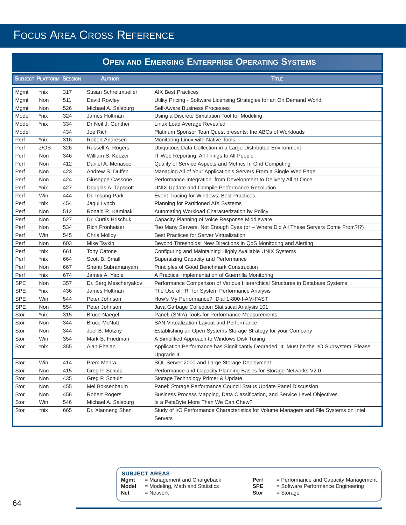## FOCUS AREA CROSS REFERENCE

### **OPEN AND EMERGING ENTERPRISE OPERATING SYSTEMS**

|            | <b>SUBJECT PLATFORM SESSION</b> |     | <b>AUTHOR</b>          | <b>TITLE</b>                                                                             |
|------------|---------------------------------|-----|------------------------|------------------------------------------------------------------------------------------|
| Mgmt       | *nix                            | 317 | Susan Schreitmueller   | <b>AIX Best Practices</b>                                                                |
| Mgmt       | Non                             | 511 | David Rowley           | Utility Pricing - Software Licensing Strategies for an On Demand World                   |
| Mgmt       | Non                             | 526 | Michael A. Salsburg    | Self-Aware Business Processes                                                            |
| Model      | *nix                            | 324 | James Holtman          | Using a Discrete Simulation Tool for Modeling                                            |
| Model      | *nix                            | 334 | Dr Neil J. Gunther     | Linux Load Average Revealed                                                              |
| Model      |                                 | 434 | Joe Rich               | Platinum Sponsor TeamQuest presents: the ABCs of Workloads                               |
| Perf       | *nix                            | 316 | Robert Andresen        | Monitoring Linux with Native Tools                                                       |
| Perf       | z/OS                            | 326 | Russell A. Rogers      | Ubiquitous Data Collection in a Large Distributed Environment                            |
| Perf       | Non                             | 346 | William S. Keezer      | IT Web Reporting: All Things to All People                                               |
| Perf       | Non                             | 412 | Daniel A. Menasce      | Quality of Service Aspects and Metrics In Grid Computing                                 |
| Perf       | Non                             | 423 | Andrew S. Duffen       | Managing All of Your Application's Servers From a Single Web Page                        |
| Perf       | Non                             | 424 | Giuseppe Cassone       | Performance Integration: from Development to Delivery All at Once                        |
| Perf       | *nix                            | 427 | Douglas A. Tapscott    | UNIX Update and Compile Performance Resolution                                           |
| Perf       | Win                             | 444 | Dr. Insung Park        | Event Tracing for Windows: Best Practices                                                |
| Perf       | *nix                            | 454 | Jaqui Lynch            | Planning for Partitioned AIX Systems                                                     |
| Perf       | Non                             | 512 | Ronald R. Kaminski     | Automating Workload Characterization by Policy                                           |
| Perf       | Non                             | 527 | Dr. Curtis Hrischuk    | Capacity Planning of Voice Response Middleware                                           |
| Perf       | Non                             | 534 | <b>Rich Fronheiser</b> | Too Many Servers, Not Enough Eyes (or - Where Did All These Servers Come From?!?)        |
| Perf       | Win                             | 545 | <b>Chris Molloy</b>    | <b>Best Practices for Server Virtualization</b>                                          |
| Perf       | Non                             | 603 | Mike Tsykin            | Beyond Thresholds: New Directions in QoS Monitoring and Alerting                         |
| Perf       | *nix                            | 661 | Tony Catone            | Configuring and Maintaining Highly Available UNIX Systems                                |
| Perf       | *nix                            | 664 | Scott B. Small         | Supersizing Capacity and Performance                                                     |
| Perf       | Non                             | 667 | Shanti Subramanyam     | Principles of Good Benchmark Construction                                                |
| Perf       | *nix                            | 674 | James A. Yaple         | A Practical Implementation of Guerrrilla Monitoring                                      |
| <b>SPE</b> | Non                             | 357 | Dr. Serg Mescheryakov  | Performance Comparison of Various Hierarchical Structures in Database Systems            |
| <b>SPE</b> | *nix                            | 436 | James Holtman          | The Use of "R" for System Performance Analysis                                           |
| <b>SPE</b> | Win                             | 544 | Peter Johnson          | How's My Performance? Dial 1-800-I-AM-FAST                                               |
| <b>SPE</b> | Non                             | 554 | Peter Johnson          | Java Garbage Collection Statistical Analysis 101                                         |
| Stor       | *nix                            | 315 | <b>Bruce Naegel</b>    | Panel: (SNIA) Tools for Performance Measurements                                         |
| Stor       | Non                             | 344 | <b>Bruce McNutt</b>    | SAN Virtualization Layout and Performance                                                |
| Stor       | Non                             | 344 | Joel B. Motzny         | Establishing an Open Systems Storage Strategy for your Company                           |
| Stor       | Win                             | 354 | Mark B. Friedman       | A Simplified Approach to Windows Disk Tuning                                             |
| Stor       | *nix                            | 355 | Alan Phelan            | Application Performance has Significantly Degraded, It Must be the I/O Subsystem, Please |
|            |                                 |     |                        | Upgrade It!                                                                              |
| Stor       | Win                             | 414 | Prem Mehra             | SQL Server 2000 and Large Storage Deployment                                             |
| Stor       | Non                             | 415 | Greg P. Schulz         | Performance and Capacity Planning Basics for Storage Networks V2.0                       |
| Stor       | Non                             | 435 | Greg P. Schulz         | Storage Technology Primer & Update                                                       |
| Stor       | Non                             | 455 | Mel Boksenbaum         | Panel: Storage Performance Council Status Update Panel Discussion                        |
| Stor       | Non                             | 456 | <b>Robert Rogers</b>   | Business Process Mapping, Data Classification, and Service Level Objectives              |
| Stor       | Win                             | 546 | Michael A. Salsburg    | Is a PetaByte More Than We Can Chew?                                                     |
| Stor       | *nix                            | 665 | Dr. Xianneng Shen      | Study of I/O Performance Characteristics for Volume Managers and File Systems on Intel   |
|            |                                 |     |                        | <b>Servers</b>                                                                           |

|      | <b>SUBJECT AREAS</b>        |
|------|-----------------------------|
| Mgmt | = Management and Chargeback |

- **Model** = Modeling, Math and Statistics
- **Net** = Network
- -
	- **Perf** = Performance and Capacity Management
	- **SPE** = Software Performance Engineering **Stor** = Storage
		-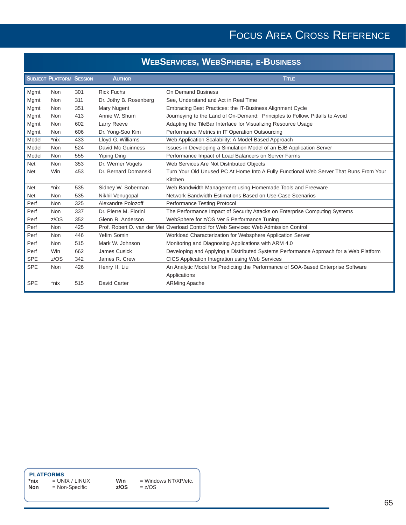## FOCUS AREA CROSS REFERENCE

## **WEBSERVICES, WEBSPHERE, E-BUSINESS**

|            | <b>SUBJECT PLATFORM SESSION</b> |     | <b>AUTHOR</b>          | <b>TITLE</b>                                                                           |
|------------|---------------------------------|-----|------------------------|----------------------------------------------------------------------------------------|
| Mgmt       | <b>Non</b>                      | 301 | <b>Rick Fuchs</b>      | <b>On Demand Business</b>                                                              |
| Mgmt       | Non                             | 311 | Dr. Jothy B. Rosenberg | See, Understand and Act in Real Time                                                   |
| Mgmt       | Non                             | 351 | Mary Nugent            | Embracing Best Practices: the IT-Business Alignment Cycle                              |
| Mgmt       | <b>Non</b>                      | 413 | Annie W. Shum          | Journeying to the Land of On-Demand: Principles to Follow, Pitfalls to Avoid           |
| Mgmt       | <b>Non</b>                      | 602 | Larry Reeve            | Adapting the TileBar Interface for Visualizing Resource Usage                          |
| Mgmt       | <b>Non</b>                      | 606 | Dr. Yong-Soo Kim       | Performance Metrics in IT Operation Outsourcing                                        |
| Model      | *nix                            | 433 | Lloyd G. Williams      | Web Application Scalability: A Model-Based Approach                                    |
| Model      | Non                             | 524 | David Mc Guinness      | Issues in Developing a Simulation Model of an EJB Application Server                   |
| Model      | Non                             | 555 | <b>Yiping Ding</b>     | Performance Impact of Load Balancers on Server Farms                                   |
| <b>Net</b> | Non                             | 353 | Dr. Werner Vogels      | Web Services Are Not Distributed Objects                                               |
| <b>Net</b> | Win                             | 453 | Dr. Bernard Domanski   | Turn Your Old Unused PC At Home Into A Fully Functional Web Server That Runs From Your |
|            |                                 |     |                        | Kitchen                                                                                |
| <b>Net</b> | $*$ nix                         | 535 | Sidney W. Soberman     | Web Bandwidth Management using Homemade Tools and Freeware                             |
| <b>Net</b> | Non                             | 535 | Nikhil Venugopal       | Network Bandwidth Estimations Based on Use-Case Scenarios                              |
| Perf       | Non                             | 325 | Alexandre Polozoff     | Performance Testing Protocol                                                           |
| Perf       | <b>Non</b>                      | 337 | Dr. Pierre M. Fiorini  | The Performance Impact of Security Attacks on Enterprise Computing Systems             |
| Perf       | z/OS                            | 352 | Glenn R. Anderson      | WebSphere for z/OS Ver 5 Performance Tuning                                            |
| Perf       | <b>Non</b>                      | 425 |                        | Prof. Robert D. van der Mei Overload Control for Web Services: Web Admission Control   |
| Perf       | Non                             | 446 | Yefim Somin            | Workload Characterization for Websphere Application Server                             |
| Perf       | <b>Non</b>                      | 515 | Mark W. Johnson        | Monitoring and Diagnosing Applications with ARM 4.0                                    |
| Perf       | <b>Win</b>                      | 662 | <b>James Cusick</b>    | Developing and Applying a Distributed Systems Performance Approach for a Web Platform  |
| <b>SPE</b> | z/OS                            | 342 | James R. Crew          | CICS Application Integration using Web Services                                        |
| <b>SPE</b> | <b>Non</b>                      | 426 | Henry H. Liu           | An Analytic Model for Predicting the Performance of SOA-Based Enterprise Software      |
|            |                                 |     |                        | Applications                                                                           |
| <b>SPE</b> | *nix                            | 515 | <b>David Carter</b>    | <b>ARMing Apache</b>                                                                   |

## **PLATFORMS**<br>\*nix = UN

\*nix = UNIX / LINUX<br>**Non** = Non-Specific **Non** = Non-Specific

**Win** = Windows NT/XP/etc.<br> $z/OS$  =  $z/OS$ **z/OS** = z/OS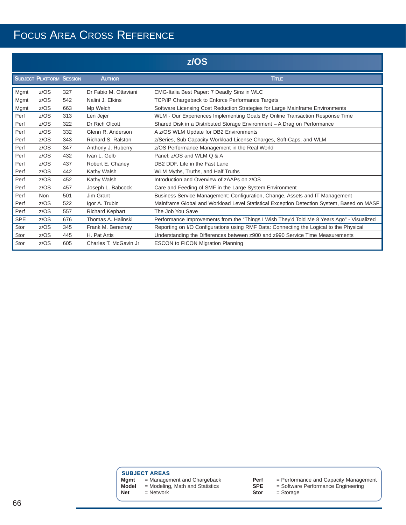## FOCUS AREA CROSS REFERENCE

|            |                                 |     |                        | Z/OS                                                                                      |
|------------|---------------------------------|-----|------------------------|-------------------------------------------------------------------------------------------|
|            | <b>SUBJECT PLATFORM SESSION</b> |     | <b>AUTHOR</b>          | <b>TITLE</b>                                                                              |
| Mgmt       | z/OS                            | 327 | Dr Fabio M. Ottaviani  | CMG-Italia Best Paper: 7 Deadly Sins in WLC                                               |
| Mgmt       | z/OS                            | 542 | Nalini J. Elkins       | TCP/IP Chargeback to Enforce Performance Targets                                          |
| Mgmt       | z/OS                            | 663 | Mp Welch               | Software Licensing Cost Reduction Strategies for Large Mainframe Environments             |
| Perf       | z/OS                            | 313 | Len Jejer              | WLM - Our Experiences Implementing Goals By Online Transaction Response Time              |
| Perf       | z/OS                            | 322 | Dr Rich Olcott         | Shared Disk in a Distributed Storage Environment - A Drag on Performance                  |
| Perf       | z/OS                            | 332 | Glenn R. Anderson      | A z/OS WLM Update for DB2 Environments                                                    |
| Perf       | z/OS                            | 343 | Richard S. Ralston     | z/Series, Sub Capacity Workload License Charges, Soft-Caps, and WLM                       |
| Perf       | z/OS                            | 347 | Anthony J. Ruberry     | z/OS Performance Management in the Real World                                             |
| Perf       | z/OS                            | 432 | Ivan L. Gelb           | Panel: z/OS and WLM Q & A                                                                 |
| Perf       | z/OS                            | 437 | Robert E. Chaney       | DB2 DDF, Life in the Fast Lane                                                            |
| Perf       | z/OS                            | 442 | Kathy Walsh            | WLM Myths, Truths, and Half Truths                                                        |
| Perf       | z/OS                            | 452 | Kathy Walsh            | Introduction and Overview of zAAPs on z/OS                                                |
| Perf       | z/OS                            | 457 | Joseph L. Babcock      | Care and Feeding of SMF in the Large System Environment                                   |
| Perf       | <b>Non</b>                      | 501 | Jim Grant              | Business Service Management: Configuration, Change, Assets and IT Management              |
| Perf       | z/OS                            | 522 | Igor A. Trubin         | Mainframe Global and Workload Level Statistical Exception Detection System, Based on MASF |
| Perf       | z/OS                            | 557 | <b>Richard Kephart</b> | The Job You Save                                                                          |
| <b>SPE</b> | z/OS                            | 676 | Thomas A. Halinski     | Performance Improvements from the "Things I Wish They'd Told Me 8 Years Ago" - Visualized |
| Stor       | z/OS                            | 345 | Frank M. Bereznay      | Reporting on I/O Configurations using RMF Data: Connecting the Logical to the Physical    |
| Stor       | z/OS                            | 445 | H. Pat Artis           | Understanding the Differences between z900 and z990 Service Time Measurements             |
| Stor       | z/OS                            | 605 | Charles T. McGavin Jr. | <b>ESCON to FICON Migration Planning</b>                                                  |

**SUBJECT AREAS**<br>**Mgmt** = Managen **Mgmt** = Management and Chargeback **Model** = Modeling, Math and Statistics **Net** = Network

**Perf** = Performance and Capacity Management

**SPE** = Software Performance Engineering

**Stor** = Storage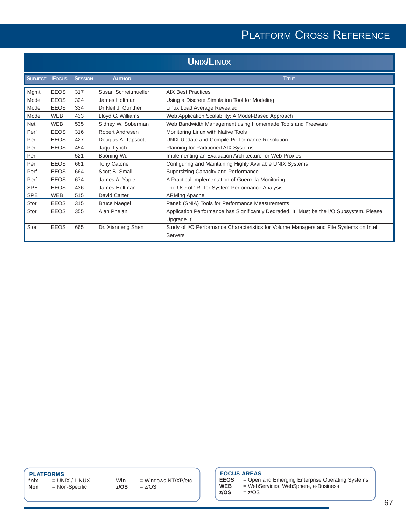| <b>UNIX/LINUX</b> |              |                |                      |                                                                                          |
|-------------------|--------------|----------------|----------------------|------------------------------------------------------------------------------------------|
| <b>SUBJECT</b>    | <b>Focus</b> | <b>SESSION</b> | <b>AUTHOR</b>        | <b>TITLE</b>                                                                             |
| Mgmt              | <b>EEOS</b>  | 317            | Susan Schreitmueller | <b>AIX Best Practices</b>                                                                |
| Model             | <b>EEOS</b>  | 324            | James Holtman        | Using a Discrete Simulation Tool for Modeling                                            |
| Model             | <b>EEOS</b>  | 334            | Dr Neil J. Gunther   | Linux Load Average Revealed                                                              |
| Model             | <b>WEB</b>   | 433            | Lloyd G. Williams    | Web Application Scalability: A Model-Based Approach                                      |
| <b>Net</b>        | <b>WEB</b>   | 535            | Sidney W. Soberman   | Web Bandwidth Management using Homemade Tools and Freeware                               |
| Perf              | <b>EEOS</b>  | 316            | Robert Andresen      | Monitoring Linux with Native Tools                                                       |
| Perf              | <b>EEOS</b>  | 427            | Douglas A. Tapscott  | UNIX Update and Compile Performance Resolution                                           |
| Perf              | <b>EEOS</b>  | 454            | Jaqui Lynch          | Planning for Partitioned AIX Systems                                                     |
| Perf              |              | 521            | Baoning Wu           | Implementing an Evaluation Architecture for Web Proxies                                  |
| Perf              | <b>EEOS</b>  | 661            | <b>Tony Catone</b>   | Configuring and Maintaining Highly Available UNIX Systems                                |
| Perf              | <b>EEOS</b>  | 664            | Scott B. Small       | Supersizing Capacity and Performance                                                     |
| Perf              | <b>EEOS</b>  | 674            | James A. Yaple       | A Practical Implementation of Guerrrilla Monitoring                                      |
| <b>SPE</b>        | <b>EEOS</b>  | 436            | James Holtman        | The Use of "R" for System Performance Analysis                                           |
| <b>SPE</b>        | <b>WEB</b>   | 515            | David Carter         | <b>ARMing Apache</b>                                                                     |
| Stor              | <b>EEOS</b>  | 315            | <b>Bruce Naegel</b>  | Panel: (SNIA) Tools for Performance Measurements                                         |
| Stor              | <b>EEOS</b>  | 355            | Alan Phelan          | Application Performance has Significantly Degraded, It Must be the I/O Subsystem, Please |
|                   |              |                |                      | Upgrade It!                                                                              |
| Stor              | <b>EEOS</b>  | 665            | Dr. Xianneng Shen    | Study of I/O Performance Characteristics for Volume Managers and File Systems on Intel   |
|                   |              |                |                      | Servers                                                                                  |

## **PLATFORMS**

**\*nix** = UNIX / LINUX<br>**Non** = Non-Specific **Non** = Non-Specific

**Win** = Windows NT/XP/etc.<br>**z/OS** =  $z$ /OS **z/OS** = z/OS

## **FOCUS AREAS**

**z/OS** = z/OS

**EEOS** = Open and Emerging Enterprise Operating Systems **WEB** = WebServices, WebSphere, e-Business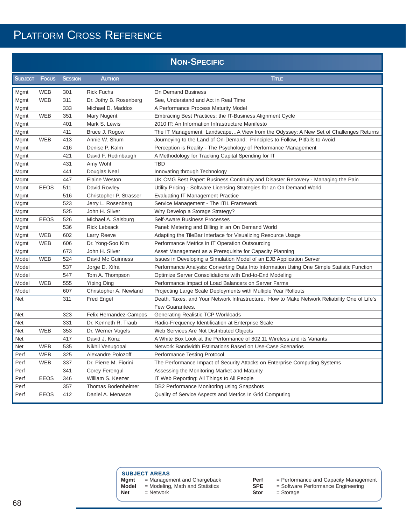| <b>NON-SPECIFIC</b> |  |  |
|---------------------|--|--|

| <b>SUBJECT</b> | <b>Focus</b> | <b>SESSION</b> | <b>AUTHOR</b>           | <b>TITLE</b>                                                                                                    |
|----------------|--------------|----------------|-------------------------|-----------------------------------------------------------------------------------------------------------------|
| Mgmt           | <b>WEB</b>   | 301            | <b>Rick Fuchs</b>       | On Demand Business                                                                                              |
| Mgmt           | <b>WEB</b>   | 311            | Dr. Jothy B. Rosenberg  | See, Understand and Act in Real Time                                                                            |
| Mgmt           |              | 333            | Michael D. Maddox       | A Performance Process Maturity Model                                                                            |
| Mgmt           | <b>WEB</b>   | 351            | Mary Nugent             | Embracing Best Practices: the IT-Business Alignment Cycle                                                       |
| Mgmt           |              | 401            | Mark S. Lewis           | 2010 IT: An Information Infrastructure Manifesto                                                                |
| Mgmt           |              | 411            | Bruce J. Rogow          | The IT Management LandscapeA View from the Odyssey: A New Set of Challenges Returns                             |
| Mgmt           | <b>WEB</b>   | 413            | Annie W. Shum           | Journeying to the Land of On-Demand: Principles to Follow, Pitfalls to Avoid                                    |
| Mgmt           |              | 416            | Denise P. Kalm          | Perception is Reality - The Psychology of Performance Management                                                |
| Mgmt           |              | 421            | David F. Redinbaugh     | A Methodology for Tracking Capital Spending for IT                                                              |
| Mgmt           |              | 431            | Amy Wohl                | <b>TBD</b>                                                                                                      |
| Mgmt           |              | 441            | Douglas Neal            | Innovating through Technology                                                                                   |
| Mgmt           |              | 447            | <b>Elaine Weston</b>    | UK CMG Best Paper: Business Continuity and Disaster Recovery - Managing the Pain                                |
| Mgmt           | <b>EEOS</b>  | 511            | David Rowley            | Utility Pricing - Software Licensing Strategies for an On Demand World                                          |
| Mgmt           |              | 516            | Christopher P. Strasser | <b>Evaluating IT Management Practice</b>                                                                        |
| Mgmt           |              | 523            | Jerry L. Rosenberg      | Service Management - The ITIL Framework                                                                         |
| Mgmt           |              | 525            | John H. Silver          | Why Develop a Storage Strategy?                                                                                 |
| Mgmt           | <b>EEOS</b>  | 526            | Michael A. Salsburg     | Self-Aware Business Processes                                                                                   |
| Mgmt           |              | 536            | <b>Rick Lebsack</b>     | Panel: Metering and Billing in an On Demand World                                                               |
| Mgmt           | <b>WEB</b>   | 602            | Larry Reeve             | Adapting the TileBar Interface for Visualizing Resource Usage                                                   |
| Mgmt           | <b>WEB</b>   | 606            | Dr. Yong-Soo Kim        | Performance Metrics in IT Operation Outsourcing                                                                 |
| Mgmt           |              | 673            | John H. Silver          | Asset Management as a Prerequisite for Capacity Planning                                                        |
| Model          | <b>WEB</b>   | 524            | David Mc Guinness       | Issues in Developing a Simulation Model of an EJB Application Server                                            |
| Model          |              | 537            | Jorge D. Xifra          | Performance Analysis: Converting Data Into Information Using One Simple Statistic Function                      |
| Model          |              | 547            | Tom A. Thompson         | Optimize Server Consolidations with End-to-End Modeling                                                         |
| Model          | <b>WEB</b>   | 555            | <b>Yiping Ding</b>      | Performance Impact of Load Balancers on Server Farms                                                            |
| Model          |              | 607            | Christopher A. Newland  | Projecting Large Scale Deployments with Multiple Year Rollouts                                                  |
| <b>Net</b>     |              | 311            | Fred Engel              | Death, Taxes, and Your Network Infrastructure. How to Make Network Reliability One of Life's<br>Few Guarantees. |
| <b>Net</b>     |              | 323            | Felix Hernandez-Campos  | <b>Generating Realistic TCP Workloads</b>                                                                       |
| Net            |              | 331            | Dr. Kenneth R. Traub    | Radio-Frequency Identification at Enterprise Scale                                                              |
| Net            | <b>WEB</b>   | 353            | Dr. Werner Vogels       | Web Services Are Not Distributed Objects                                                                        |
| Net            |              | 417            | David J. Konz           | A White Box Look at the Performance of 802.11 Wireless and its Variants                                         |
| Net            | <b>WEB</b>   | 535            | Nikhil Venugopal        | Network Bandwidth Estimations Based on Use-Case Scenarios                                                       |
| Perf           | <b>WEB</b>   | 325            | Alexandre Polozoff      | <b>Performance Testing Protocol</b>                                                                             |
| Perf           | <b>WEB</b>   | 337            | Dr. Pierre M. Fiorini   | The Performance Impact of Security Attacks on Enterprise Computing Systems                                      |
| Perf           |              | 341            | Corey Ferengul          | Assessing the Monitoring Market and Maturity                                                                    |
| Perf           | <b>EEOS</b>  | 346            | William S. Keezer       | IT Web Reporting: All Things to All People                                                                      |
| Perf           |              | 357            | Thomas Bodenheimer      | DB2 Performance Monitoring using Snapshots                                                                      |
| Perf           | <b>EEOS</b>  | 412            | Daniel A. Menasce       | Quality of Service Aspects and Metrics In Grid Computing                                                        |

|            | <b>SUBJECT AREAS</b>              |             |                                         |
|------------|-----------------------------------|-------------|-----------------------------------------|
| Mamt       | $=$ Management and Chargeback     | Perf        | $=$ Performance and Capacity Management |
| Model      | $=$ Modeling, Math and Statistics | <b>SPE</b>  | = Software Performance Engineering      |
| <b>Net</b> | $=$ Network                       | <b>Stor</b> | $=$ Storage                             |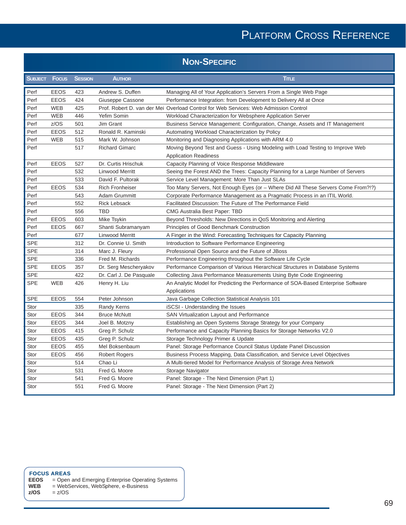|                | <b>NON-SPECIFIC</b> |                |                         |                                                                                                                |  |  |
|----------------|---------------------|----------------|-------------------------|----------------------------------------------------------------------------------------------------------------|--|--|
| <b>SUBJECT</b> | <b>Focus</b>        | <b>SESSION</b> | <b>AUTHOR</b>           | <b>TITLE</b>                                                                                                   |  |  |
| Perf           | <b>EEOS</b>         | 423            | Andrew S. Duffen        | Managing All of Your Application's Servers From a Single Web Page                                              |  |  |
| Perf           | <b>EEOS</b>         | 424            | Giuseppe Cassone        | Performance Integration: from Development to Delivery All at Once                                              |  |  |
| Perf           | WEB                 | 425            |                         | Prof. Robert D. van der Mei Overload Control for Web Services: Web Admission Control                           |  |  |
| Perf           | <b>WEB</b>          | 446            | Yefim Somin             | Workload Characterization for Websphere Application Server                                                     |  |  |
| Perf           | z/OS                | 501            | Jim Grant               | Business Service Management: Configuration, Change, Assets and IT Management                                   |  |  |
| Perf           | <b>EEOS</b>         | 512            | Ronald R. Kaminski      | Automating Workload Characterization by Policy                                                                 |  |  |
| Perf           | <b>WEB</b>          | 515            | Mark W. Johnson         | Monitoring and Diagnosing Applications with ARM 4.0                                                            |  |  |
| Perf           |                     | 517            | <b>Richard Gimarc</b>   | Moving Beyond Test and Guess - Using Modeling with Load Testing to Improve Web<br><b>Application Readiness</b> |  |  |
| Perf           | <b>EEOS</b>         | 527            | Dr. Curtis Hrischuk     | Capacity Planning of Voice Response Middleware                                                                 |  |  |
| Perf           |                     | 532            | Linwood Merritt         | Seeing the Forest AND the Trees: Capacity Planning for a Large Number of Servers                               |  |  |
| Perf           |                     | 533            | David F. Pultorak       | Service Level Management: More Than Just SLAs                                                                  |  |  |
| Perf           | <b>EEOS</b>         | 534            | <b>Rich Fronheiser</b>  | Too Many Servers, Not Enough Eyes (or - Where Did All These Servers Come From?!?)                              |  |  |
| Perf           |                     | 543            | <b>Adam Grummitt</b>    | Corporate Performance Management as a Pragmatic Process in an ITIL World.                                      |  |  |
| Perf           |                     | 552            | <b>Rick Lebsack</b>     | Facilitated Discussion: The Future of The Performance Field                                                    |  |  |
| Perf           |                     | 556            | <b>TBD</b>              | <b>CMG Australia Best Paper: TBD</b>                                                                           |  |  |
| Perf           | <b>EEOS</b>         | 603            | Mike Tsykin             | Beyond Thresholds: New Directions in QoS Monitoring and Alerting                                               |  |  |
| Perf           | <b>EEOS</b>         | 667            | Shanti Subramanyam      | Principles of Good Benchmark Construction                                                                      |  |  |
| Perf           |                     | 677            | <b>Linwood Merritt</b>  | A Finger in the Wind: Forecasting Techniques for Capacity Planning                                             |  |  |
| <b>SPE</b>     |                     | 312            | Dr. Connie U. Smith     | Introduction to Software Performance Engineering                                                               |  |  |
| <b>SPE</b>     |                     | 314            | Marc J. Fleury          | Professional Open Source and the Future of JBoss                                                               |  |  |
| <b>SPE</b>     |                     | 336            | Fred M. Richards        | Performance Engineering throughout the Software Life Cycle                                                     |  |  |
| <b>SPE</b>     | <b>EEOS</b>         | 357            | Dr. Serg Mescheryakov   | Performance Comparison of Various Hierarchical Structures in Database Systems                                  |  |  |
| SPE            |                     | 422            | Dr. Carl J. De Pasquale | Collecting Java Performance Measurements Using Byte Code Engineering                                           |  |  |
| SPE            | <b>WEB</b>          | 426            | Henry H. Liu            | An Analytic Model for Predicting the Performance of SOA-Based Enterprise Software<br>Applications              |  |  |
| <b>SPE</b>     | <b>EEOS</b>         | 554            | Peter Johnson           | Java Garbage Collection Statistical Analysis 101                                                               |  |  |
| Stor           |                     | 335            | Randy Kerns             | iSCSI - Understanding the Issues                                                                               |  |  |
| Stor           | <b>EEOS</b>         | 344            | <b>Bruce McNutt</b>     | <b>SAN Virtualization Layout and Performance</b>                                                               |  |  |
| Stor           | <b>EEOS</b>         | 344            | Joel B. Motzny          | Establishing an Open Systems Storage Strategy for your Company                                                 |  |  |
| Stor           | <b>EEOS</b>         | 415            | Greg P. Schulz          | Performance and Capacity Planning Basics for Storage Networks V2.0                                             |  |  |
| Stor           | EEOS                | 435            | Greg P. Schulz          | Storage Technology Primer & Update                                                                             |  |  |
| Stor           | <b>EEOS</b>         | 455            | Mel Boksenbaum          | Panel: Storage Performance Council Status Update Panel Discussion                                              |  |  |
| Stor           | <b>EEOS</b>         | 456            | <b>Robert Rogers</b>    | Business Process Mapping, Data Classification, and Service Level Objectives                                    |  |  |
| Stor           |                     | 514            | Chao Li                 | A Multi-tiered Model for Performance Analysis of Storage Area Network                                          |  |  |
| Stor           |                     | 531            | Fred G. Moore           | Storage Navigator                                                                                              |  |  |
| Stor           |                     | 541            | Fred G. Moore           | Panel: Storage - The Next Dimension (Part 1)                                                                   |  |  |
| Stor           |                     | 551            | Fred G. Moore           | Panel: Storage - The Next Dimension (Part 2)                                                                   |  |  |

- **FOCUS AREAS EEOS** = Open and Emerging Enterprise Operating Systems
- **WEB** = WebServices, WebSphere, e-Business
- **z/OS** = z/OS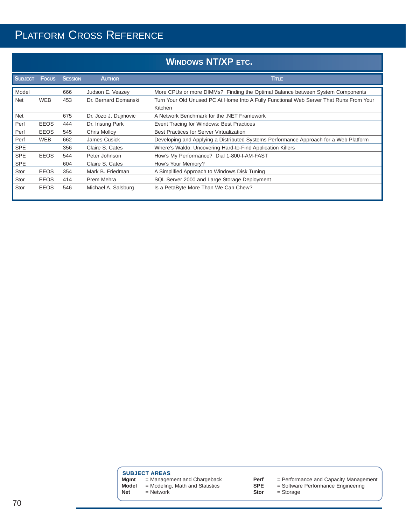|                |              |                |                      | <b>WINDOWS NT/XP ETC.</b>                                                                         |
|----------------|--------------|----------------|----------------------|---------------------------------------------------------------------------------------------------|
| <b>SUBJECT</b> | <b>Focus</b> | <b>SESSION</b> | <b>AUTHOR</b>        | Tinue.                                                                                            |
| Model          |              | 666            | Judson E. Veazey     | More CPUs or more DIMMs? Finding the Optimal Balance between System Components                    |
| <b>Net</b>     | <b>WEB</b>   | 453            | Dr. Bernard Domanski | Turn Your Old Unused PC At Home Into A Fully Functional Web Server That Runs From Your<br>Kitchen |
| Net            |              | 675            | Dr. Jozo J. Dujmovic | A Network Benchmark for the .NET Framework                                                        |
| Perf           | <b>EEOS</b>  | 444            | Dr. Insung Park      | Event Tracing for Windows: Best Practices                                                         |
| Perf           | <b>EEOS</b>  | 545            | Chris Molloy         | <b>Best Practices for Server Virtualization</b>                                                   |
| Perf           | <b>WEB</b>   | 662            | James Cusick         | Developing and Applying a Distributed Systems Performance Approach for a Web Platform             |
| <b>SPE</b>     |              | 356            | Claire S. Cates      | Where's Waldo: Uncovering Hard-to-Find Application Killers                                        |
| <b>SPE</b>     | <b>EEOS</b>  | 544            | Peter Johnson        | How's My Performance? Dial 1-800-I-AM-FAST                                                        |
| <b>SPE</b>     |              | 604            | Claire S. Cates      | How's Your Memory?                                                                                |
| Stor           | <b>EEOS</b>  | 354            | Mark B. Friedman     | A Simplified Approach to Windows Disk Tuning                                                      |
| Stor           | <b>EEOS</b>  | 414            | Prem Mehra           | SQL Server 2000 and Large Storage Deployment                                                      |
| Stor           | <b>EEOS</b>  | 546            | Michael A. Salsburg  | Is a PetaByte More Than We Can Chew?                                                              |

**SUBJECT AREAS** 

**Mgmt** = Management and Chargeback **Model** = Modeling, Math and Statistics

**Net** = Network

- -

**Perf** = Performance and Capacity Management

**SPE** = Software Performance Engineering

**Stor** = Storage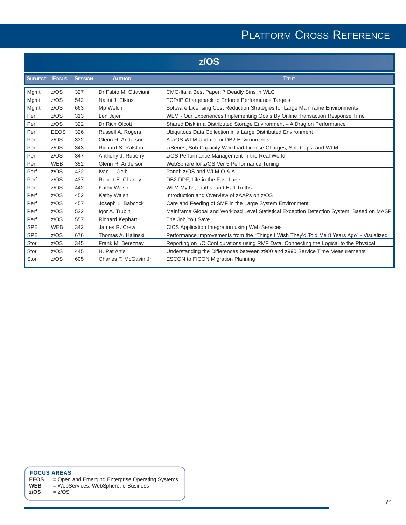## PLATFORM CROSS REFERENCE

| z/OS           |              |                |                        |                                                                                           |
|----------------|--------------|----------------|------------------------|-------------------------------------------------------------------------------------------|
| <b>SUBJECT</b> | <b>Focus</b> | <b>SESSION</b> | <b>AUTHOR</b>          | <b>TITLE</b>                                                                              |
| Mgmt           | z/OS         | 327            | Dr Fabio M. Ottaviani  | CMG-Italia Best Paper: 7 Deadly Sins in WLC                                               |
| Mgmt           | z/OS         | 542            | Nalini J. Elkins       | TCP/IP Chargeback to Enforce Performance Targets                                          |
| Mgmt           | z/OS         | 663            | Mp Welch               | Software Licensing Cost Reduction Strategies for Large Mainframe Environments             |
| Perf           | z/OS         | 313            | Len Jejer              | WLM - Our Experiences Implementing Goals By Online Transaction Response Time              |
| Perf           | z/OS         | 322            | Dr Rich Olcott         | Shared Disk in a Distributed Storage Environment - A Drag on Performance                  |
| Perf           | <b>EEOS</b>  | 326            | Russell A. Rogers      | Ubiquitous Data Collection in a Large Distributed Environment                             |
| Perf           | z/OS         | 332            | Glenn R. Anderson      | A z/OS WLM Update for DB2 Environments                                                    |
| Perf           | z/OS         | 343            | Richard S. Ralston     | z/Series, Sub Capacity Workload License Charges, Soft-Caps, and WLM                       |
| Perf           | z/OS         | 347            | Anthony J. Ruberry     | z/OS Performance Management in the Real World                                             |
| Perf           | <b>WEB</b>   | 352            | Glenn R. Anderson      | WebSphere for z/OS Ver 5 Performance Tuning                                               |
| Perf           | z/OS         | 432            | Ivan L. Gelb           | Panel: z/OS and WLM Q & A                                                                 |
| Perf           | z/OS         | 437            | Robert E. Chaney       | DB2 DDF, Life in the Fast Lane                                                            |
| Perf           | z/OS         | 442            | Kathy Walsh            | WLM Myths, Truths, and Half Truths                                                        |
| Perf           | z/OS         | 452            | Kathy Walsh            | Introduction and Overview of zAAPs on z/OS                                                |
| Perf           | z/OS         | 457            | Joseph L. Babcock      | Care and Feeding of SMF in the Large System Environment                                   |
| Perf           | z/OS         | 522            | Igor A. Trubin         | Mainframe Global and Workload Level Statistical Exception Detection System, Based on MASF |
| Perf           | z/OS         | 557            | <b>Richard Kephart</b> | The Job You Save                                                                          |
| <b>SPE</b>     | <b>WEB</b>   | 342            | James R. Crew          | CICS Application Integration using Web Services                                           |
| <b>SPE</b>     | z/OS         | 676            | Thomas A. Halinski     | Performance Improvements from the "Things I Wish They'd Told Me 8 Years Ago" - Visualized |
| Stor           | z/OS         | 345            | Frank M. Bereznay      | Reporting on I/O Configurations using RMF Data: Connecting the Logical to the Physical    |
| Stor           | z/OS         | 445            | H. Pat Artis           | Understanding the Differences between z900 and z990 Service Time Measurements             |
| Stor           | z/OS         | 605            | Charles T. McGavin Jr. | <b>ESCON to FICON Migration Planning</b>                                                  |

#### **FOCUS AREAS**

- **EEOS** = Open and Emerging Enterprise Operating Systems
- **WEB** = WebServices, WebSphere, e-Business

**z/OS** = z/OS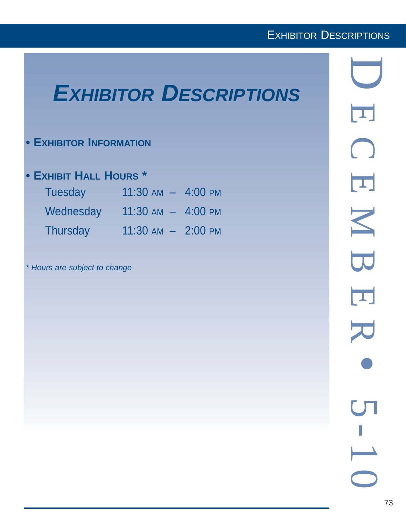# *EXHIBITOR DESCRIPTIONS*

## **• EXHIBITOR INFORMATION**

## **• EXHIBIT HALL HOURS \***

| <b>Tuesday</b> | $11:30$ AM $-$ 4:00 PM |  |
|----------------|------------------------|--|
| Wednesday      | $11:30$ AM $-$ 4:00 PM |  |
| Thursday       | $11:30$ AM $-$ 2:00 PM |  |

*\* Hours are subject to change*

D  $\overline{\mathbf{L}}$ ECEMBER  $\bigcap$  $\overline{\Box}$ N B  $\overline{\mathbf{L}}$ • 5-10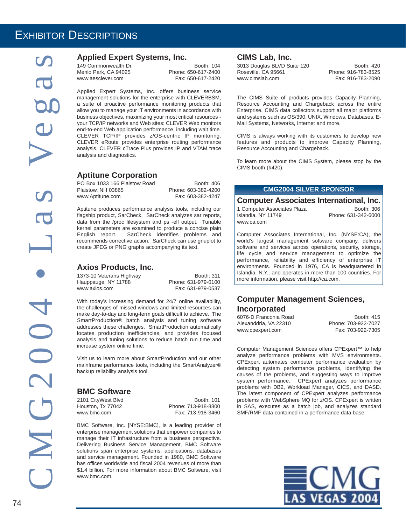### **Applied Expert Systems, Inc.**

149 Commonwealth Dr.<br>
Menlo Park. CA 94025 Phone: 650-617-2400 Menlo Park, CA 94025 www.aesclever.com Fax: 650-617-2420

Applied Expert Systems, Inc. offers business service management solutions for the enterprise with CLEVERBSM, a suite of proactive performance monitoring products that allow you to manage your IT environments in accordance with business objectives, maximizing your most critical resources your TCP/IP networks and Web sites: CLEVER Web monitors end-to-end Web application performance, including wait time. CLEVER TCP/IP provides z/OS-centric IP monitoring. CLEVER eRoute provides enterprise routing performance analysis. CLEVER cTrace Plus provides IP and VTAM trace analysis and diagnostics.

### **Aptitune Corporation**

PO Box 1033 166 Plaistow Road Booth: 406<br>Plaistow. NH 03865 Phone: 603-382-4200 Plaistow, NH 03865 www.Aptitune.com Fax: 603-382-4247

 $w<sub>0</sub>$ 

Aptitune produces performance analysis tools, including our flagship product, SarCheck. SarCheck analyzes sar reports, data from the /proc filesystem and ps -elf output. Tunable kernel parameters are examined to produce a concise plain English report. SarCheck identifies problems and recommends corrective action. SarCheck can use gnuplot to create JPEG or PNG graphs accompanying its text.

### **Axios Products, Inc.**

1373-10 Veterans Highway Booth: 311<br>Hauppauge, NY 11788 Booth: 311-979-0100 Hauppauge, NY 11788 www.axios.com Fax: 631-979-0537

With today's increasing demand for 24/7 online availability, the challenges of missed windows and limited resources can make day-to-day and long-term goals difficult to achieve. The SmartProduction® batch analysis and tuning software addresses these challenges. SmartProduction automatically locates production inefficiencies, and provides focused analysis and tuning solutions to reduce batch run time and increase system online time.

Visit us to learn more about SmartProduction and our other mainframe performance tools, including the SmartAnalyzer® backup reliability analysis tool.

### **BMC Software**

2101 CityWest Blvd<br>
Houston, Tx 77042 **Booth: 101** Phone: 713-918-8800 Phone: 713-918-8800 www.bmc.com Fax: 713-918-3460

BMC Software, Inc. [NYSE:BMC], is a leading provider of enterprise management solutions that empower companies to manage their IT infrastructure from a business perspective. Delivering Business Service Management, BMC Software solutions span enterprise systems, applications, databases and service management. Founded in 1980, BMC Software has offices worldwide and fiscal 2004 revenues of more than \$1.4 billion. For more information about BMC Software, visit www.bmc.com.

### **CIMS Lab, Inc.**

3013 Douglas BLVD Suite 120 Booth: 420<br>Roseville. CA 95661 Booth: 420 www.cimslab.com Fax: 916-783-2090

Phone: 916-783-8525

The CIMS Suite of products provides Capacity Planning, Resource Accounting and Chargeback across the entire Enterprise. CIMS data collectors support all major platforms and systems such as OS/390, UNIX, Windows, Databases, E-Mail Systems, Networks, Internet and more.

CIMS is always working with its customers to develop new features and products to improve Capacity Planning, Resource Accounting and Chargeback.

To learn more about the CIMS System, please stop by the CIMS booth (#420).

### **CMG2004 SILVER SPONSOR**

### **Computer Associates International, Inc.**

| 1 Computer Associates Plaza | Booth: 306          |
|-----------------------------|---------------------|
| Islandia. NY 11749          | Phone: 631-342-6000 |
| www.ca.com                  |                     |

Computer Associates International, Inc. (NYSE:CA), the world's largest management software company, delivers software and services across operations, security, storage, life cycle and service management to optimize the performance, reliability and efficiency of enterprise IT environments. Founded in 1976, CA is headquartered in Islandia, N.Y., and operates in more than 100 countries. For more information, please visit http://ca.com.

### **Computer Management Sciences, Incorporated**

| 6076-D Franconia Road | Booth: 415          |
|-----------------------|---------------------|
| Alexanddria. VA 22310 | Phone: 703-922-7027 |
| www.cpexpert.com      | Fax: 703-922-7305   |

Computer Management Sciences offers CPExpert™ to help analyze performance problems with MVS environments. CPExpert automates computer performance evaluation by detecting system performance problems, identifying the causes of the problems, and suggesting ways to improve system performance. CPExpert analyzes performance problems with DB2, Workload Manager, CICS, and DASD. The latest component of CPExpert analyzes performance problems with WebSphere MQ for z/OS. CPExpert is written in SAS, executes as a batch job, and analyzes standard SMF/RMF data contained in a performance data base.

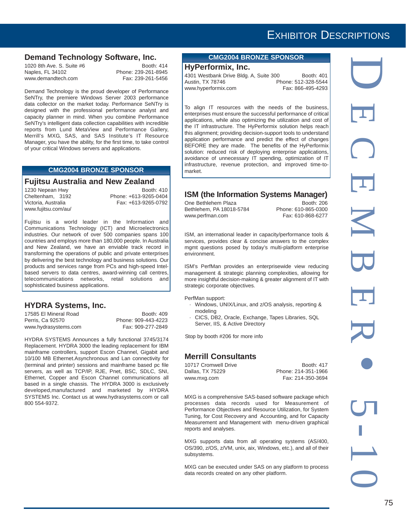## **Demand Technology Software, Inc.**<br><sup>1020 8th Ave. S. Suite #6</sup><br>**Booth:** 414

1020 8th Ave. S. Suite #6<br>Naples. FL 34102 www.demandtech.com Fax: 239-261-5456

Phone: 239-261-8945

Demand Technology is the proud developer of Performance SeNTry, the premiere Windows Server 2003 performance data collector on the market today. Performance SeNTry is designed with the professional performance analyst and capacity planner in mind. When you combine Performance SeNTry's intelligent data collection capabilities with incredible reports from Lund MetaView and Performance Gallery, Merrill's MXG, SAS, and SAS Institute's IT Resource Manager, you have the ability, for the first time, to take control of your critical Windows servers and applications.

#### **CMG2004 BRONZE SPONSOR**

#### **Fujitsu Australia and New Zealand**

1230 Nepean Hwy Booth: 410 www.fujitsu.com/au/

Cheltenham, 3192 Phone: +613-9265-0404 Victoria, Australia Fax: +613-9265-0792

Fujitsu is a world leader in the Information and Communications Technology (ICT) and Microelectronics industries. Our network of over 500 companies spans 100 countries and employs more than 180,000 people. In Australia and New Zealand, we have an enviable track record in transforming the operations of public and private enterprises by delivering the best technology and business solutions. Our products and services range from PCs and high-speed Intelbased servers to data centres, award-winning call centres, telecommunications networks, retail solutions and sophisticated business applications.

### **HYDRA Systems, Inc.**

17585 El Mineral Road<br>
Perris, Ca 92570 <br>
Phone: 909-443-4223 www.hydrasystems.com

Phone: 909-443-4223<br>Fax: 909-277-2849

HYDRA SYSTEMS Announces a fully functional 3745/3174 Replacement. HYDRA 3000 the leading replacement for IBM mainframe controllers, support Escon Channel, Gigabit and 10/100 MB Ethernet.Asynchronous and Lan connectivity for (terminal and printer) sessions and mainframe based pc file servers, as well as TCP/IP, RJE, Pnet, BSC, SDLC, SNI, Ethernet, Copper and Escon Channel communications all based in a single chassis. The HYDRA 3000 is exclusively developed,manufactured and marketed by HYDRA SYSTEMS Inc. Contact us at www.hydrasystems.com or call 800 554-9372.

### **CMG2004 BRONZE SPONSOR**

### **HyPerformix, Inc.**

4301 Westbank Drive Bldg. A, Suite 300 Booth: 401 Austin, TX 78746 Phone: 512-328-5544<br>www.hvperformix.com Fax: 866-495-4293 www.hyperformix.com

To align IT resources with the needs of the business, enterprises must ensure the successful performance of critical applications, while also optimizing the utilization and cost of the IT infrastructure. The HyPerformix solution helps reach this alignment; providing decision-support tools to understand application performance and predict the effect of changes BEFORE they are made. The benefits of the HyPerformix solution: reduced risk of deploying enterprise applications, avoidance of unnecessary IT spending, optimization of IT infrastructure, revenue protection, and improved time-tomarket.

### **ISM (the Information Systems Manager)**

One Bethlehem Plaza Booth: 206<br>Bethlehem, PA 18018-5784 Phone: 610-865-0300 Bethlehem, PA 18018-5784 www.perfman.com Fax: 610-868-6277

ISM, an international leader in capacity/performance tools & services, provides clear & concise answers to the complex mgmt questions posed by today's multi-platform enterprise environment.

ISM's PerfMan provides an enterprisewide view reducing management & strategic planning complexities, allowing for more insightful decision-making & greater alignment of IT with strategic corporate objectives.

PerfMan support:

- · Windows, UNIX/Linux, and z/OS analysis, reporting & modeling
- · CICS, DB2, Oracle, Exchange, Tapes Libraries, SQL Server, IIS, & Active Directory

Stop by booth #206 for more info

### **Merrill Consultants**

10717 Cromwell Drive Booth: 417<br>
Dallas. TX 75229 Phone: 214-351-1966 Phone: 214-351-1966 www.mxg.com Fax: 214-350-3694

MXG is a comprehensive SAS-based software package which processes data records used for Measurement of Performance Objectives and Resource Utilization, for System Tuning, for Cost Recovery and Accounting, and for Capacity Measurement and Management with menu-driven graphical reports and analyses.

MXG supports data from all operating systems (AS/400, OS/390, z/OS, z/VM, unix, aix, Windows, etc.), and all of their subsystems.

MXG can be executed under SAS on any platform to process data records created on any other platform.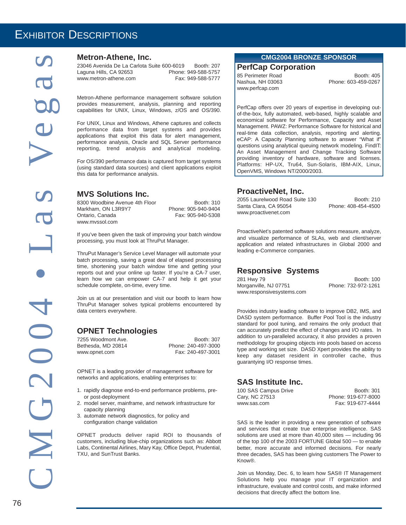### **Metron-Athene, Inc.**

23046 Avenida De La Carlota Suite 600-6019 Booth: 207<br>Laguna Hills. CA 92653 Phone: 949-588-5757 Laguna Hills, CA 92653 www.metron-athene.com Fax: 949-588-5777

Metron-Athene performance management software solution provides measurement, analysis, planning and reporting capabilities for UNIX, Linux, Windows, z/OS and OS/390.

For UNIX, Linux and Windows, Athene captures and collects performance data from target systems and provides applications that exploit this data for alert management, performance analysis, Oracle and SQL Server performance reporting, trend analysis and analytical modeling.

For OS/390 performance data is captured from target systems (using standard data sources) and client applications exploit this data for performance analysis.

### **MVS Solutions Inc.**

8300 Woodbine Avenue 4th Floor Booth: 310<br>Markham. ON L3R9Y7 Phone: 905-940-9404 Markham, ON L3R9Y7<br>Ontario, Canada www.mvssol.com

Fax: 905-940-5308

If you've been given the task of improving your batch window processing, you must look at ThruPut Manager.

ThruPut Manager's Service Level Manager will automate your batch processing, saving a great deal of elapsed processing time, shortening your batch window time and getting your reports out and your online up faster. If you're a CA-7 user, learn how we can empower CA-7 and help it get your schedule complete, on-time, every time.

Join us at our presentation and visit our booth to learn how ThruPut Manager solves typical problems encountered by data centers everywhere.

### **OPNET Technologies**

Bethesda, MD 20814 www.opnet.com Fax: 240-497-3001

7255 Woodmont Ave.<br>
Booth: 307<br>
Bethesda. MD 20814 Phone: 240-497-3000

OPNET is a leading provider of management software for networks and applications, enabling enterprises to:

- 1. rapidly diagnose end-to-end performance problems, preor post-deployment
- 2. model server, mainframe, and network infrastructure for capacity planning
- 3. automate network diagnostics, for policy and configuration change validation

OPNET products deliver rapid ROI to thousands of customers, including blue-chip organizations such as: Abbott Labs, Continental Airlines, Mary Kay, Office Depot, Prudential, TXU, and SunTrust Banks.

#### **CMG2004 BRONZE SPONSOR**

### **PerfCap Corporation**

www.perfcap.com

85 Perimeter Road Booth: 405 Nashua, NH 03063 Phone: 603-459-0267

PerfCap offers over 20 years of expertise in developing outof-the-box, fully automated, web-based, highly scalable and economical software for Performance, Capacity and Asset Management. PAWZ: Performance Software for historical and real-time data collection, analysis, reporting and alerting. eCAP: A Capacity Planning software to answer "What if" questions using analytical queuing network modeling. FindIT: An Asset Management and Change Tracking Software providing inventory of hardware, software and licenses. Platforms: HP-UX, Tru64, Sun-Solaris, IBM-AIX, Linux, OpenVMS, Windows NT/2000/2003.

### **ProactiveNet, Inc.**

2055 Laurelwood Road Suite 130 Booth: 210 Santa Clara, CA 95054 Phone: 408-454-4500 www.proactivenet.com

ProactiveNet's patented software solutions measure, analyze, and visualize performance of SLAs, web and client/server application and related infrastructures in Global 2000 and leading e-Commerce companies.

### **Responsive Systems**

281 Hwy 79 Booth: 100 Morganville, NJ 07751 www.responsivesystems.com

Provides industry leading software to improve DB2, IMS, and DASD system performance. Buffer Pool Tool is the industry standard for pool tuning, and remains the only product that can accurately predict the effect of changes and I/O rates. In addition to un-paralleled accuracy, it also provides a proven methodology for grouping objects into pools based on access type and working set size. DASD Xpert provides the ability to keep any dataset resident in controller cache, thus guarantying I/O response times.

### **SAS Institute Inc.**

| 100 SAS Campus Drive | Booth: 301          |
|----------------------|---------------------|
| Cary, NC 27513       | Phone: 919-677-8000 |
| www.sas.com          | Fax: 919-677-4444   |

SAS is the leader in providing a new generation of software and services that create true enterprise intelligence. SAS solutions are used at more than 40,000 sites — including 96 of the top 100 of the 2003 FORTUNE Global 500 — to enable better, more accurate and informed decisions. For nearly three decades, SAS has been giving customers The Power to Know®.

Join us Monday, Dec. 6, to learn how SAS® IT Management Solutions help you manage your IT organization and infrastructure, evaluate and control costs, and make informed decisions that directly affect the bottom line.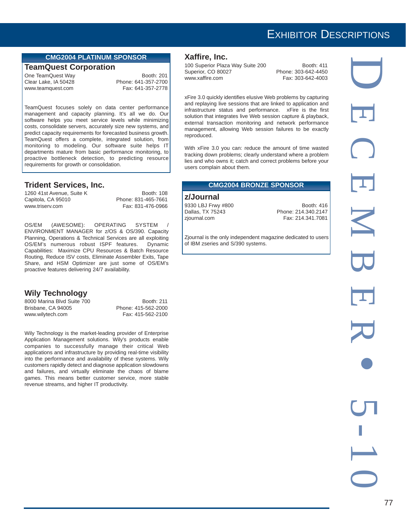### **CMG2004 PLATINUM SPONSOR**

#### **TeamQuest Corporation**

Clear Lake, IA 50428 Phone: 641-357-2700 www.teamquest.com

One TeamQuest Way **Booth: 201** 

TeamQuest focuses solely on data center performance management and capacity planning. It's all we do. Our software helps you meet service levels while minimizing costs, consolidate servers, accurately size new systems, and predict capacity requirements for forecasted business growth. TeamQuest offers a complete, integrated solution, from monitoring to modeling. Our software suite helps IT departments mature from basic performance monitoring, to proactive bottleneck detection, to predicting resource requirements for growth or consolidation.

### **Trident Services, Inc.**

1260 41st Avenue, Suite K Booth: 108 Capitola, CA 95010 Phone: 831-465-7661 www.triserv.com Fax: 831-476-0966

OS/EM (AWESOME): OPERATING SYSTEM / ENVIRONMENT MANAGER for z/OS & OS/390. Capacity Planning, Operations & Technical Services are all exploiting OS/EM's numerous robust ISPF features. Dynamic Capabilities: Maximize CPU Resources & Batch Resource Routing, Reduce ISV costs, Eliminate Assembler Exits, Tape Share, and HSM Optimizer are just some of OS/EM's proactive features delivering 24/7 availability.

### **Wily Technology**

8000 Marina Blvd Suite 700 Booth: 211 Brisbane, CA 94005 Phone: 415-562-2000 www.wilytech.com Fax: 415-562-2100

Wily Technology is the market-leading provider of Enterprise Application Management solutions. Wily's products enable companies to successfully manage their critical Web applications and infrastructure by providing real-time visibility into the performance and availability of these systems. Wily customers rapidly detect and diagnose application slowdowns and failures, and virtually eliminate the chaos of blame games. This means better customer service, more stable revenue streams, and higher IT productivity.

#### **Xaffire, Inc.**

100 Superior Plaza Way Suite 200 Booth: 411 Superior, CO 80027 Phone: 303-642-4450 www.xaffire.com Fax: 303-642-4003

xFire 3.0 quickly identifies elusive Web problems by capturing and replaying live sessions that are linked to application and infrastructure status and performance. xFire is the first solution that integrates live Web session capture & playback, external transaction monitoring and network performance management, allowing Web session failures to be exactly reproduced.

With xFire 3.0 you can: reduce the amount of time wasted tracking down problems; clearly understand where a problem lies and who owns it; catch and correct problems before your users complain about them.

#### **CMG2004 BRONZE SPONSOR**

#### **z/Journal**

9330 LBJ Frwy #800 Booth: 416<br>
Dallas, TX 75243 Phone: 214.340.2147 Phone: 214.340.2147 zjournal.com **Fax: 214.341.7081** 

Zjournal is the only independent magazine dedicated to users of IBM zseries and S/390 systems.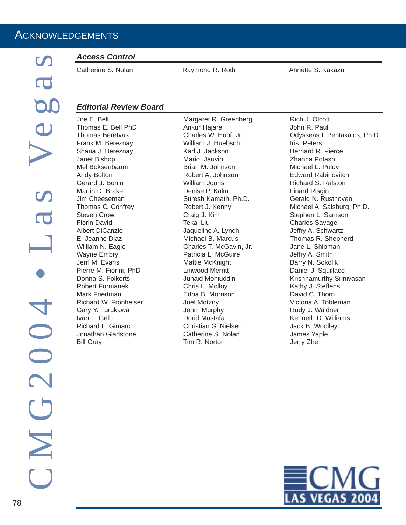### *Access Control*

Catherine S. Nolan Raymond R. Roth Annette S. Kakazu

### *Editorial Review Board*

Joe E. Bell Thomas E. Bell PhD Thomas Beretvas Frank M. Bereznay Shana J. Bereznay Janet Bishop Mel Boksenbaum Andy Bolton Gerard J. Bonin Martin D. Brake Jim Cheeseman Thomas G. Confrey Steven Crowl Florin David Albert DiCanzio E. Jeanne Diaz William N. Eagle Wayne Embry Jerrl M. Evans Pierre M. Fiorini, PhD Donna S. Folkerts Robert Formanek Mark Friedman Richard W. Fronheiser Gary Y. Furukawa Ivan L. Gelb Richard L. Gimarc Jonathan Gladstone Bill Gray

Margaret R. Greenberg Ankur Hajare Charles W. Hopf, Jr. William J. Huebsch Karl J. Jackson Mario Jauvin Brian M. Johnson Robert A. Johnson William Jouris Denise P. Kalm Suresh Kamath, Ph.D. Robert J. Kenny Craig J. Kim Tekai Liu Jaqueline A. Lynch Michael B. Marcus Charles T. McGavin, Jr. Patricia L. McGuire Mattie McKnight Linwood Merritt Junaid Mohiuddin Chris L. Molloy Edna B. Morrison Joel Motzny John Murphy Dorid Mustafa Christian G. Nielsen Catherine S. Nolan Tim R. Norton

Rich J. Olcott John R. Paul Odysseas I. Pentakalos, Ph.D. Iris Peters Bernard R. Pierce Zhanna Potash Michael L. Puldy Edward Rabinovitch Richard S. Ralston Linard Risgin Gerald N. Rusthoven Michael A. Salsburg, Ph.D. Stephen L. Samson Charles Savage Jeffry A. Schwartz Thomas R. Shepherd Jane L. Shipman Jeffry A. Smith Barry N. Sokolik Daniel J. Squillace Krishnamurthy Srinivasan Kathy J. Steffens David C. Thorn Victoria A. Tobleman Rudy J. Waldner Kenneth D. Williams Jack B. Woolley James Yaple Jerry Zhe

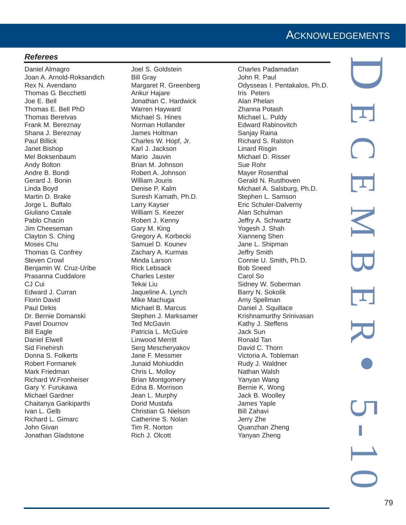### **ACKNOWLEDGEMENTS**

### *Referees*

Daniel Almagro Joan A. Arnold-Roksandich Rex N. Avendano Thomas G. Becchetti Joe E. Bell Thomas E. Bell PhD Thomas Beretvas Frank M. Bereznay Shana J. Bereznay Paul Billick Janet Bishop Mel Boksenbaum Andy Bolton Andre B. Bondi Gerard J. Bonin Linda Boyd Martin D. Brake Jorge L. Buffalo Giuliano Casale Pablo Chacin Jim Cheeseman Clayton S. Ching Moses Chu Thomas G. Confrey Steven Crowl Benjamin W. Cruz-Uribe Prasanna Cuddalore CJ Cui Edward J. Curran Florin David Paul Dirkis Dr. Bernie Domanski Pavel Dournov Bill Eagle Daniel Elwell Sid Finehirsh Donna S. Folkerts Robert Formanek Mark Friedman Richard W.Fronheiser Gary Y. Furukawa Michael Gardner Chaitanya Garikiparthi Ivan L. Gelb Richard L. Gimarc John Givan Jonathan Gladstone

Joel S. Goldstein Bill Gray Margaret R. Greenberg Ankur Hajare Jonathan C. Hardwick Warren Hayward Michael S. Hines Norman Hollander James Holtman Charles W. Hopf, Jr. Karl J. Jackson Mario Jauvin Brian M. Johnson Robert A. Johnson William Jouris Denise P. Kalm Suresh Kamath, Ph.D. Larry Kayser William S. Keezer Robert J. Kenny Gary M. King Gregory A. Korbecki Samuel D. Kounev Zachary A. Kurmas Minda Larson Rick Lebsack Charles Lester Tekai Liu Jaqueline A. Lynch Mike Machuga Michael B. Marcus Stephen J. Marksamer Ted McGavin Patricia L. McGuire Linwood Merritt Serg Mescheryakov Jane F. Messmer Junaid Mohiuddin Chris L. Molloy Brian Montgomery Edna B. Morrison Jean L. Murphy Dorid Mustafa Christian G. Nielson Catherine S. Nolan Tim R. Norton Rich J. Olcott

Charles Padamadan John R. Paul Odysseas I. Pentakalos, Ph.D. Iris Peters Alan Phelan Zhanna Potash Michael L. Puldy Edward Rabinovitch Sanjay Raina Richard S. Ralston Linard Risgin Michael D. Risser Sue Rohr Mayer Rosenthal Gerald N. Rusthoven Michael A. Salsburg, Ph.D. Stephen L. Samson Eric Schuler-Dalverny Alan Schulman Jeffry A. Schwartz Yogesh J. Shah Xianneng Shen Jane L. Shipman Jeffry Smith Connie U. Smith, Ph.D. Bob Sneed Carol So Sidney W. Soberman Barry N. Sokolik Amy Spellman Daniel J. Squillace Krishnamurthy Srinivasan Kathy J. Steffens Jack Sun Ronald Tan David C. Thorn Victoria A. Tobleman Rudy J. Waldner Nathan Walsh Yanyan Wang Bernie K. Wong Jack B. Woolley James Yaple Bill Zahavi Jerry Zhe Quanzhan Zheng Yanyan Zheng

D ECEMBER • 5-10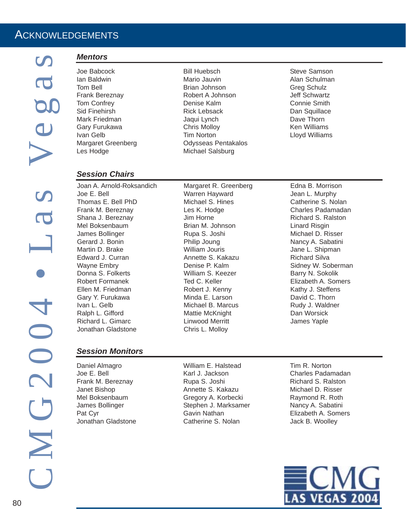### ACKNOWLEDGEMENTS

### *Mentors*

- Joe Babcock Ian Baldwin Tom Bell Frank Bereznay Tom Confrey Sid Finehirsh Mark Friedman Gary Furukawa Ivan Gelb Margaret Greenberg Les Hodge
- Bill Huebsch Mario Jauvin Brian Johnson Robert A Johnson Denise Kalm Rick Lebsack Jaqui Lynch Chris Molloy Tim Norton Odysseas Pentakalos Michael Salsburg

Steve Samson Alan Schulman Greg Schulz Jeff Schwartz Connie Smith Dan Squillace Dave Thorn Ken Williams Lloyd Williams

### *Session Chairs*

Joan A. Arnold-Roksandich Joe E. Bell Thomas E. Bell PhD Frank M. Bereznay Shana J. Bereznay Mel Boksenbaum James Bollinger Gerard J. Bonin Martin D. Brake Edward J. Curran Wayne Embry Donna S. Folkerts Robert Formanek Ellen M. Friedman Gary Y. Furukawa Ivan L. Gelb Ralph L. Gifford Richard L. Gimarc Jonathan Gladstone

### *Session Monitors*

Daniel Almagro Joe E. Bell Frank M. Bereznay Janet Bishop Mel Boksenbaum James Bollinger Pat Cyr Jonathan Gladstone

Margaret R. Greenberg Warren Hayward Michael S. Hines Les K. Hodge Jim Horne Brian M. Johnson Rupa S. Joshi Philip Joung William Jouris Annette S. Kakazu Denise P. Kalm William S. Keezer Ted C. Keller Robert J. Kenny Minda E. Larson Michael B. Marcus Mattie McKnight Linwood Merritt Chris L. Molloy

Edna B. Morrison Jean L. Murphy Catherine S. Nolan Charles Padamadan Richard S. Ralston Linard Risgin Michael D. Risser Nancy A. Sabatini Jane L. Shipman Richard Silva Sidney W. Soberman Barry N. Sokolik Elizabeth A. Somers Kathy J. Steffens David C. Thorn Rudy J. Waldner Dan Worsick James Yaple

William E. Halstead Karl J. Jackson Rupa S. Joshi Annette S. Kakazu Gregory A. Korbecki Stephen J. Marksamer Gavin Nathan Catherine S. Nolan

Tim R. Norton Charles Padamadan Richard S. Ralston Michael D. Risser Raymond R. Roth Nancy A. Sabatini Elizabeth A. Somers Jack B. Woolley

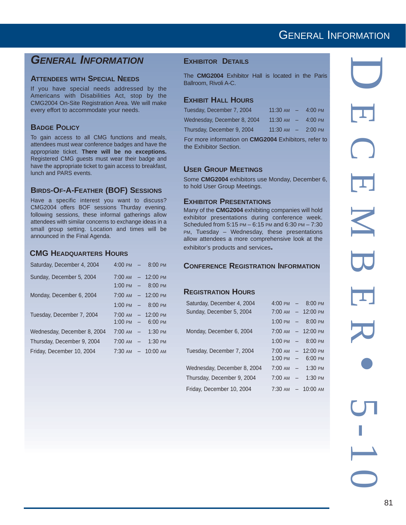### *GENERAL INFORMATION*

### **ATTENDEES WITH SPECIAL NEEDS**

If you have special needs addressed by the Americans with Disabilities Act, stop by the CMG2004 On-Site Registration Area. We will make every effort to accommodate your needs.

### **BADGE POLICY**

To gain access to all CMG functions and meals, attendees must wear conference badges and have the appropriate ticket. **There will be no exceptions.** Registered CMG guests must wear their badge and have the appropriate ticket to gain access to breakfast, lunch and PARS events.

### **BIRDS-OF-A-FEATHER (BOF) SESSIONS**

Have a specific interest you want to discuss? CMG2004 offers BOF sessions Thurday evening. following sessions, these informal gatherings allow attendees with similar concerns to exchange ideas in a small group setting. Location and times will be announced in the Final Agenda.

### **CMG HEADQUARTERS HOURS**

| Saturday, December 4, 2004  |                   | $4:00 \text{ PM}$ - 8:00 PM  |
|-----------------------------|-------------------|------------------------------|
| Sunday, December 5, 2004    | 7:00 AM           | $-12:00 \text{ PM}$          |
|                             |                   | $1:00 \text{ PM}$ - 8:00 PM  |
| Monday, December 6, 2004    | $7:00 \text{ AM}$ | $-12:00 \text{ PM}$          |
|                             |                   | 1:00 PM $-$ 8:00 PM          |
| Tuesday, December 7, 2004   |                   | $7:00 \text{ AM}$ - 12:00 PM |
|                             |                   | $1:00 \text{ PM}$ - 6:00 PM  |
| Wednesday, December 8, 2004 | $7:00 \text{ AM}$ | $-1:30 \text{ PM}$           |
| Thursday, December 9, 2004  |                   | $7:00 \text{ AM}$ - 1:30 PM  |
| Friday, December 10, 2004   |                   | $7:30 \text{ AM}$ - 10:00 AM |

### **EXHIBITOR DETAILS**

The **CMG2004** Exhibitor Hall is located in the Paris Ballroom, Rivoli A-C.

### **EXHIBIT HALL HOURS**

| Tuesday, December 7, 2004   | $11:30 \text{ AM}$ - 4:00 PM |            |
|-----------------------------|------------------------------|------------|
| Wednesday, December 8, 2004 | $11:30$ AM $-$ 4:00 PM       |            |
| Thursday, December 9, 2004  | $11:30 \text{ AM}$ -         | $-2:00$ PM |

For more information on **CMG2004** Exhibitors, refer to the Exhibitor Section.

### **USER GROUP MEETINGS**

Some **CMG2004** exhibitors use Monday, December 6, to hold User Group Meetings.

### **EXHIBITOR PRESENTATIONS**

Many of the **CMG2004** exhibiting companies will hold exhibitor presentations during conference week. Scheduled from 5:15 PM – 6:15 PM and 6:30 PM – 7:30 PM, Tuesday – Wednesday, these presentations allow attendees a more comprehensive look at the exhibitor's products and services**.**

### **CONFERENCE REGISTRATION INFORMATION**

### **REGISTRATION HOURS**

| Saturday, December 4, 2004  |                   | $4:00 \text{ PM}$ - 8:00 PM                           |
|-----------------------------|-------------------|-------------------------------------------------------|
| Sunday, December 5, 2004    |                   | $7:00 \text{ AM}$ - 12:00 PM                          |
|                             | $1:00 \text{ PM}$ | $-8:00 \text{ PM}$                                    |
| Monday, December 6, 2004    |                   | $7:00 \text{ AM}$ - 12:00 PM                          |
|                             |                   | $1:00 \text{ PM}$ - 8:00 PM                           |
| Tuesday, December 7, 2004   |                   | $7:00$ AM $- 12:00$ PM<br>$1:00 \text{ PM}$ - 6:00 PM |
| Wednesday, December 8, 2004 | $7:00 \text{ AM}$ | $-1:30 \text{ PM}$                                    |
| Thursday, December 9, 2004  |                   | $7:00 \text{ AM}$ - 1:30 PM                           |
| Friday, December 10, 2004   | 7:30 AM           | $-10:00 \text{ am}$                                   |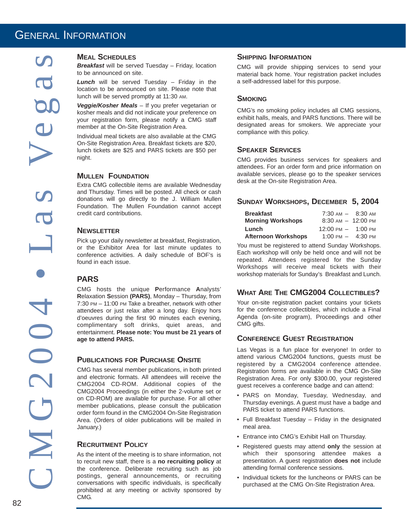*Breakfast* will be served Tuesday – Friday, location to be announced on site.

*Lunch* will be served Tuesday – Friday in the location to be announced on site. Please note that lunch will be served promptly at 11:30 AM.

*Veggie/Kosher Meals* – If you prefer vegetarian or kosher meals and did not indicate your preference on your registration form, please notify a CMG staff member at the On-Site Registration Area.

Individual meal tickets are also available at the CMG On-Site Registration Area. Breakfast tickets are \$20, lunch tickets are \$25 and PARS tickets are \$50 per night.

### **MULLEN FOUNDATION**

Extra CMG collectible items are available Wednesday and Thursday. Times will be posted. All check or cash donations will go directly to the J. William Mullen Foundation. The Mullen Foundation cannot accept credit card contributions.

### **NEWSLETTER**

Pick up your daily newsletter at breakfast, Registration, or the Exhibitor Area for last minute updates to conference activities. A daily schedule of BOF's is found in each issue.

### **PARS**

CMG hosts the unique **P**erformance **A**nalysts' **R**elaxation **S**ession **(PARS)**, Monday – Thursday, from 7:30 PM – 11:00 PM Take a breather, network with other attendees or just relax after a long day. Enjoy hors d'oeuvres during the first 90 minutes each evening, complimentary soft drinks, quiet areas, and entertainment. **Please note: You must be 21 years of age to attend PARS.**

### **PUBLICATIONS FOR PURCHASE ONSITE**

MEAL SCHEDULES<br>
Breakfast will be serve<br>
to be announced on si<br>
tunch will be serve<br>
lunch will be served provided meal<br>
konster meals and did not be announced on si<br>
vour registration formember at the On-Site<br>
vour regist CMG has several member publications, in both printed and electronic formats. All attendees will receive the CMG2004 CD-ROM. Additional copies of the CMG2004 Proceedings (in either the 2-volume set or on CD-ROM) are available for purchase. For all other member publications, please consult the publication order form found in the CMG2004 On-Site Registration Area. (Orders of older publications will be mailed in January.)

### **RECRUITMENT POLICY**

As the intent of the meeting is to share information, not to recruit new staff, there is a **no recruiting policy** at the conference. Deliberate recruiting such as job postings, general announcements, or recruiting conversations with specific individuals, is specifically prohibited at any meeting or activity sponsored by CMG.

### **SHIPPING INFORMATION**

CMG will provide shipping services to send your material back home. Your registration packet includes a self-addressed label for this purpose.

### **SMOKING**

CMG's no smoking policy includes all CMG sessions, exhibit halls, meals, and PARS functions. There will be designated areas for smokers. We appreciate your compliance with this policy.

### **SPEAKER SERVICES**

CMG provides business services for speakers and attendees. For an order form and price information on available services, please go to the speaker services desk at the On-site Registration Area.

### **SUNDAY WORKSHOPS, DECEMBER 5, 2004**

| <b>Breakfast</b><br><b>Morning Workshops</b> | $7:30 \text{ AM} - 8:30 \text{ AM}$<br>$8:30 \text{ AM} - 12:00 \text{ PM}$ |         |
|----------------------------------------------|-----------------------------------------------------------------------------|---------|
| Lunch                                        | $12:00 \text{ PM} - 1:00 \text{ PM}$                                        |         |
| <b>Afternoon Workshops</b>                   | $1:00 \text{ PM}$ -                                                         | 4:30 рм |

You must be registered to attend Sunday Workshops. Each workshop will only be held once and will not be repeated. Attendees registered for the Sunday Workshops will receive meal tickets with their workshop materials for Sunday's Breakfast and Lunch.

### **WHAT ARE THE CMG2004 COLLECTIBLES?**

Your on-site registration packet contains your tickets for the conference collectibles, which include a Final Agenda (on-site program), Proceedings and other CMG gifts.

### **CONFERENCE GUEST REGISTRATION**

Las Vegas is a fun place for everyone! In order to attend various CMG2004 functions, guests must be registered by a CMG2004 conference attendee. Registration forms are available in the CMG On-Site Registration Area. For only \$300.00, your registered guest receives a conference badge and can attend:

- PARS on Monday, Tuesday, Wednesday, and Thursday evenings. A guest must have a badge and PARS ticket to attend PARS functions.
- Full Breakfast Tuesday Friday in the designated meal area.
- Entrance into CMG's Exhibit Hall on Thursday.
- Registered guests may attend **only** the session at which their sponsoring attendee makes a presentation. A guest registration **does not** include attending formal conference sessions.
- Individual tickets for the luncheons or PARS can be purchased at the CMG On-Site Registration Area.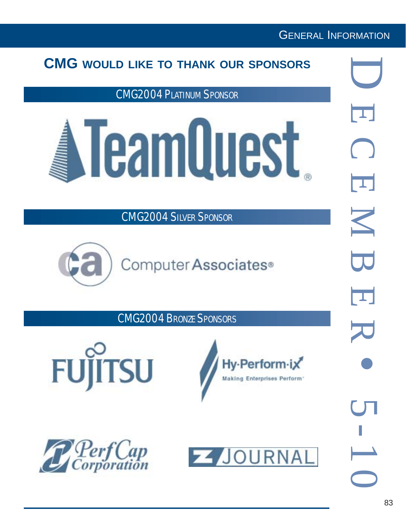## **CMG WOULD LIKE TO THANK OUR SPONSORS**

CMG2004 PLATINUM SPONSOR



CMG2004 SILVER SPONSOR



CMG2004 BRONZE SPONSORS







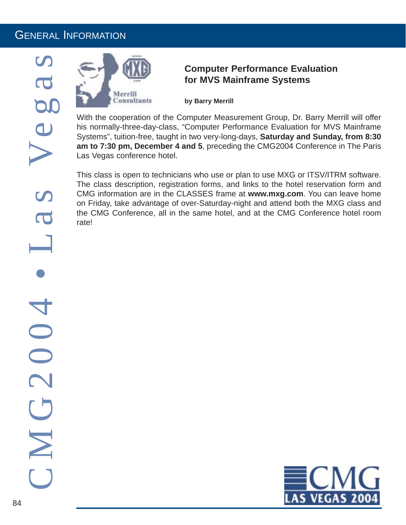

### **Computer Performance Evaluation for MVS Mainframe Systems**

**by Barry Merrill**

With the cooperation of the Computer Measurement Group, Dr. Barry Merrill will offer his normally-three-day-class, "Computer Performance Evaluation for MVS Mainframe Systems", tuition-free, taught in two very-long-days, **Saturday and Sunday, from 8:30 am to 7:30 pm, December 4 and 5**, preceding the CMG2004 Conference in The Paris Las Vegas conference hotel.

This class is open to technicians who use or plan to use MXG or ITSV/ITRM software. The class description, registration forms, and links to the hotel reservation form and CMG information are in the CLASSES frame at **www.mxg.com**. You can leave home on Friday, take advantage of over-Saturday-night and attend both the MXG class and the CMG Conference, all in the same hotel, and at the CMG Conference hotel room rate!

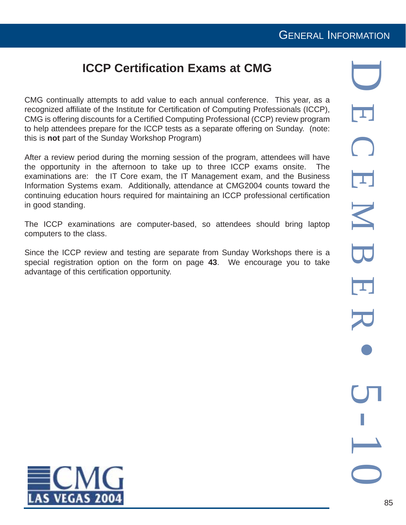## **ICCP Certification Exams at CMG**

CMG continually attempts to add value to each annual conference. This year, as a recognized affiliate of the Institute for Certification of Computing Professionals (ICCP), CMG is offering discounts for a Certified Computing Professional (CCP) review program to help attendees prepare for the ICCP tests as a separate offering on Sunday. (note: this is **not** part of the Sunday Workshop Program)

After a review period during the morning session of the program, attendees will have the opportunity in the afternoon to take up to three ICCP exams onsite. The examinations are: the IT Core exam, the IT Management exam, and the Business Information Systems exam. Additionally, attendance at CMG2004 counts toward the continuing education hours required for maintaining an ICCP professional certification in good standing.

The ICCP examinations are computer-based, so attendees should bring laptop computers to the class.

Since the ICCP review and testing are separate from Sunday Workshops there is a special registration option on the form on page **43**. We encourage you to take advantage of this certification opportunity.

D ECEMBER  $\overline{\mathbf{u}}$ K  $\overline{\mathbf{U}}$  $\overline{\mathbf{L}}$ ه<br>س  $\overline{\phantom{0}}$  $\bigcirc$